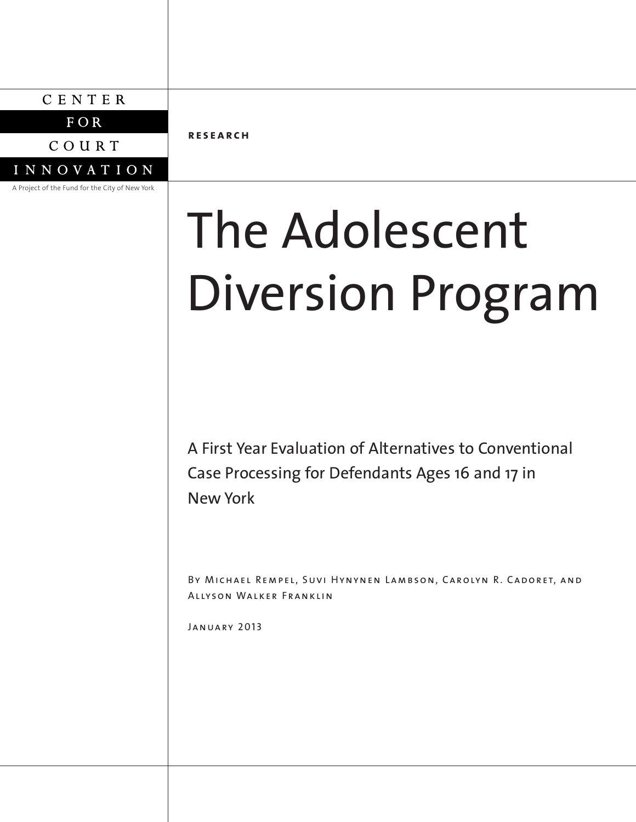# CENTER

FOR

COURT

**INNOVATION** 

A Project of the Fund for the City of New York

**re s earch**

# The Adolescent Diversion Program

A First Year Evaluation of Alternatives to Conventional Case Processing for Defendants Ages 16 and 17 in New York

BY MICHAEL REMPEL, SUVI HYNYNEN LAMBSON, CAROLYN R. CADORET, AND Allyson Walker Franklin

January 2013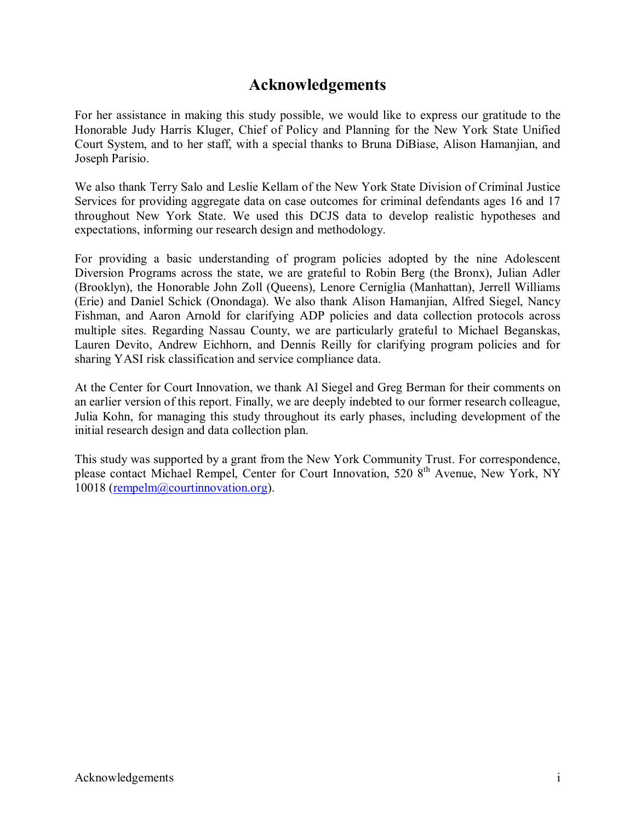# **Acknowledgements**

For her assistance in making this study possible, we would like to express our gratitude to the Honorable Judy Harris Kluger, Chief of Policy and Planning for the New York State Unified Court System, and to her staff, with a special thanks to Bruna DiBiase, Alison Hamanjian, and Joseph Parisio.

We also thank Terry Salo and Leslie Kellam of the New York State Division of Criminal Justice Services for providing aggregate data on case outcomes for criminal defendants ages 16 and 17 throughout New York State. We used this DCJS data to develop realistic hypotheses and expectations, informing our research design and methodology.

For providing a basic understanding of program policies adopted by the nine Adolescent Diversion Programs across the state, we are grateful to Robin Berg (the Bronx), Julian Adler (Brooklyn), the Honorable John Zoll (Queens), Lenore Cerniglia (Manhattan), Jerrell Williams (Erie) and Daniel Schick (Onondaga). We also thank Alison Hamanjian, Alfred Siegel, Nancy Fishman, and Aaron Arnold for clarifying ADP policies and data collection protocols across multiple sites. Regarding Nassau County, we are particularly grateful to Michael Beganskas, Lauren Devito, Andrew Eichhorn, and Dennis Reilly for clarifying program policies and for sharing YASI risk classification and service compliance data.

At the Center for Court Innovation, we thank Al Siegel and Greg Berman for their comments on an earlier version of this report. Finally, we are deeply indebted to our former research colleague, Julia Kohn, for managing this study throughout its early phases, including development of the initial research design and data collection plan.

This study was supported by a grant from the New York Community Trust. For correspondence, please contact Michael Rempel, Center for Court Innovation, 520 8<sup>th</sup> Avenue, New York, NY 10018 (rempelm@courtinnovation.org).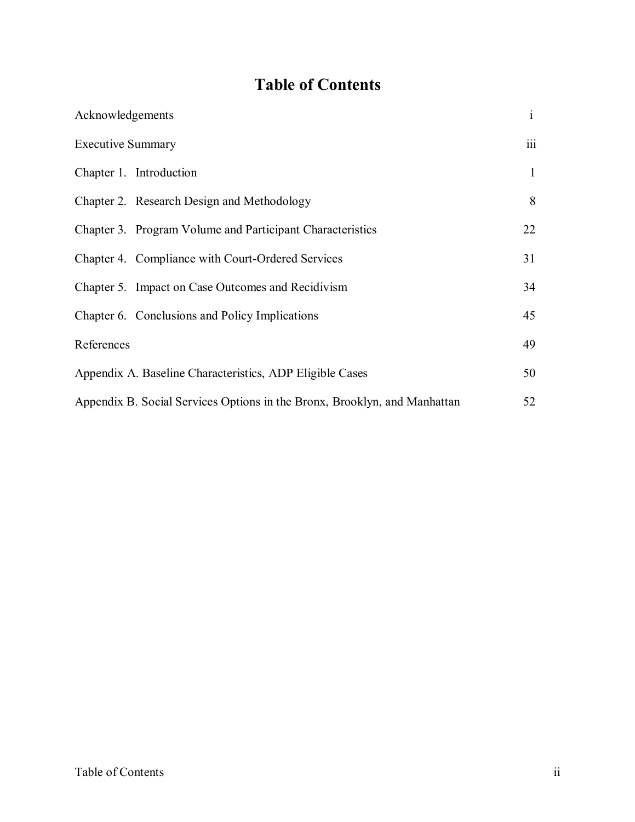# **Table of Contents**

| Acknowledgements                                                          | $\mathbf{i}$ |
|---------------------------------------------------------------------------|--------------|
| <b>Executive Summary</b>                                                  | iii          |
| Chapter 1. Introduction                                                   | $\mathbf{1}$ |
| Chapter 2. Research Design and Methodology                                | 8            |
| Chapter 3. Program Volume and Participant Characteristics                 | 22           |
| Chapter 4. Compliance with Court-Ordered Services                         | 31           |
| Chapter 5. Impact on Case Outcomes and Recidivism                         | 34           |
| Chapter 6. Conclusions and Policy Implications                            | 45           |
| References                                                                | 49           |
| Appendix A. Baseline Characteristics, ADP Eligible Cases                  | 50           |
| Appendix B. Social Services Options in the Bronx, Brooklyn, and Manhattan | 52           |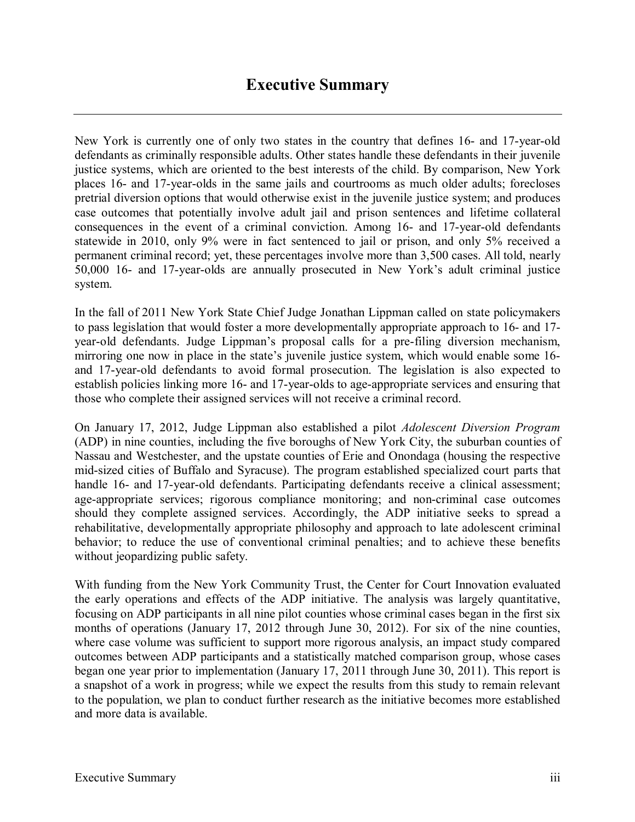New York is currently one of only two states in the country that defines 16- and 17-year-old defendants as criminally responsible adults. Other states handle these defendants in their juvenile justice systems, which are oriented to the best interests of the child. By comparison, New York places 16- and 17-year-olds in the same jails and courtrooms as much older adults; forecloses pretrial diversion options that would otherwise exist in the juvenile justice system; and produces case outcomes that potentially involve adult jail and prison sentences and lifetime collateral consequences in the event of a criminal conviction. Among 16- and 17-year-old defendants statewide in 2010, only 9% were in fact sentenced to jail or prison, and only 5% received a permanent criminal record; yet, these percentages involve more than 3,500 cases. All told, nearly 50,000 16- and 17-year-olds are annually prosecuted in New York's adult criminal justice system.

In the fall of 2011 New York State Chief Judge Jonathan Lippman called on state policymakers to pass legislation that would foster a more developmentally appropriate approach to 16- and 17 year-old defendants. Judge Lippman's proposal calls for a pre-filing diversion mechanism, mirroring one now in place in the state's juvenile justice system, which would enable some 16 and 17-year-old defendants to avoid formal prosecution. The legislation is also expected to establish policies linking more 16- and 17-year-olds to age-appropriate services and ensuring that those who complete their assigned services will not receive a criminal record.

On January 17, 2012, Judge Lippman also established a pilot *Adolescent Diversion Program* (ADP) in nine counties, including the five boroughs of New York City, the suburban counties of Nassau and Westchester, and the upstate counties of Erie and Onondaga (housing the respective mid-sized cities of Buffalo and Syracuse). The program established specialized court parts that handle 16- and 17-year-old defendants. Participating defendants receive a clinical assessment; age-appropriate services; rigorous compliance monitoring; and non-criminal case outcomes should they complete assigned services. Accordingly, the ADP initiative seeks to spread a rehabilitative, developmentally appropriate philosophy and approach to late adolescent criminal behavior; to reduce the use of conventional criminal penalties; and to achieve these benefits without jeopardizing public safety.

With funding from the New York Community Trust, the Center for Court Innovation evaluated the early operations and effects of the ADP initiative. The analysis was largely quantitative, focusing on ADP participants in all nine pilot counties whose criminal cases began in the first six months of operations (January 17, 2012 through June 30, 2012). For six of the nine counties, where case volume was sufficient to support more rigorous analysis, an impact study compared outcomes between ADP participants and a statistically matched comparison group, whose cases began one year prior to implementation (January 17, 2011 through June 30, 2011). This report is a snapshot of a work in progress; while we expect the results from this study to remain relevant to the population, we plan to conduct further research as the initiative becomes more established and more data is available.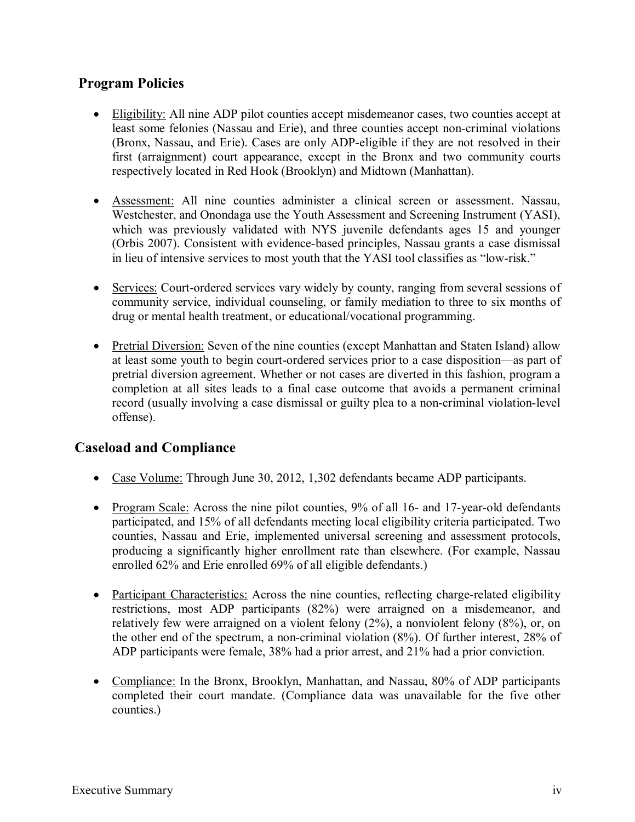## **Program Policies**

- Eligibility: All nine ADP pilot counties accept misdemeanor cases, two counties accept at least some felonies (Nassau and Erie), and three counties accept non-criminal violations (Bronx, Nassau, and Erie). Cases are only ADP-eligible if they are not resolved in their first (arraignment) court appearance, except in the Bronx and two community courts respectively located in Red Hook (Brooklyn) and Midtown (Manhattan).
- Assessment: All nine counties administer a clinical screen or assessment. Nassau, Westchester, and Onondaga use the Youth Assessment and Screening Instrument (YASI), which was previously validated with NYS juvenile defendants ages 15 and younger (Orbis 2007). Consistent with evidence-based principles, Nassau grants a case dismissal in lieu of intensive services to most youth that the YASI tool classifies as "low-risk."
- Services: Court-ordered services vary widely by county, ranging from several sessions of community service, individual counseling, or family mediation to three to six months of drug or mental health treatment, or educational/vocational programming.
- Pretrial Diversion: Seven of the nine counties (except Manhattan and Staten Island) allow at least some youth to begin court-ordered services prior to a case disposition—as part of pretrial diversion agreement. Whether or not cases are diverted in this fashion, program a completion at all sites leads to a final case outcome that avoids a permanent criminal record (usually involving a case dismissal or guilty plea to a non-criminal violation-level offense).

## **Caseload and Compliance**

- Case Volume: Through June 30, 2012, 1,302 defendants became ADP participants.
- Program Scale: Across the nine pilot counties, 9% of all 16- and 17-year-old defendants participated, and 15% of all defendants meeting local eligibility criteria participated. Two counties, Nassau and Erie, implemented universal screening and assessment protocols, producing a significantly higher enrollment rate than elsewhere. (For example, Nassau enrolled 62% and Erie enrolled 69% of all eligible defendants.)
- Participant Characteristics: Across the nine counties, reflecting charge-related eligibility restrictions, most ADP participants (82%) were arraigned on a misdemeanor, and relatively few were arraigned on a violent felony (2%), a nonviolent felony (8%), or, on the other end of the spectrum, a non-criminal violation (8%). Of further interest, 28% of ADP participants were female, 38% had a prior arrest, and 21% had a prior conviction.
- Compliance: In the Bronx, Brooklyn, Manhattan, and Nassau, 80% of ADP participants completed their court mandate. (Compliance data was unavailable for the five other counties.)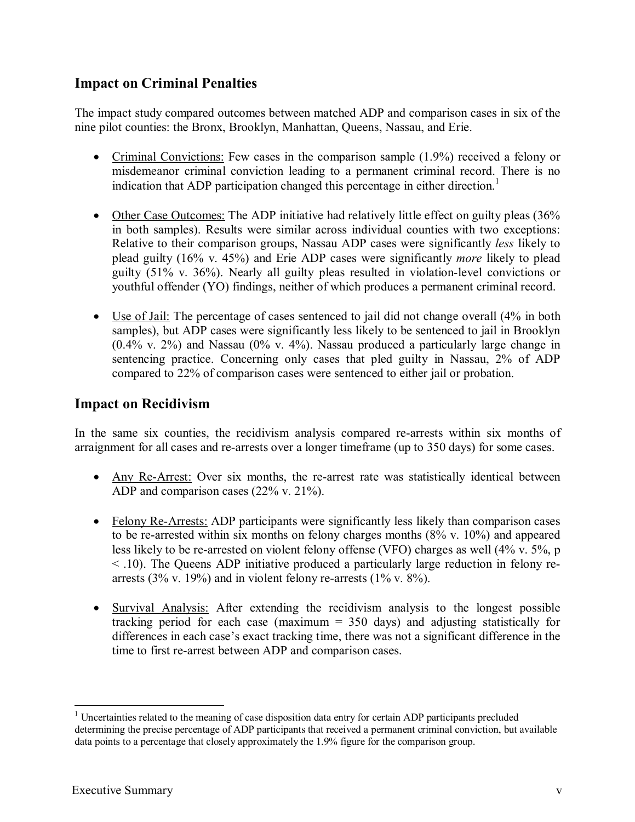## **Impact on Criminal Penalties**

The impact study compared outcomes between matched ADP and comparison cases in six of the nine pilot counties: the Bronx, Brooklyn, Manhattan, Queens, Nassau, and Erie.

- Criminal Convictions: Few cases in the comparison sample (1.9%) received a felony or misdemeanor criminal conviction leading to a permanent criminal record. There is no indication that ADP participation changed this percentage in either direction. 1
- Other Case Outcomes: The ADP initiative had relatively little effect on guilty pleas (36% in both samples). Results were similar across individual counties with two exceptions: Relative to their comparison groups, Nassau ADP cases were significantly *less* likely to plead guilty (16% v. 45%) and Erie ADP cases were significantly *more* likely to plead guilty (51% v. 36%). Nearly all guilty pleas resulted in violation-level convictions or youthful offender (YO) findings, neither of which produces a permanent criminal record.
- Use of Jail: The percentage of cases sentenced to jail did not change overall (4% in both samples), but ADP cases were significantly less likely to be sentenced to jail in Brooklyn (0.4% v. 2%) and Nassau (0% v. 4%). Nassau produced a particularly large change in sentencing practice. Concerning only cases that pled guilty in Nassau, 2% of ADP compared to 22% of comparison cases were sentenced to either jail or probation.

## **Impact on Recidivism**

In the same six counties, the recidivism analysis compared re-arrests within six months of arraignment for all cases and re-arrests over a longer timeframe (up to 350 days) for some cases.

- Any Re-Arrest: Over six months, the re-arrest rate was statistically identical between ADP and comparison cases (22% v. 21%).
- Felony Re-Arrests: ADP participants were significantly less likely than comparison cases to be re-arrested within six months on felony charges months (8% v. 10%) and appeared less likely to be re-arrested on violent felony offense (VFO) charges as well (4% v. 5%, p < .10). The Queens ADP initiative produced a particularly large reduction in felony rearrests (3% v. 19%) and in violent felony re-arrests (1% v.  $8\%$ ).
- Survival Analysis: After extending the recidivism analysis to the longest possible tracking period for each case (maximum = 350 days) and adjusting statistically for differences in each case's exact tracking time, there was not a significant difference in the time to first re-arrest between ADP and comparison cases.

 $<sup>1</sup>$  Uncertainties related to the meaning of case disposition data entry for certain ADP participants precluded</sup> determining the precise percentage of ADP participants that received a permanent criminal conviction, but available data points to a percentage that closely approximately the 1.9% figure for the comparison group.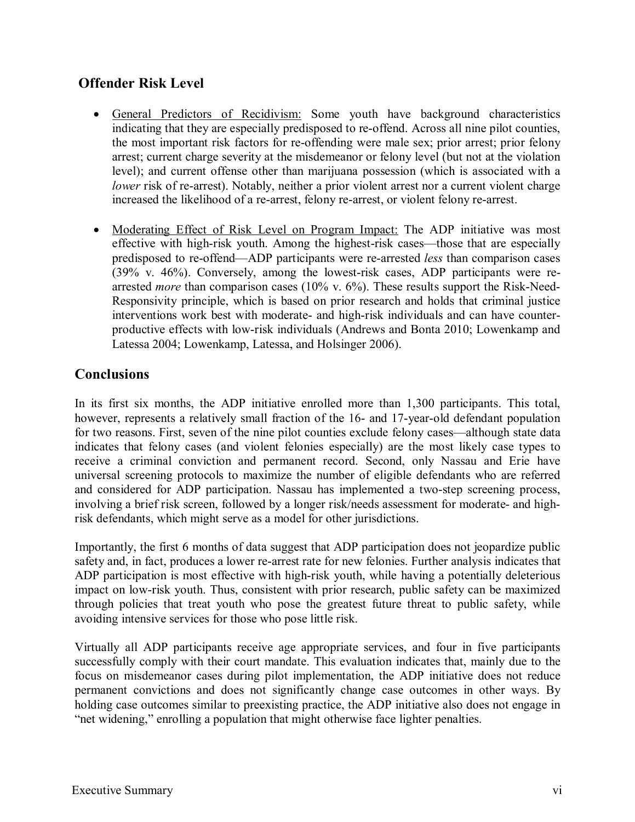## **Offender Risk Level**

- General Predictors of Recidivism: Some youth have background characteristics indicating that they are especially predisposed to re-offend. Across all nine pilot counties, the most important risk factors for re-offending were male sex; prior arrest; prior felony arrest; current charge severity at the misdemeanor or felony level (but not at the violation level); and current offense other than marijuana possession (which is associated with a *lower* risk of re-arrest). Notably, neither a prior violent arrest nor a current violent charge increased the likelihood of a re-arrest, felony re-arrest, or violent felony re-arrest.
- Moderating Effect of Risk Level on Program Impact: The ADP initiative was most effective with high-risk youth. Among the highest-risk cases—those that are especially predisposed to re-offend—ADP participants were re-arrested *less* than comparison cases (39% v. 46%). Conversely, among the lowest-risk cases, ADP participants were rearrested *more* than comparison cases (10% v. 6%). These results support the Risk-Need-Responsivity principle, which is based on prior research and holds that criminal justice interventions work best with moderate- and high-risk individuals and can have counterproductive effects with low-risk individuals (Andrews and Bonta 2010; Lowenkamp and Latessa 2004; Lowenkamp, Latessa, and Holsinger 2006).

## **Conclusions**

In its first six months, the ADP initiative enrolled more than 1,300 participants. This total, however, represents a relatively small fraction of the 16- and 17-year-old defendant population for two reasons. First, seven of the nine pilot counties exclude felony cases—although state data indicates that felony cases (and violent felonies especially) are the most likely case types to receive a criminal conviction and permanent record. Second, only Nassau and Erie have universal screening protocols to maximize the number of eligible defendants who are referred and considered for ADP participation. Nassau has implemented a two-step screening process, involving a brief risk screen, followed by a longer risk/needs assessment for moderate- and highrisk defendants, which might serve as a model for other jurisdictions.

Importantly, the first 6 months of data suggest that ADP participation does not jeopardize public safety and, in fact, produces a lower re-arrest rate for new felonies. Further analysis indicates that ADP participation is most effective with high-risk youth, while having a potentially deleterious impact on low-risk youth. Thus, consistent with prior research, public safety can be maximized through policies that treat youth who pose the greatest future threat to public safety, while avoiding intensive services for those who pose little risk.

Virtually all ADP participants receive age appropriate services, and four in five participants successfully comply with their court mandate. This evaluation indicates that, mainly due to the focus on misdemeanor cases during pilot implementation, the ADP initiative does not reduce permanent convictions and does not significantly change case outcomes in other ways. By holding case outcomes similar to preexisting practice, the ADP initiative also does not engage in "net widening," enrolling a population that might otherwise face lighter penalties.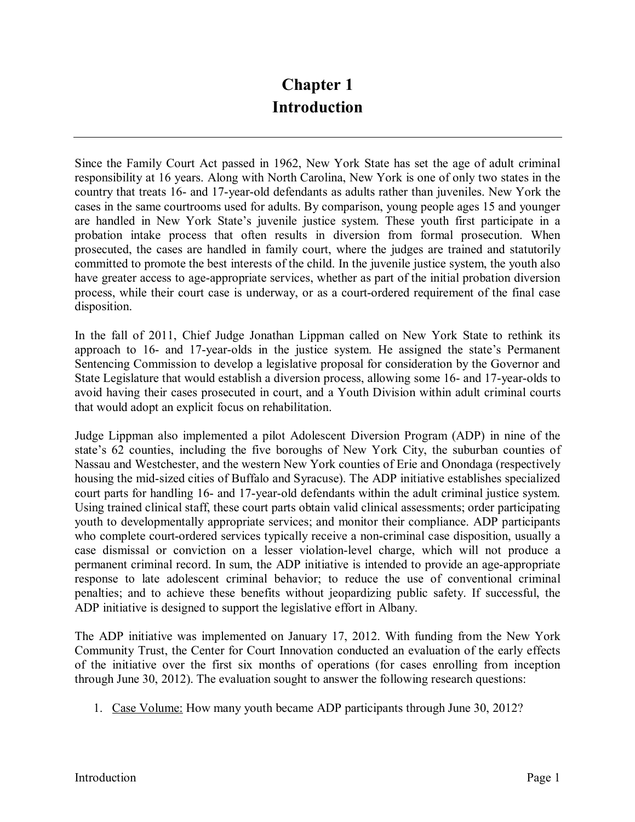# **Chapter 1 Introduction**

Since the Family Court Act passed in 1962, New York State has set the age of adult criminal responsibility at 16 years. Along with North Carolina, New York is one of only two states in the country that treats 16- and 17-year-old defendants as adults rather than juveniles. New York the cases in the same courtrooms used for adults. By comparison, young people ages 15 and younger are handled in New York State's juvenile justice system. These youth first participate in a probation intake process that often results in diversion from formal prosecution. When prosecuted, the cases are handled in family court, where the judges are trained and statutorily committed to promote the best interests of the child. In the juvenile justice system, the youth also have greater access to age-appropriate services, whether as part of the initial probation diversion process, while their court case is underway, or as a court-ordered requirement of the final case disposition.

In the fall of 2011, Chief Judge Jonathan Lippman called on New York State to rethink its approach to 16- and 17-year-olds in the justice system. He assigned the state's Permanent Sentencing Commission to develop a legislative proposal for consideration by the Governor and State Legislature that would establish a diversion process, allowing some 16- and 17-year-olds to avoid having their cases prosecuted in court, and a Youth Division within adult criminal courts that would adopt an explicit focus on rehabilitation.

Judge Lippman also implemented a pilot Adolescent Diversion Program (ADP) in nine of the state's 62 counties, including the five boroughs of New York City, the suburban counties of Nassau and Westchester, and the western New York counties of Erie and Onondaga (respectively housing the mid-sized cities of Buffalo and Syracuse). The ADP initiative establishes specialized court parts for handling 16- and 17-year-old defendants within the adult criminal justice system. Using trained clinical staff, these court parts obtain valid clinical assessments; order participating youth to developmentally appropriate services; and monitor their compliance. ADP participants who complete court-ordered services typically receive a non-criminal case disposition, usually a case dismissal or conviction on a lesser violation-level charge, which will not produce a permanent criminal record. In sum, the ADP initiative is intended to provide an age-appropriate response to late adolescent criminal behavior; to reduce the use of conventional criminal penalties; and to achieve these benefits without jeopardizing public safety. If successful, the ADP initiative is designed to support the legislative effort in Albany.

The ADP initiative was implemented on January 17, 2012. With funding from the New York Community Trust, the Center for Court Innovation conducted an evaluation of the early effects of the initiative over the first six months of operations (for cases enrolling from inception through June 30, 2012). The evaluation sought to answer the following research questions:

1. Case Volume: How many youth became ADP participants through June 30, 2012?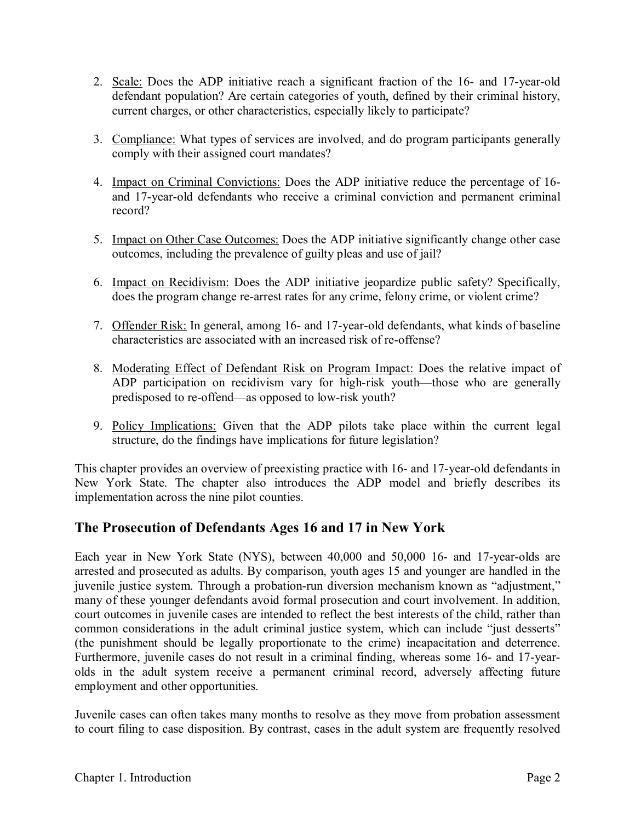- 2. Scale: Does the ADP initiative reach a significant fraction of the 16- and 17-year-old defendant population? Are certain categories of youth, defined by their criminal history, current charges, or other characteristics, especially likely to participate?
- 3. Compliance: What types of services are involved, and do program participants generally comply with their assigned court mandates?
- 4. Impact on Criminal Convictions: Does the ADP initiative reduce the percentage of 16 and 17-year-old defendants who receive a criminal conviction and permanent criminal record?
- 5. Impact on Other Case Outcomes: Does the ADP initiative significantly change other case outcomes, including the prevalence of guilty pleas and use of jail?
- 6. Impact on Recidivism: Does the ADP initiative jeopardize public safety? Specifically, does the program change re-arrest rates for any crime, felony crime, or violent crime?
- 7. Offender Risk: In general, among 16- and 17-year-old defendants, what kinds of baseline characteristics are associated with an increased risk of re-offense?
- 8. Moderating Effect of Defendant Risk on Program Impact: Does the relative impact of ADP participation on recidivism vary for high-risk youth—those who are generally predisposed to re-offend—as opposed to low-risk youth?
- 9. Policy Implications: Given that the ADP pilots take place within the current legal structure, do the findings have implications for future legislation?

This chapter provides an overview of preexisting practice with 16- and 17-year-old defendants in New York State. The chapter also introduces the ADP model and briefly describes its implementation across the nine pilot counties.

## **The Prosecution of Defendants Ages 16 and 17 in New York**

Each year in New York State (NYS), between 40,000 and 50,000 16- and 17-year-olds are arrested and prosecuted as adults. By comparison, youth ages 15 and younger are handled in the juvenile justice system. Through a probation-run diversion mechanism known as "adjustment," many of these younger defendants avoid formal prosecution and court involvement. In addition, court outcomes in juvenile cases are intended to reflect the best interests of the child, rather than common considerations in the adult criminal justice system, which can include "just desserts" (the punishment should be legally proportionate to the crime) incapacitation and deterrence. Furthermore, juvenile cases do not result in a criminal finding, whereas some 16- and 17-yearolds in the adult system receive a permanent criminal record, adversely affecting future employment and other opportunities.

Juvenile cases can often takes many months to resolve as they move from probation assessment to court filing to case disposition. By contrast, cases in the adult system are frequently resolved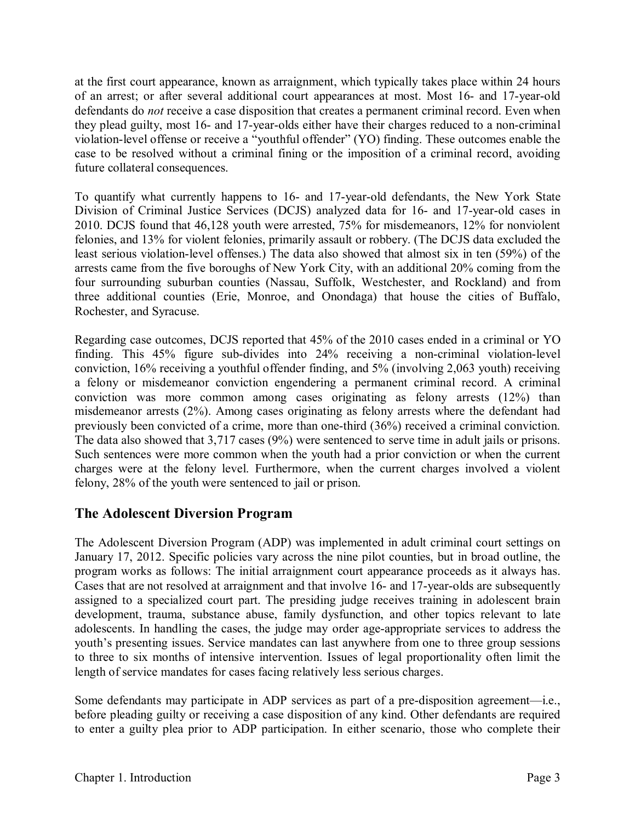at the first court appearance, known as arraignment, which typically takes place within 24 hours of an arrest; or after several additional court appearances at most. Most 16- and 17-year-old defendants do *not* receive a case disposition that creates a permanent criminal record. Even when they plead guilty, most 16- and 17-year-olds either have their charges reduced to a non-criminal violation-level offense or receive a "youthful offender" (YO) finding. These outcomes enable the case to be resolved without a criminal fining or the imposition of a criminal record, avoiding future collateral consequences.

To quantify what currently happens to 16- and 17-year-old defendants, the New York State Division of Criminal Justice Services (DCJS) analyzed data for 16- and 17-year-old cases in 2010. DCJS found that 46,128 youth were arrested, 75% for misdemeanors, 12% for nonviolent felonies, and 13% for violent felonies, primarily assault or robbery. (The DCJS data excluded the least serious violation-level offenses.) The data also showed that almost six in ten (59%) of the arrests came from the five boroughs of New York City, with an additional 20% coming from the four surrounding suburban counties (Nassau, Suffolk, Westchester, and Rockland) and from three additional counties (Erie, Monroe, and Onondaga) that house the cities of Buffalo, Rochester, and Syracuse.

Regarding case outcomes, DCJS reported that 45% of the 2010 cases ended in a criminal or YO finding. This 45% figure sub-divides into 24% receiving a non-criminal violation-level conviction, 16% receiving a youthful offender finding, and 5% (involving 2,063 youth) receiving a felony or misdemeanor conviction engendering a permanent criminal record. A criminal conviction was more common among cases originating as felony arrests (12%) than misdemeanor arrests (2%). Among cases originating as felony arrests where the defendant had previously been convicted of a crime, more than one-third (36%) received a criminal conviction. The data also showed that 3,717 cases (9%) were sentenced to serve time in adult jails or prisons. Such sentences were more common when the youth had a prior conviction or when the current charges were at the felony level. Furthermore, when the current charges involved a violent felony, 28% of the youth were sentenced to jail or prison.

## **The Adolescent Diversion Program**

The Adolescent Diversion Program (ADP) was implemented in adult criminal court settings on January 17, 2012. Specific policies vary across the nine pilot counties, but in broad outline, the program works as follows: The initial arraignment court appearance proceeds as it always has. Cases that are not resolved at arraignment and that involve 16- and 17-year-olds are subsequently assigned to a specialized court part. The presiding judge receives training in adolescent brain development, trauma, substance abuse, family dysfunction, and other topics relevant to late adolescents. In handling the cases, the judge may order age-appropriate services to address the youth's presenting issues. Service mandates can last anywhere from one to three group sessions to three to six months of intensive intervention. Issues of legal proportionality often limit the length of service mandates for cases facing relatively less serious charges.

Some defendants may participate in ADP services as part of a pre-disposition agreement—i.e., before pleading guilty or receiving a case disposition of any kind. Other defendants are required to enter a guilty plea prior to ADP participation. In either scenario, those who complete their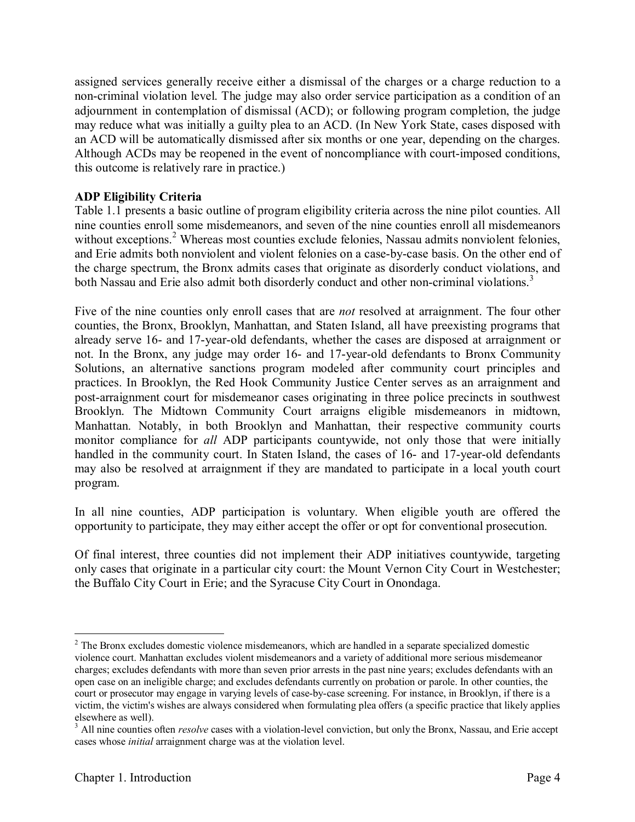assigned services generally receive either a dismissal of the charges or a charge reduction to a non-criminal violation level. The judge may also order service participation as a condition of an adjournment in contemplation of dismissal (ACD); or following program completion, the judge may reduce what was initially a guilty plea to an ACD. (In New York State, cases disposed with an ACD will be automatically dismissed after six months or one year, depending on the charges. Although ACDs may be reopened in the event of noncompliance with court-imposed conditions, this outcome is relatively rare in practice.)

#### **ADP Eligibility Criteria**

Table 1.1 presents a basic outline of program eligibility criteria across the nine pilot counties. All nine counties enroll some misdemeanors, and seven of the nine counties enroll all misdemeanors without exceptions.<sup>2</sup> Whereas most counties exclude felonies, Nassau admits nonviolent felonies, and Erie admits both nonviolent and violent felonies on a case-by-case basis. On the other end of the charge spectrum, the Bronx admits cases that originate as disorderly conduct violations, and both Nassau and Erie also admit both disorderly conduct and other non-criminal violations.<sup>3</sup>

Five of the nine counties only enroll cases that are *not* resolved at arraignment. The four other counties, the Bronx, Brooklyn, Manhattan, and Staten Island, all have preexisting programs that already serve 16- and 17-year-old defendants, whether the cases are disposed at arraignment or not. In the Bronx, any judge may order 16- and 17-year-old defendants to Bronx Community Solutions, an alternative sanctions program modeled after community court principles and practices. In Brooklyn, the Red Hook Community Justice Center serves as an arraignment and post-arraignment court for misdemeanor cases originating in three police precincts in southwest Brooklyn. The Midtown Community Court arraigns eligible misdemeanors in midtown, Manhattan. Notably, in both Brooklyn and Manhattan, their respective community courts monitor compliance for *all* ADP participants countywide, not only those that were initially handled in the community court. In Staten Island, the cases of 16- and 17-year-old defendants may also be resolved at arraignment if they are mandated to participate in a local youth court program.

In all nine counties, ADP participation is voluntary. When eligible youth are offered the opportunity to participate, they may either accept the offer or opt for conventional prosecution.

Of final interest, three counties did not implement their ADP initiatives countywide, targeting only cases that originate in a particular city court: the Mount Vernon City Court in Westchester; the Buffalo City Court in Erie; and the Syracuse City Court in Onondaga.

<sup>&</sup>lt;sup>2</sup> The Bronx excludes domestic violence misdemeanors, which are handled in a separate specialized domestic violence court. Manhattan excludes violent misdemeanors and a variety of additional more serious misdemeanor charges; excludes defendants with more than seven prior arrests in the past nine years; excludes defendants with an open case on an ineligible charge; and excludes defendants currently on probation or parole. In other counties, the court or prosecutor may engage in varying levels of case-by-case screening. For instance, in Brooklyn, if there is a victim, the victim's wishes are always considered when formulating plea offers (a specific practice that likely applies elsewhere as well).

<sup>&</sup>lt;sup>3</sup> All nine counties often *resolve* cases with a violation-level conviction, but only the Bronx, Nassau, and Erie accept cases whose *initial* arraignment charge was at the violation level.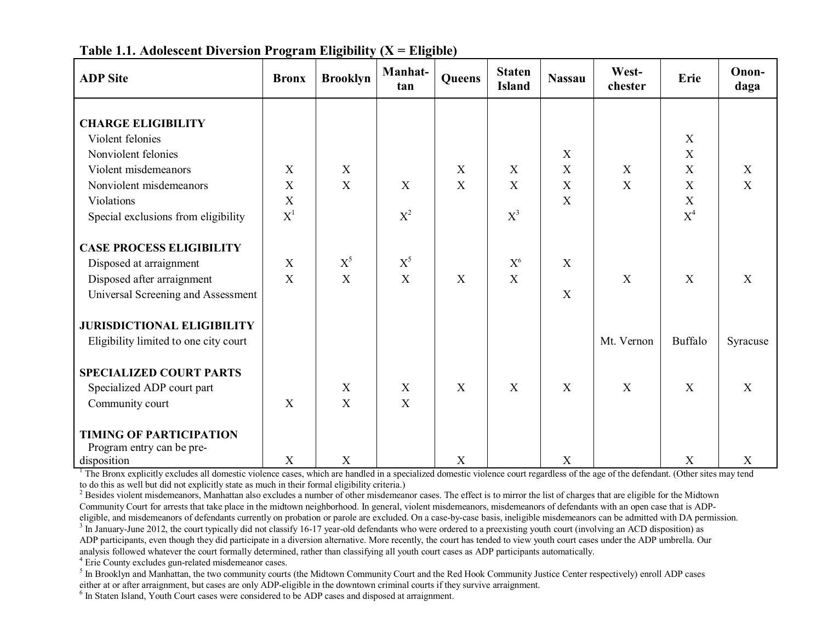| <b>ADP</b> Site                       | <b>Bronx</b> | <b>Brooklyn</b> | Manhat-<br>tan | Queens | <b>Staten</b><br><b>Island</b> | <b>Nassau</b>             | West-<br>chester | Erie             | Onon-<br>daga             |
|---------------------------------------|--------------|-----------------|----------------|--------|--------------------------------|---------------------------|------------------|------------------|---------------------------|
| <b>CHARGE ELIGIBILITY</b>             |              |                 |                |        |                                |                           |                  |                  |                           |
| Violent felonies                      |              |                 |                |        |                                |                           |                  | X                |                           |
|                                       |              |                 |                |        |                                |                           |                  |                  |                           |
| Nonviolent felonies                   |              |                 |                |        |                                | X                         |                  | X<br>$\mathbf X$ |                           |
| Violent misdemeanors                  | X            | X               |                | X      | $\boldsymbol{X}$               | X                         | X                |                  | $\mathbf X$               |
| Nonviolent misdemeanors               | X            | X               | X              | X      | X                              | X                         | X                | X                | $\boldsymbol{\mathrm{X}}$ |
| Violations                            | X            |                 |                |        |                                | X                         |                  | $\mathbf X$      |                           |
| Special exclusions from eligibility   | $X^1$        |                 | $X^2$          |        | $X^3$                          |                           |                  | $X^4$            |                           |
| <b>CASE PROCESS ELIGIBILITY</b>       |              |                 |                |        |                                |                           |                  |                  |                           |
| Disposed at arraignment               | X            | $X^5$           | $X^5$          |        | X <sup>6</sup>                 | X                         |                  |                  |                           |
| Disposed after arraignment            | $\mathbf{X}$ | X               | X              | X      | X                              |                           | X                | X                | X                         |
| Universal Screening and Assessment    |              |                 |                |        |                                | X                         |                  |                  |                           |
| <b>JURISDICTIONAL ELIGIBILITY</b>     |              |                 |                |        |                                |                           |                  |                  |                           |
| Eligibility limited to one city court |              |                 |                |        |                                |                           | Mt. Vernon       | Buffalo          | Syracuse                  |
| <b>SPECIALIZED COURT PARTS</b>        |              |                 |                |        |                                |                           |                  |                  |                           |
| Specialized ADP court part            |              | X               | X              | X      | X                              | X                         | X                | $\mathbf X$      | $\boldsymbol{X}$          |
| Community court                       | X            | $\mathbf{X}$    | $\mathbf{X}$   |        |                                |                           |                  |                  |                           |
|                                       |              |                 |                |        |                                |                           |                  |                  |                           |
| <b>TIMING OF PARTICIPATION</b>        |              |                 |                |        |                                |                           |                  |                  |                           |
| Program entry can be pre-             |              |                 |                |        |                                |                           |                  |                  |                           |
| disposition                           | X            | X               |                | X      |                                | $\boldsymbol{\mathrm{X}}$ |                  | $\mathbf X$      | X                         |

**Table 1.1. Adolescent Diversion Program Eligibility (X = Eligible)**

<sup>1</sup> The Bronx explicitly excludes all domestic violence cases, which are handled in a specialized domestic violence court regardless of the age of the defendant. (Other sites may tend to do this as well but did not explicitly state as much in their formal eligibility criteria.)

<sup>2</sup> Besides violent misdemeanors, Manhattan also excludes a number of other misdemeanor cases. The effect is to mirror the list of charges that are eligible for the Midtown Community Court for arrests that take place in the midtown neighborhood. In general, violent misdemeanors, misdemeanors of defendants with an open case that is ADPeligible, and misdemeanors of defendants currently on probation or parole are excluded. On a case-by-case basis, ineligible misdemeanors can be admitted with DA permission.<br><sup>3</sup> In January-June 2012, the court typically did

ADP participants, even though they did participate in a diversion alternative. More recently, the court has tended to view youth court cases under the ADP umbrella. Our

analysis followed whatever the court formally determined, rather than classifying all youth court cases as ADP participants automatically.<br>
<sup>4</sup> Erie County excludes gun-related misdemeanor cases.<br>
<sup>5</sup> In Brooklyn and Manha

 $6$  In Staten Island, Youth Court cases were considered to be ADP cases and disposed at arraignment.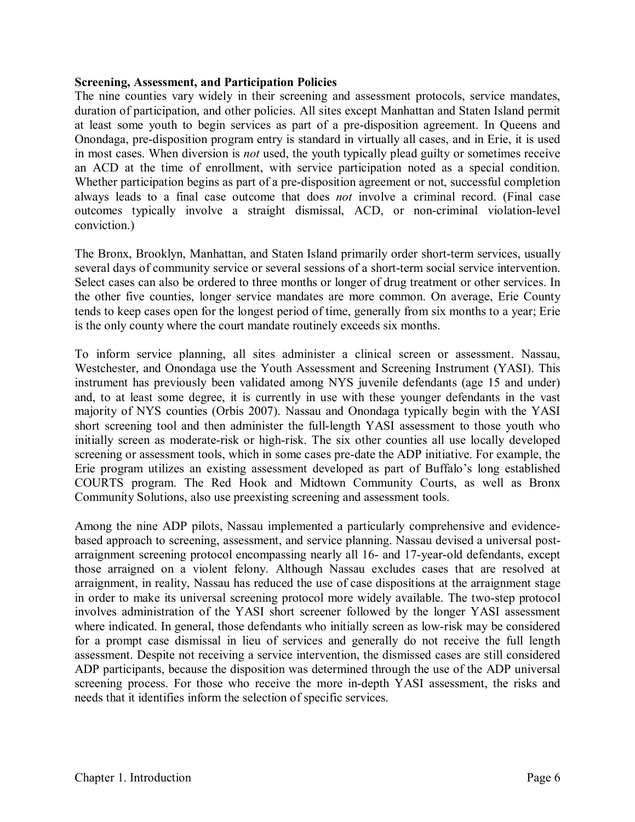#### **Screening, Assessment, and Participation Policies**

The nine counties vary widely in their screening and assessment protocols, service mandates, duration of participation, and other policies. All sites except Manhattan and Staten Island permit at least some youth to begin services as part of a pre-disposition agreement. In Queens and Onondaga, pre-disposition program entry is standard in virtually all cases, and in Erie, it is used in most cases. When diversion is *not* used, the youth typically plead guilty or sometimes receive an ACD at the time of enrollment, with service participation noted as a special condition. Whether participation begins as part of a pre-disposition agreement or not, successful completion always leads to a final case outcome that does *not* involve a criminal record. (Final case outcomes typically involve a straight dismissal, ACD, or non-criminal violation-level conviction.)

The Bronx, Brooklyn, Manhattan, and Staten Island primarily order short-term services, usually several days of community service or several sessions of a short-term social service intervention. Select cases can also be ordered to three months or longer of drug treatment or other services. In the other five counties, longer service mandates are more common. On average, Erie County tends to keep cases open for the longest period of time, generally from six months to a year; Erie is the only county where the court mandate routinely exceeds six months.

To inform service planning, all sites administer a clinical screen or assessment. Nassau, Westchester, and Onondaga use the Youth Assessment and Screening Instrument (YASI). This instrument has previously been validated among NYS juvenile defendants (age 15 and under) and, to at least some degree, it is currently in use with these younger defendants in the vast majority of NYS counties (Orbis 2007). Nassau and Onondaga typically begin with the YASI short screening tool and then administer the full-length YASI assessment to those youth who initially screen as moderate-risk or high-risk. The six other counties all use locally developed screening or assessment tools, which in some cases pre-date the ADP initiative. For example, the Erie program utilizes an existing assessment developed as part of Buffalo's long established COURTS program. The Red Hook and Midtown Community Courts, as well as Bronx Community Solutions, also use preexisting screening and assessment tools.

Among the nine ADP pilots, Nassau implemented a particularly comprehensive and evidencebased approach to screening, assessment, and service planning. Nassau devised a universal postarraignment screening protocol encompassing nearly all 16- and 17-year-old defendants, except those arraigned on a violent felony. Although Nassau excludes cases that are resolved at arraignment, in reality, Nassau has reduced the use of case dispositions at the arraignment stage in order to make its universal screening protocol more widely available. The two-step protocol involves administration of the YASI short screener followed by the longer YASI assessment where indicated. In general, those defendants who initially screen as low-risk may be considered for a prompt case dismissal in lieu of services and generally do not receive the full length assessment. Despite not receiving a service intervention, the dismissed cases are still considered ADP participants, because the disposition was determined through the use of the ADP universal screening process. For those who receive the more in-depth YASI assessment, the risks and needs that it identifies inform the selection of specific services.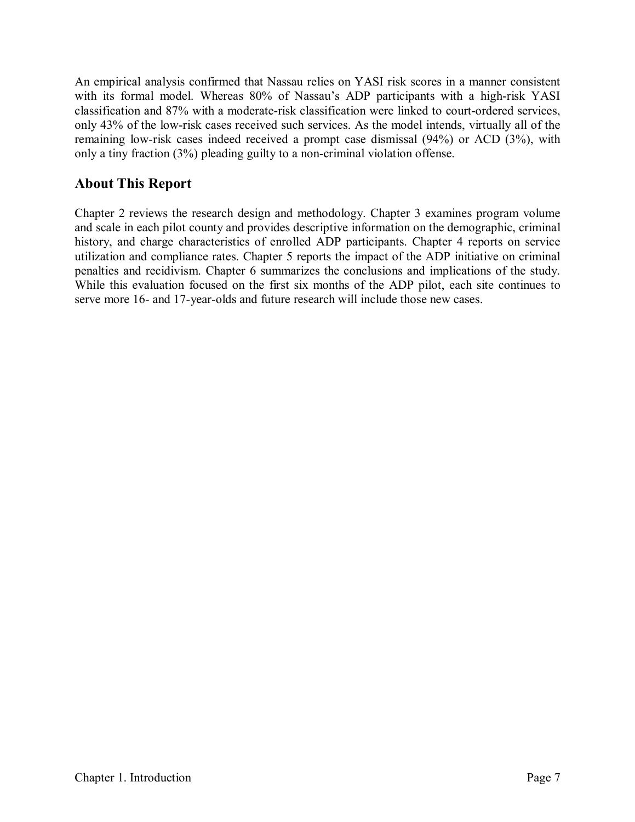An empirical analysis confirmed that Nassau relies on YASI risk scores in a manner consistent with its formal model. Whereas 80% of Nassau's ADP participants with a high-risk YASI classification and 87% with a moderate-risk classification were linked to court-ordered services, only 43% of the low-risk cases received such services. As the model intends, virtually all of the remaining low-risk cases indeed received a prompt case dismissal (94%) or ACD (3%), with only a tiny fraction (3%) pleading guilty to a non-criminal violation offense.

## **About This Report**

Chapter 2 reviews the research design and methodology. Chapter 3 examines program volume and scale in each pilot county and provides descriptive information on the demographic, criminal history, and charge characteristics of enrolled ADP participants. Chapter 4 reports on service utilization and compliance rates. Chapter 5 reports the impact of the ADP initiative on criminal penalties and recidivism. Chapter 6 summarizes the conclusions and implications of the study. While this evaluation focused on the first six months of the ADP pilot, each site continues to serve more 16- and 17-year-olds and future research will include those new cases.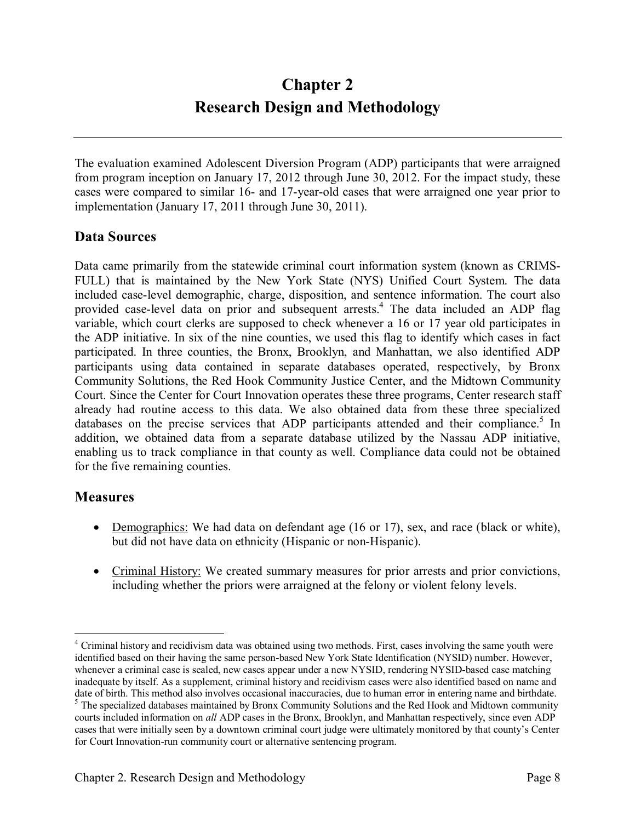# **Chapter 2 Research Design and Methodology**

The evaluation examined Adolescent Diversion Program (ADP) participants that were arraigned from program inception on January 17, 2012 through June 30, 2012. For the impact study, these cases were compared to similar 16- and 17-year-old cases that were arraigned one year prior to implementation (January 17, 2011 through June 30, 2011).

## **Data Sources**

Data came primarily from the statewide criminal court information system (known as CRIMS-FULL) that is maintained by the New York State (NYS) Unified Court System. The data included case-level demographic, charge, disposition, and sentence information. The court also provided case-level data on prior and subsequent arrests.<sup>4</sup> The data included an ADP flag variable, which court clerks are supposed to check whenever a 16 or 17 year old participates in the ADP initiative. In six of the nine counties, we used this flag to identify which cases in fact participated. In three counties, the Bronx, Brooklyn, and Manhattan, we also identified ADP participants using data contained in separate databases operated, respectively, by Bronx Community Solutions, the Red Hook Community Justice Center, and the Midtown Community Court. Since the Center for Court Innovation operates these three programs, Center research staff already had routine access to this data. We also obtained data from these three specialized databases on the precise services that ADP participants attended and their compliance.<sup>5</sup> In addition, we obtained data from a separate database utilized by the Nassau ADP initiative, enabling us to track compliance in that county as well. Compliance data could not be obtained for the five remaining counties.

#### **Measures**

- Demographics: We had data on defendant age (16 or 17), sex, and race (black or white), but did not have data on ethnicity (Hispanic or non-Hispanic).
- Criminal History: We created summary measures for prior arrests and prior convictions, including whether the priors were arraigned at the felony or violent felony levels.

<sup>&</sup>lt;sup>4</sup> Criminal history and recidivism data was obtained using two methods. First, cases involving the same youth were identified based on their having the same person-based New York State Identification (NYSID) number. However, whenever a criminal case is sealed, new cases appear under a new NYSID, rendering NYSID-based case matching inadequate by itself. As a supplement, criminal history and recidivism cases were also identified based on name and date of birth. This method also involves occasional inaccuracies, due to human error in entering name and birthdate. <sup>5</sup> The specialized databases maintained by Bronx Community Solutions and the Red Hook and Midtown community courts included information on *all* ADP cases in the Bronx, Brooklyn, and Manhattan respectively, since even ADP cases that were initially seen by a downtown criminal court judge were ultimately monitored by that county's Center for Court Innovation-run community court or alternative sentencing program.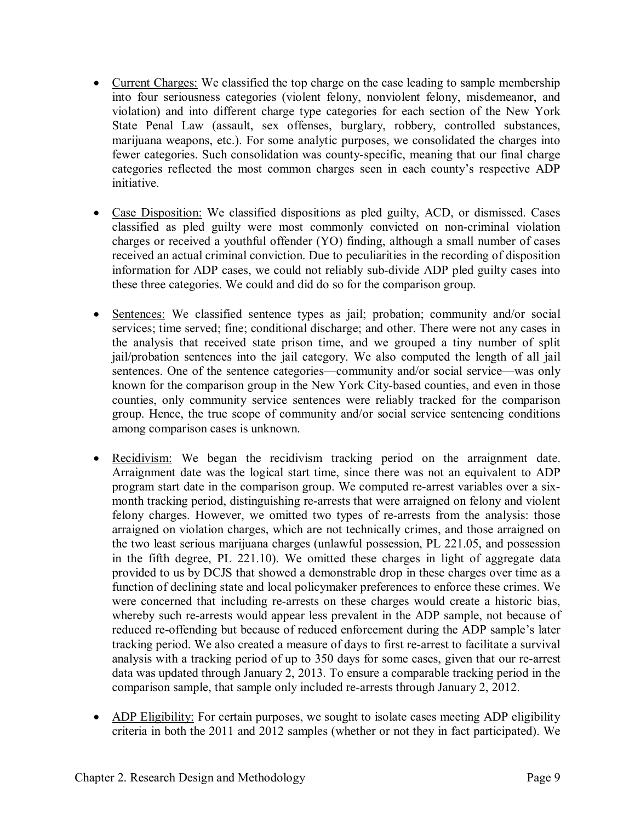- Current Charges: We classified the top charge on the case leading to sample membership into four seriousness categories (violent felony, nonviolent felony, misdemeanor, and violation) and into different charge type categories for each section of the New York State Penal Law (assault, sex offenses, burglary, robbery, controlled substances, marijuana weapons, etc.). For some analytic purposes, we consolidated the charges into fewer categories. Such consolidation was county-specific, meaning that our final charge categories reflected the most common charges seen in each county's respective ADP initiative.
- Case Disposition: We classified dispositions as pled guilty, ACD, or dismissed. Cases classified as pled guilty were most commonly convicted on non-criminal violation charges or received a youthful offender (YO) finding, although a small number of cases received an actual criminal conviction. Due to peculiarities in the recording of disposition information for ADP cases, we could not reliably sub-divide ADP pled guilty cases into these three categories. We could and did do so for the comparison group.
- Sentences: We classified sentence types as jail; probation; community and/or social services; time served; fine; conditional discharge; and other. There were not any cases in the analysis that received state prison time, and we grouped a tiny number of split jail/probation sentences into the jail category. We also computed the length of all jail sentences. One of the sentence categories—community and/or social service—was only known for the comparison group in the New York City-based counties, and even in those counties, only community service sentences were reliably tracked for the comparison group. Hence, the true scope of community and/or social service sentencing conditions among comparison cases is unknown.
- Recidivism: We began the recidivism tracking period on the arraignment date. Arraignment date was the logical start time, since there was not an equivalent to ADP program start date in the comparison group. We computed re-arrest variables over a sixmonth tracking period, distinguishing re-arrests that were arraigned on felony and violent felony charges. However, we omitted two types of re-arrests from the analysis: those arraigned on violation charges, which are not technically crimes, and those arraigned on the two least serious marijuana charges (unlawful possession, PL 221.05, and possession in the fifth degree, PL 221.10). We omitted these charges in light of aggregate data provided to us by DCJS that showed a demonstrable drop in these charges over time as a function of declining state and local policymaker preferences to enforce these crimes. We were concerned that including re-arrests on these charges would create a historic bias, whereby such re-arrests would appear less prevalent in the ADP sample, not because of reduced re-offending but because of reduced enforcement during the ADP sample's later tracking period. We also created a measure of days to first re-arrest to facilitate a survival analysis with a tracking period of up to 350 days for some cases, given that our re-arrest data was updated through January 2, 2013. To ensure a comparable tracking period in the comparison sample, that sample only included re-arrests through January 2, 2012.
- ADP Eligibility: For certain purposes, we sought to isolate cases meeting ADP eligibility criteria in both the 2011 and 2012 samples (whether or not they in fact participated). We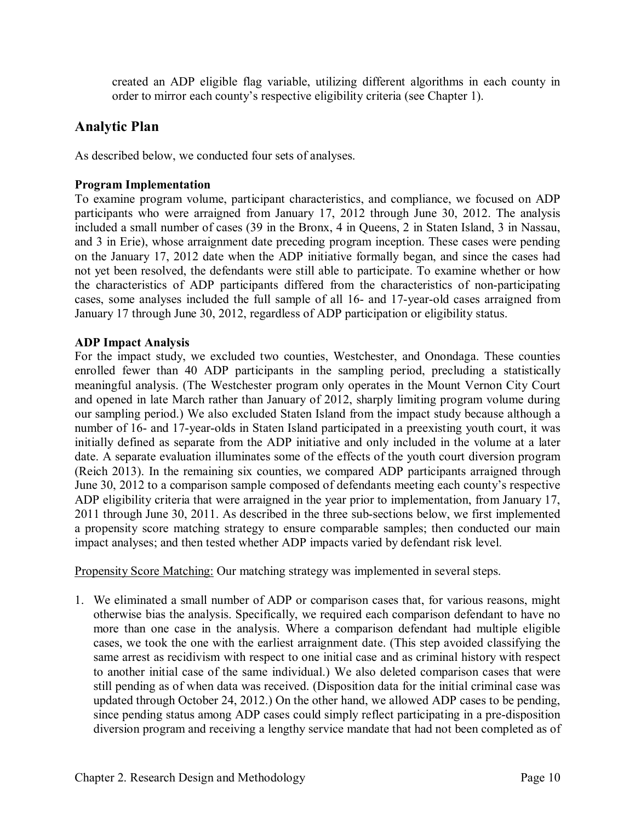created an ADP eligible flag variable, utilizing different algorithms in each county in order to mirror each county's respective eligibility criteria (see Chapter 1).

## **Analytic Plan**

As described below, we conducted four sets of analyses.

#### **Program Implementation**

To examine program volume, participant characteristics, and compliance, we focused on ADP participants who were arraigned from January 17, 2012 through June 30, 2012. The analysis included a small number of cases (39 in the Bronx, 4 in Queens, 2 in Staten Island, 3 in Nassau, and 3 in Erie), whose arraignment date preceding program inception. These cases were pending on the January 17, 2012 date when the ADP initiative formally began, and since the cases had not yet been resolved, the defendants were still able to participate. To examine whether or how the characteristics of ADP participants differed from the characteristics of non-participating cases, some analyses included the full sample of all 16- and 17-year-old cases arraigned from January 17 through June 30, 2012, regardless of ADP participation or eligibility status.

#### **ADP Impact Analysis**

For the impact study, we excluded two counties, Westchester, and Onondaga. These counties enrolled fewer than 40 ADP participants in the sampling period, precluding a statistically meaningful analysis. (The Westchester program only operates in the Mount Vernon City Court and opened in late March rather than January of 2012, sharply limiting program volume during our sampling period.) We also excluded Staten Island from the impact study because although a number of 16- and 17-year-olds in Staten Island participated in a preexisting youth court, it was initially defined as separate from the ADP initiative and only included in the volume at a later date. A separate evaluation illuminates some of the effects of the youth court diversion program (Reich 2013). In the remaining six counties, we compared ADP participants arraigned through June 30, 2012 to a comparison sample composed of defendants meeting each county's respective ADP eligibility criteria that were arraigned in the year prior to implementation, from January 17, 2011 through June 30, 2011. As described in the three sub-sections below, we first implemented a propensity score matching strategy to ensure comparable samples; then conducted our main impact analyses; and then tested whether ADP impacts varied by defendant risk level.

Propensity Score Matching: Our matching strategy was implemented in several steps.

1. We eliminated a small number of ADP or comparison cases that, for various reasons, might otherwise bias the analysis. Specifically, we required each comparison defendant to have no more than one case in the analysis. Where a comparison defendant had multiple eligible cases, we took the one with the earliest arraignment date. (This step avoided classifying the same arrest as recidivism with respect to one initial case and as criminal history with respect to another initial case of the same individual.) We also deleted comparison cases that were still pending as of when data was received. (Disposition data for the initial criminal case was updated through October 24, 2012.) On the other hand, we allowed ADP cases to be pending, since pending status among ADP cases could simply reflect participating in a pre-disposition diversion program and receiving a lengthy service mandate that had not been completed as of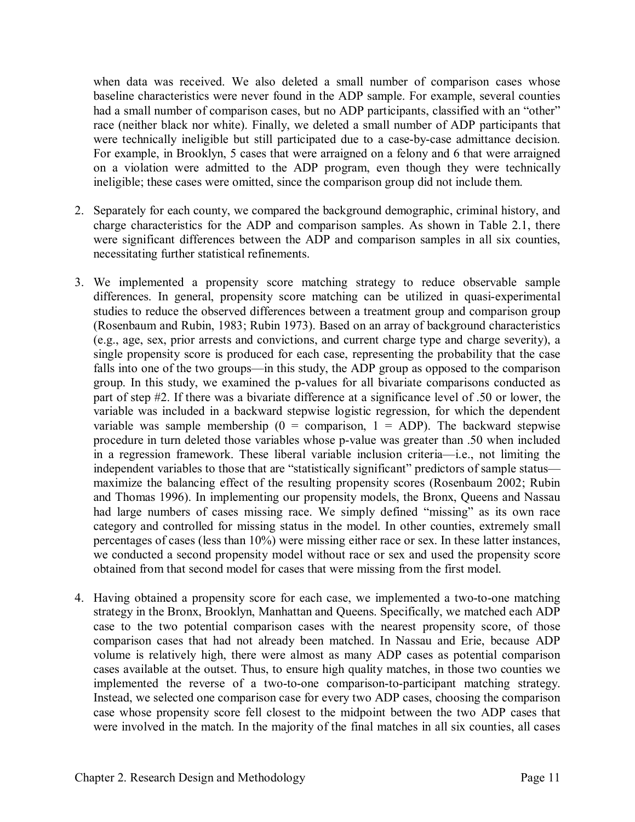when data was received. We also deleted a small number of comparison cases whose baseline characteristics were never found in the ADP sample. For example, several counties had a small number of comparison cases, but no ADP participants, classified with an "other" race (neither black nor white). Finally, we deleted a small number of ADP participants that were technically ineligible but still participated due to a case-by-case admittance decision. For example, in Brooklyn, 5 cases that were arraigned on a felony and 6 that were arraigned on a violation were admitted to the ADP program, even though they were technically ineligible; these cases were omitted, since the comparison group did not include them.

- 2. Separately for each county, we compared the background demographic, criminal history, and charge characteristics for the ADP and comparison samples. As shown in Table 2.1, there were significant differences between the ADP and comparison samples in all six counties, necessitating further statistical refinements.
- 3. We implemented a propensity score matching strategy to reduce observable sample differences. In general, propensity score matching can be utilized in quasi-experimental studies to reduce the observed differences between a treatment group and comparison group (Rosenbaum and Rubin, 1983; Rubin 1973). Based on an array of background characteristics (e.g., age, sex, prior arrests and convictions, and current charge type and charge severity), a single propensity score is produced for each case, representing the probability that the case falls into one of the two groups—in this study, the ADP group as opposed to the comparison group. In this study, we examined the p-values for all bivariate comparisons conducted as part of step #2. If there was a bivariate difference at a significance level of .50 or lower, the variable was included in a backward stepwise logistic regression, for which the dependent variable was sample membership ( $0 =$  comparison,  $1 =$  ADP). The backward stepwise procedure in turn deleted those variables whose p-value was greater than .50 when included in a regression framework. These liberal variable inclusion criteria—i.e., not limiting the independent variables to those that are "statistically significant" predictors of sample status maximize the balancing effect of the resulting propensity scores (Rosenbaum 2002; Rubin and Thomas 1996). In implementing our propensity models, the Bronx, Queens and Nassau had large numbers of cases missing race. We simply defined "missing" as its own race category and controlled for missing status in the model. In other counties, extremely small percentages of cases (less than 10%) were missing either race or sex. In these latter instances, we conducted a second propensity model without race or sex and used the propensity score obtained from that second model for cases that were missing from the first model.
- 4. Having obtained a propensity score for each case, we implemented a two-to-one matching strategy in the Bronx, Brooklyn, Manhattan and Queens. Specifically, we matched each ADP case to the two potential comparison cases with the nearest propensity score, of those comparison cases that had not already been matched. In Nassau and Erie, because ADP volume is relatively high, there were almost as many ADP cases as potential comparison cases available at the outset. Thus, to ensure high quality matches, in those two counties we implemented the reverse of a two-to-one comparison-to-participant matching strategy. Instead, we selected one comparison case for every two ADP cases, choosing the comparison case whose propensity score fell closest to the midpoint between the two ADP cases that were involved in the match. In the majority of the final matches in all six counties, all cases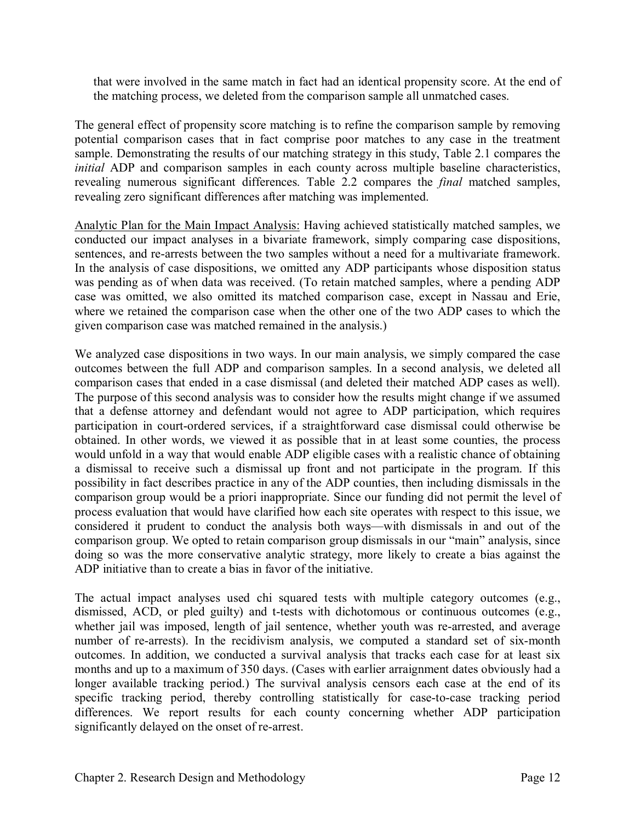that were involved in the same match in fact had an identical propensity score. At the end of the matching process, we deleted from the comparison sample all unmatched cases.

The general effect of propensity score matching is to refine the comparison sample by removing potential comparison cases that in fact comprise poor matches to any case in the treatment sample. Demonstrating the results of our matching strategy in this study, Table 2.1 compares the *initial* ADP and comparison samples in each county across multiple baseline characteristics, revealing numerous significant differences. Table 2.2 compares the *final* matched samples, revealing zero significant differences after matching was implemented.

Analytic Plan for the Main Impact Analysis: Having achieved statistically matched samples, we conducted our impact analyses in a bivariate framework, simply comparing case dispositions, sentences, and re-arrests between the two samples without a need for a multivariate framework. In the analysis of case dispositions, we omitted any ADP participants whose disposition status was pending as of when data was received. (To retain matched samples, where a pending ADP case was omitted, we also omitted its matched comparison case, except in Nassau and Erie, where we retained the comparison case when the other one of the two ADP cases to which the given comparison case was matched remained in the analysis.)

We analyzed case dispositions in two ways. In our main analysis, we simply compared the case outcomes between the full ADP and comparison samples. In a second analysis, we deleted all comparison cases that ended in a case dismissal (and deleted their matched ADP cases as well). The purpose of this second analysis was to consider how the results might change if we assumed that a defense attorney and defendant would not agree to ADP participation, which requires participation in court-ordered services, if a straightforward case dismissal could otherwise be obtained. In other words, we viewed it as possible that in at least some counties, the process would unfold in a way that would enable ADP eligible cases with a realistic chance of obtaining a dismissal to receive such a dismissal up front and not participate in the program. If this possibility in fact describes practice in any of the ADP counties, then including dismissals in the comparison group would be a priori inappropriate. Since our funding did not permit the level of process evaluation that would have clarified how each site operates with respect to this issue, we considered it prudent to conduct the analysis both ways—with dismissals in and out of the comparison group. We opted to retain comparison group dismissals in our "main" analysis, since doing so was the more conservative analytic strategy, more likely to create a bias against the ADP initiative than to create a bias in favor of the initiative.

The actual impact analyses used chi squared tests with multiple category outcomes (e.g., dismissed, ACD, or pled guilty) and t-tests with dichotomous or continuous outcomes (e.g., whether jail was imposed, length of jail sentence, whether youth was re-arrested, and average number of re-arrests). In the recidivism analysis, we computed a standard set of six-month outcomes. In addition, we conducted a survival analysis that tracks each case for at least six months and up to a maximum of 350 days. (Cases with earlier arraignment dates obviously had a longer available tracking period.) The survival analysis censors each case at the end of its specific tracking period, thereby controlling statistically for case-to-case tracking period differences. We report results for each county concerning whether ADP participation significantly delayed on the onset of re-arrest.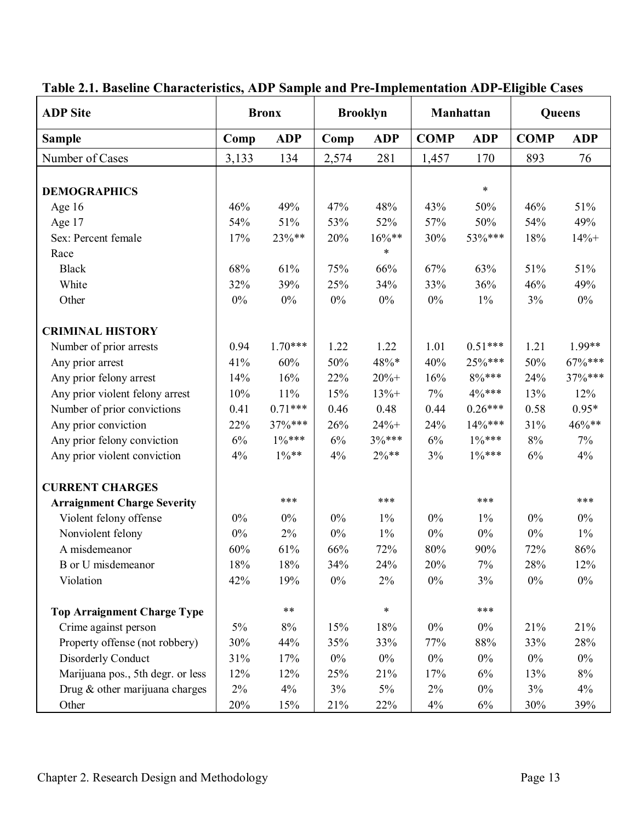| <b>ADP</b> Site                    |       | <b>Bronx</b> | <b>Brooklyn</b> |                           |       | Manhattan  | Queens      |            |  |
|------------------------------------|-------|--------------|-----------------|---------------------------|-------|------------|-------------|------------|--|
| <b>Sample</b>                      | Comp  | <b>ADP</b>   | Comp            | <b>COMP</b><br><b>ADP</b> |       | <b>ADP</b> | <b>COMP</b> | <b>ADP</b> |  |
| Number of Cases                    | 3,133 | 134          | 2,574           | 281                       | 1,457 | 170        | 893         | 76         |  |
|                                    |       |              |                 |                           |       |            |             |            |  |
| <b>DEMOGRAPHICS</b>                |       |              |                 |                           |       | $\ast$     |             |            |  |
| Age $16$                           | 46%   | 49%          | 47%             | 48%                       | 43%   | 50%        | 46%         | 51%        |  |
| Age 17                             | 54%   | 51%          | 53%             | 52%                       | 57%   | 50%        | 54%         | 49%        |  |
| Sex: Percent female                | 17%   | 23%**        | 20%             | $16\%**$                  | 30%   | 53%***     | 18%         | $14% +$    |  |
| Race                               |       |              |                 | $\ast$                    |       |            |             |            |  |
| <b>Black</b>                       | 68%   | 61%          | 75%             | 66%                       | 67%   | 63%        | 51%         | 51%        |  |
| White                              | 32%   | 39%          | 25%             | 34%                       | 33%   | 36%        | 46%         | 49%        |  |
| Other                              | $0\%$ | $0\%$        | $0\%$           | $0\%$                     | $0\%$ | $1\%$      | 3%          | $0\%$      |  |
| <b>CRIMINAL HISTORY</b>            |       |              |                 |                           |       |            |             |            |  |
| Number of prior arrests            | 0.94  | $1.70***$    | 1.22            | 1.22                      | 1.01  | $0.51***$  | 1.21        | 1.99**     |  |
| Any prior arrest                   | 41%   | 60%          | 50%             | 48%*                      | 40%   | 25%***     | 50%         | 67%***     |  |
| Any prior felony arrest            | 14%   | 16%          | 22%             | $20% +$                   | 16%   | $8\%***$   | 24%         | 37%***     |  |
| Any prior violent felony arrest    | 10%   | 11%          | 15%             | $13% +$                   | 7%    | 4%***      | 13%         | 12%        |  |
| Number of prior convictions        | 0.41  | $0.71***$    | 0.46            | 0.48                      | 0.44  | $0.26***$  | 0.58        | $0.95*$    |  |
| Any prior conviction               | 22%   | 37%***       | 26%             | $24% +$                   | 24%   | 14%***     | 31%         | 46%**      |  |
| Any prior felony conviction        | 6%    | $1\%***$     | 6%              | 3%***                     | 6%    | $1\%***$   | $8\%$       | 7%         |  |
| Any prior violent conviction       | 4%    | $1\%**$      | 4%              | $2\%**$                   | 3%    | $1\%***$   | 6%          | 4%         |  |
| <b>CURRENT CHARGES</b>             |       |              |                 |                           |       |            |             |            |  |
| <b>Arraignment Charge Severity</b> |       | ***          |                 | ***                       |       | ***        |             | ***        |  |
| Violent felony offense             | $0\%$ | $0\%$        | $0\%$           | 1%                        | $0\%$ | $1\%$      | $0\%$       | $0\%$      |  |
| Nonviolent felony                  | $0\%$ | $2\%$        | $0\%$           | $1\%$                     | $0\%$ | $0\%$      | $0\%$       | $1\%$      |  |
| A misdemeanor                      | 60%   | 61%          | 66%             | 72%                       | 80%   | 90%        | 72%         | 86%        |  |
| B or U misdemeanor                 | 18%   | $18\%$       | 34%             | 24%                       | 20%   | $7\%$      | 28%         | 12%        |  |
| Violation                          | 42%   | 19%          | $0\%$           | 2%                        | $0\%$ | 3%         | $0\%$       | $0\%$      |  |
|                                    |       | $***$        |                 | $\ast$                    |       | ***        |             |            |  |
| <b>Top Arraignment Charge Type</b> |       |              |                 |                           |       |            |             |            |  |
| Crime against person               | 5%    | $8\%$        | 15%             | 18%                       | $0\%$ | $0\%$      | 21%         | 21%        |  |
| Property offense (not robbery)     | 30%   | 44%          | 35%             | 33%                       | 77%   | 88%        | 33%         | 28%        |  |
| Disorderly Conduct                 | 31%   | 17%          | $0\%$           | $0\%$                     | $0\%$ | $0\%$      | $0\%$       | $0\%$      |  |
| Marijuana pos., 5th degr. or less  | 12%   | 12%          | 25%             | 21%                       | 17%   | 6%         | 13%         | $8\%$      |  |
| Drug & other marijuana charges     | 2%    | 4%           | 3%              | $5\%$                     | $2\%$ | $0\%$      | 3%          | 4%         |  |
| Other                              | 20%   | 15%          | 21%             | 22%                       | 4%    | 6%         | 30%         | 39%        |  |

# **Table 2.1. Baseline Characteristics, ADP Sample and Pre-Implementation ADP-Eligible Cases**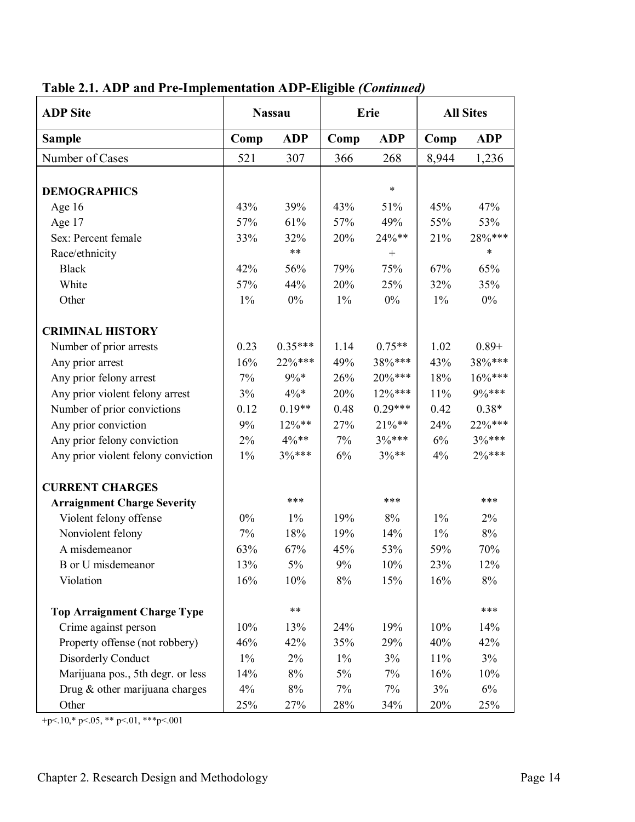| <b>ADP</b> Site                     | <b>Nassau</b> |            |       | Erie       | <b>All Sites</b> |            |  |
|-------------------------------------|---------------|------------|-------|------------|------------------|------------|--|
| <b>Sample</b>                       | Comp          | <b>ADP</b> | Comp  | <b>ADP</b> | Comp             | <b>ADP</b> |  |
| Number of Cases                     | 521           | 307        | 366   | 268        | 8,944            | 1,236      |  |
|                                     |               |            |       |            |                  |            |  |
| <b>DEMOGRAPHICS</b>                 |               |            |       | $\ast$     |                  |            |  |
| Age 16                              | 43%           | 39%        | 43%   | 51%        | 45%              | 47%        |  |
| Age 17                              | 57%           | 61%        | 57%   | 49%        | 55%              | 53%        |  |
| Sex: Percent female                 | 33%           | 32%        | 20%   | 24%**      | 21%              | 28%***     |  |
| Race/ethnicity                      |               | $***$      |       | $^{+}$     |                  | $\ast$     |  |
| <b>Black</b>                        | 42%           | 56%        | 79%   | 75%        | 67%              | 65%        |  |
| White                               | 57%           | 44%        | 20%   | 25%        | 32%              | 35%        |  |
| Other                               | $1\%$         | $0\%$      | $1\%$ | $0\%$      | 1%               | $0\%$      |  |
| <b>CRIMINAL HISTORY</b>             |               |            |       |            |                  |            |  |
| Number of prior arrests             | 0.23          | $0.35***$  | 1.14  | $0.75**$   | 1.02             | $0.89 +$   |  |
| Any prior arrest                    | 16%           | 22%***     | 49%   | 38%***     | 43%              | 38%***     |  |
| Any prior felony arrest             | 7%            | $9\% *$    | 26%   | $20\%***$  | 18%              | $16\%***$  |  |
| Any prior violent felony arrest     | 3%            | $4\% *$    | 20%   | $12\%***$  | 11%              | 9%***      |  |
| Number of prior convictions         | 0.12          | $0.19**$   | 0.48  | $0.29***$  | 0.42             | $0.38*$    |  |
| Any prior conviction                | 9%            | $12\%**$   | 27%   | $21\%**$   | 24%              | $22\%***$  |  |
| Any prior felony conviction         | 2%            | $4\%**$    | 7%    | $3%***$    | 6%               | $3\%***$   |  |
| Any prior violent felony conviction | $1\%$         | $3%***$    | 6%    | $3\%**$    | 4%               | $2\%***$   |  |
| <b>CURRENT CHARGES</b>              |               |            |       |            |                  |            |  |
| <b>Arraignment Charge Severity</b>  |               | ***        |       | ***        |                  | ***        |  |
| Violent felony offense              | $0\%$         | $1\%$      | 19%   | 8%         | $1\%$            | $2\%$      |  |
| Nonviolent felony                   | 7%            | 18%        | 19%   | 14%        | $1\%$            | 8%         |  |
| A misdemeanor                       | 63%           | 67%        | 45%   | 53%        | 59%              | 70%        |  |
| B or U misdemeanor                  | 13%           | 5%         | 9%    | 10%        | 23%              | 12%        |  |
| Violation                           | 16%           | 10%        | $8\%$ | 15%        | 16%              | 8%         |  |
| <b>Top Arraignment Charge Type</b>  |               | $***$      |       |            |                  | ***        |  |
| Crime against person                | 10%           | 13%        | 24%   | 19%        | 10%              | 14%        |  |
| Property offense (not robbery)      | 46%           | 42%        | 35%   | 29%        | 40%              | 42%        |  |
| <b>Disorderly Conduct</b>           | $1\%$         | 2%         | $1\%$ | 3%         | 11%              | 3%         |  |
| Marijuana pos., 5th degr. or less   | 14%           | $8\%$      | 5%    | 7%         | 16%              | 10%        |  |
| Drug & other marijuana charges      | 4%            | $8\%$      | 7%    | 7%         | 3%               | $6\%$      |  |
| Other                               | 25%           | 27%        | 28%   | 34%        | 20%              | 25%        |  |

# **Table 2.1. ADP and Pre-Implementation ADP-Eligible** *(Continued)*

+p<.10,\* p<.05, \*\* p<.01, \*\*\*p<.001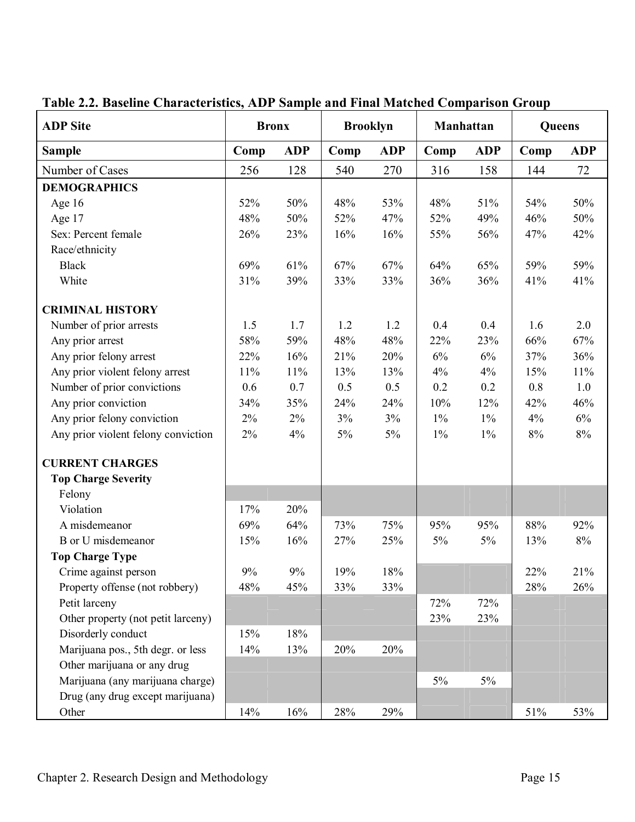| <b>ADP</b> Site                     | <b>Bronx</b> |            | <b>Brooklyn</b> |            | Manhattan |            | Queens |            |
|-------------------------------------|--------------|------------|-----------------|------------|-----------|------------|--------|------------|
| <b>Sample</b>                       | Comp         | <b>ADP</b> | Comp            | <b>ADP</b> | Comp      | <b>ADP</b> | Comp   | <b>ADP</b> |
| Number of Cases                     | 256          | 128        | 540             | 270        | 316       | 158        | 144    | 72         |
| <b>DEMOGRAPHICS</b>                 |              |            |                 |            |           |            |        |            |
| Age 16                              | 52%          | 50%        | 48%             | 53%        | 48%       | 51%        | 54%    | 50%        |
| Age 17                              | 48%          | 50%        | 52%             | 47%        | 52%       | 49%        | 46%    | 50%        |
| Sex: Percent female                 | 26%          | 23%        | 16%             | 16%        | 55%       | 56%        | 47%    | 42%        |
| Race/ethnicity                      |              |            |                 |            |           |            |        |            |
| <b>Black</b>                        | 69%          | 61%        | 67%             | 67%        | 64%       | 65%        | 59%    | 59%        |
| White                               | 31%          | 39%        | 33%             | 33%        | 36%       | 36%        | 41%    | 41%        |
| <b>CRIMINAL HISTORY</b>             |              |            |                 |            |           |            |        |            |
| Number of prior arrests             | 1.5          | 1.7        | 1.2             | 1.2        | 0.4       | 0.4        | 1.6    | 2.0        |
| Any prior arrest                    | 58%          | 59%        | 48%             | 48%        | 22%       | 23%        | 66%    | 67%        |
| Any prior felony arrest             | 22%          | 16%        | 21%             | 20%        | 6%        | 6%         | 37%    | 36%        |
| Any prior violent felony arrest     | 11%          | 11%        | 13%             | 13%        | $4\%$     | $4\%$      | 15%    | $11\%$     |
| Number of prior convictions         | 0.6          | 0.7        | 0.5             | 0.5        | 0.2       | 0.2        | 0.8    | 1.0        |
| Any prior conviction                | 34%          | 35%        | 24%             | 24%        | 10%       | 12%        | 42%    | 46%        |
| Any prior felony conviction         | $2\%$        | $2\%$      | 3%              | 3%         | $1\%$     | $1\%$      | 4%     | $6\%$      |
| Any prior violent felony conviction | 2%           | 4%         | $5\%$           | $5\%$      | $1\%$     | $1\%$      | $8\%$  | $8\%$      |
| <b>CURRENT CHARGES</b>              |              |            |                 |            |           |            |        |            |
| <b>Top Charge Severity</b>          |              |            |                 |            |           |            |        |            |
| Felony                              |              |            |                 |            |           |            |        |            |
| Violation                           | 17%          | 20%        |                 |            |           |            |        |            |
| A misdemeanor                       | 69%          | 64%        | 73%             | 75%        | 95%       | 95%        | 88%    | 92%        |
| B or U misdemeanor                  | 15%          | 16%        | 27%             | 25%        | 5%        | $5\%$      | 13%    | 8%         |
| <b>Top Charge Type</b>              |              |            |                 |            |           |            |        |            |
| Crime against person                | 9%           | 9%         | 19%             | 18%        |           |            | 22%    | 21%        |
| Property offense (not robbery)      | 48%          | 45%        | 33%             | 33%        |           |            | 28%    | 26%        |
| Petit larceny                       |              |            |                 |            | 72%       | 72%        |        |            |
| Other property (not petit larceny)  |              |            |                 |            | 23%       | 23%        |        |            |
| Disorderly conduct                  | 15%          | 18%        |                 |            |           |            |        |            |
| Marijuana pos., 5th degr. or less   | 14%          | 13%        | 20%             | 20%        |           |            |        |            |
| Other marijuana or any drug         |              |            |                 |            |           |            |        |            |
| Marijuana (any marijuana charge)    |              |            |                 |            | 5%        | 5%         |        |            |
| Drug (any drug except marijuana)    |              |            |                 |            |           |            |        |            |
| Other                               | 14%          | 16%        | 28%             | 29%        |           |            | 51%    | 53%        |

# **Table 2.2. Baseline Characteristics, ADP Sample and Final Matched Comparison Group**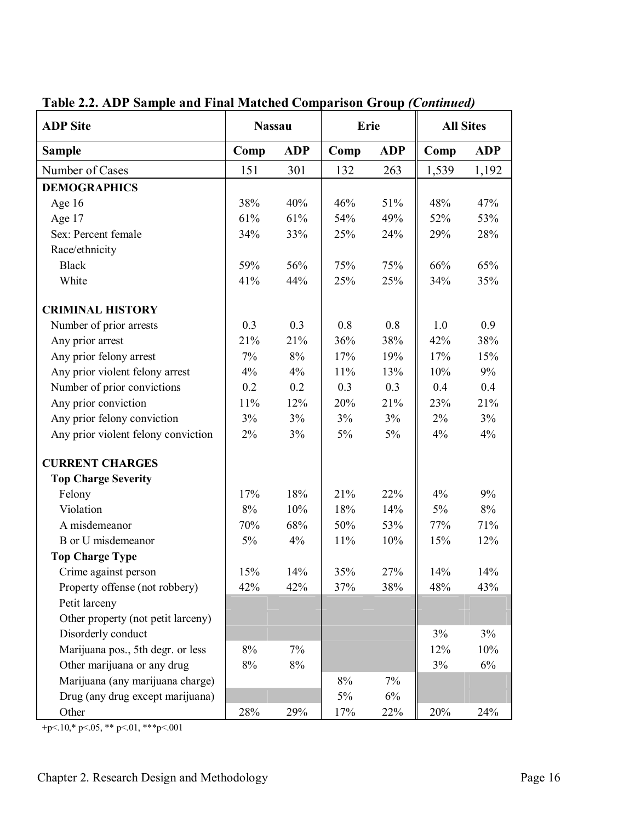| <b>ADP</b> Site                     | <b>Nassau</b>      |       | Erie  |            | <b>All Sites</b> |            |
|-------------------------------------|--------------------|-------|-------|------------|------------------|------------|
| <b>Sample</b>                       | <b>ADP</b><br>Comp |       | Comp  | <b>ADP</b> | Comp             | <b>ADP</b> |
| Number of Cases                     | 151                | 301   | 132   | 263        | 1,539            | 1,192      |
| <b>DEMOGRAPHICS</b>                 |                    |       |       |            |                  |            |
| Age 16                              | 38%                | 40%   | 46%   | 51%        | 48%              | 47%        |
| Age 17                              | 61%                | 61%   | 54%   | 49%        | 52%              | 53%        |
| Sex: Percent female                 | 34%                | 33%   | 25%   | 24%        | 29%              | 28%        |
| Race/ethnicity                      |                    |       |       |            |                  |            |
| <b>Black</b>                        | 59%                | 56%   | 75%   | 75%        | 66%              | 65%        |
| White                               | 41%                | 44%   | 25%   | 25%        | 34%              | 35%        |
| <b>CRIMINAL HISTORY</b>             |                    |       |       |            |                  |            |
| Number of prior arrests             | 0.3                | 0.3   | 0.8   | 0.8        | 1.0              | 0.9        |
| Any prior arrest                    | 21%                | 21%   | 36%   | 38%        | 42%              | 38%        |
| Any prior felony arrest             | 7%                 | 8%    | 17%   | 19%        | 17%              | 15%        |
| Any prior violent felony arrest     | 4%                 | 4%    | 11%   | 13%        | 10%              | 9%         |
| Number of prior convictions         | 0.2                | 0.2   | 0.3   | 0.3        | 0.4              | 0.4        |
| Any prior conviction                | 11%                | 12%   | 20%   | 21%        | 23%              | 21%        |
| Any prior felony conviction         | 3%                 | 3%    | 3%    | 3%         | 2%               | 3%         |
| Any prior violent felony conviction | 2%                 | 3%    | 5%    | $5\%$      | 4%               | 4%         |
| <b>CURRENT CHARGES</b>              |                    |       |       |            |                  |            |
| <b>Top Charge Severity</b>          |                    |       |       |            |                  |            |
| Felony                              | 17%                | 18%   | 21%   | 22%        | 4%               | 9%         |
| Violation                           | $8\%$              | 10%   | 18%   | 14%        | 5%               | 8%         |
| A misdemeanor                       | 70%                | 68%   | 50%   | 53%        | 77%              | 71%        |
| B or U misdemeanor                  | 5%                 | 4%    | 11%   | 10%        | 15%              | 12%        |
| <b>Top Charge Type</b>              |                    |       |       |            |                  |            |
| Crime against person                | 15%                | 14%   | 35%   | 27%        | 14%              | 14%        |
| Property offense (not robbery)      | 42%                | 42%   | 37%   | 38%        | 48%              | 43%        |
| Petit larceny                       |                    |       |       |            |                  |            |
| Other property (not petit larceny)  |                    |       |       |            |                  |            |
| Disorderly conduct                  |                    |       |       |            | 3%               | 3%         |
| Marijuana pos., 5th degr. or less   | $8\%$              | 7%    |       |            | 12%              | 10%        |
| Other marijuana or any drug         | $8\%$              | $8\%$ |       |            | 3%               | $6\%$      |
| Marijuana (any marijuana charge)    |                    |       | $8\%$ | 7%         |                  |            |
| Drug (any drug except marijuana)    |                    |       | 5%    | 6%         |                  |            |
| Other                               | 28%                | 29%   | 17%   | 22%        | 20%              | 24%        |

**Table 2.2. ADP Sample and Final Matched Comparison Group** *(Continued)*

+p<.10,\* p<.05, \*\* p<.01, \*\*\*p<.001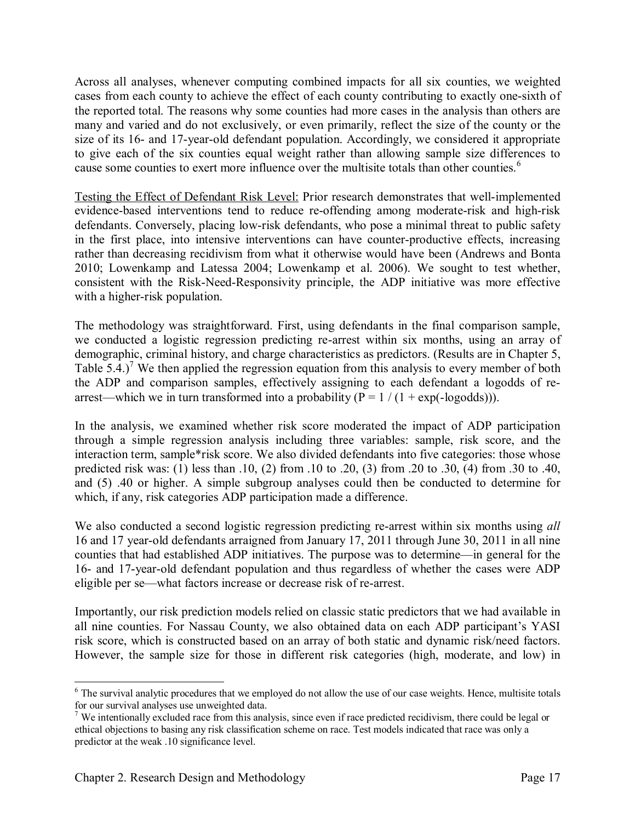Across all analyses, whenever computing combined impacts for all six counties, we weighted cases from each county to achieve the effect of each county contributing to exactly one-sixth of the reported total. The reasons why some counties had more cases in the analysis than others are many and varied and do not exclusively, or even primarily, reflect the size of the county or the size of its 16- and 17-year-old defendant population. Accordingly, we considered it appropriate to give each of the six counties equal weight rather than allowing sample size differences to cause some counties to exert more influence over the multisite totals than other counties.<sup>6</sup>

Testing the Effect of Defendant Risk Level: Prior research demonstrates that well-implemented evidence-based interventions tend to reduce re-offending among moderate-risk and high-risk defendants. Conversely, placing low-risk defendants, who pose a minimal threat to public safety in the first place, into intensive interventions can have counter-productive effects, increasing rather than decreasing recidivism from what it otherwise would have been (Andrews and Bonta 2010; Lowenkamp and Latessa 2004; Lowenkamp et al. 2006). We sought to test whether, consistent with the Risk-Need-Responsivity principle, the ADP initiative was more effective with a higher-risk population.

The methodology was straightforward. First, using defendants in the final comparison sample, we conducted a logistic regression predicting re-arrest within six months, using an array of demographic, criminal history, and charge characteristics as predictors. (Results are in Chapter 5, Table  $5.4$ .)<sup>7</sup> We then applied the regression equation from this analysis to every member of both the ADP and comparison samples, effectively assigning to each defendant a logodds of rearrest—which we in turn transformed into a probability ( $P = 1 / (1 + exp(-log odds)))$ .

In the analysis, we examined whether risk score moderated the impact of ADP participation through a simple regression analysis including three variables: sample, risk score, and the interaction term, sample\*risk score. We also divided defendants into five categories: those whose predicted risk was: (1) less than .10, (2) from .10 to .20, (3) from .20 to .30, (4) from .30 to .40, and (5) .40 or higher. A simple subgroup analyses could then be conducted to determine for which, if any, risk categories ADP participation made a difference.

We also conducted a second logistic regression predicting re-arrest within six months using *all* 16 and 17 year-old defendants arraigned from January 17, 2011 through June 30, 2011 in all nine counties that had established ADP initiatives. The purpose was to determine—in general for the 16- and 17-year-old defendant population and thus regardless of whether the cases were ADP eligible per se—what factors increase or decrease risk of re-arrest.

Importantly, our risk prediction models relied on classic static predictors that we had available in all nine counties. For Nassau County, we also obtained data on each ADP participant's YASI risk score, which is constructed based on an array of both static and dynamic risk/need factors. However, the sample size for those in different risk categories (high, moderate, and low) in

<sup>&</sup>lt;sup>6</sup> The survival analytic procedures that we employed do not allow the use of our case weights. Hence, multisite totals for our survival analyses use unweighted data.

<sup>&</sup>lt;sup>7</sup> We intentionally excluded race from this analysis, since even if race predicted recidivism, there could be legal or ethical objections to basing any risk classification scheme on race. Test models indicated that race was only a predictor at the weak .10 significance level.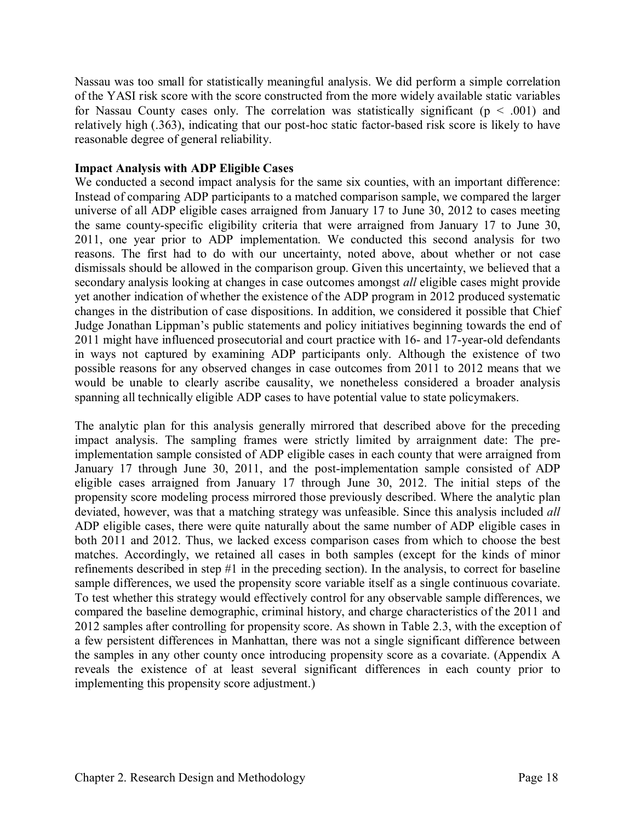Nassau was too small for statistically meaningful analysis. We did perform a simple correlation of the YASI risk score with the score constructed from the more widely available static variables for Nassau County cases only. The correlation was statistically significant ( $p < .001$ ) and relatively high (.363), indicating that our post-hoc static factor-based risk score is likely to have reasonable degree of general reliability.

#### **Impact Analysis with ADP Eligible Cases**

We conducted a second impact analysis for the same six counties, with an important difference: Instead of comparing ADP participants to a matched comparison sample, we compared the larger universe of all ADP eligible cases arraigned from January 17 to June 30, 2012 to cases meeting the same county-specific eligibility criteria that were arraigned from January 17 to June 30, 2011, one year prior to ADP implementation. We conducted this second analysis for two reasons. The first had to do with our uncertainty, noted above, about whether or not case dismissals should be allowed in the comparison group. Given this uncertainty, we believed that a secondary analysis looking at changes in case outcomes amongst *all* eligible cases might provide yet another indication of whether the existence of the ADP program in 2012 produced systematic changes in the distribution of case dispositions. In addition, we considered it possible that Chief Judge Jonathan Lippman's public statements and policy initiatives beginning towards the end of 2011 might have influenced prosecutorial and court practice with 16- and 17-year-old defendants in ways not captured by examining ADP participants only. Although the existence of two possible reasons for any observed changes in case outcomes from 2011 to 2012 means that we would be unable to clearly ascribe causality, we nonetheless considered a broader analysis spanning all technically eligible ADP cases to have potential value to state policymakers.

The analytic plan for this analysis generally mirrored that described above for the preceding impact analysis. The sampling frames were strictly limited by arraignment date: The preimplementation sample consisted of ADP eligible cases in each county that were arraigned from January 17 through June 30, 2011, and the post-implementation sample consisted of ADP eligible cases arraigned from January 17 through June 30, 2012. The initial steps of the propensity score modeling process mirrored those previously described. Where the analytic plan deviated, however, was that a matching strategy was unfeasible. Since this analysis included *all* ADP eligible cases, there were quite naturally about the same number of ADP eligible cases in both 2011 and 2012. Thus, we lacked excess comparison cases from which to choose the best matches. Accordingly, we retained all cases in both samples (except for the kinds of minor refinements described in step #1 in the preceding section). In the analysis, to correct for baseline sample differences, we used the propensity score variable itself as a single continuous covariate. To test whether this strategy would effectively control for any observable sample differences, we compared the baseline demographic, criminal history, and charge characteristics of the 2011 and 2012 samples after controlling for propensity score. As shown in Table 2.3, with the exception of a few persistent differences in Manhattan, there was not a single significant difference between the samples in any other county once introducing propensity score as a covariate. (Appendix A reveals the existence of at least several significant differences in each county prior to implementing this propensity score adjustment.)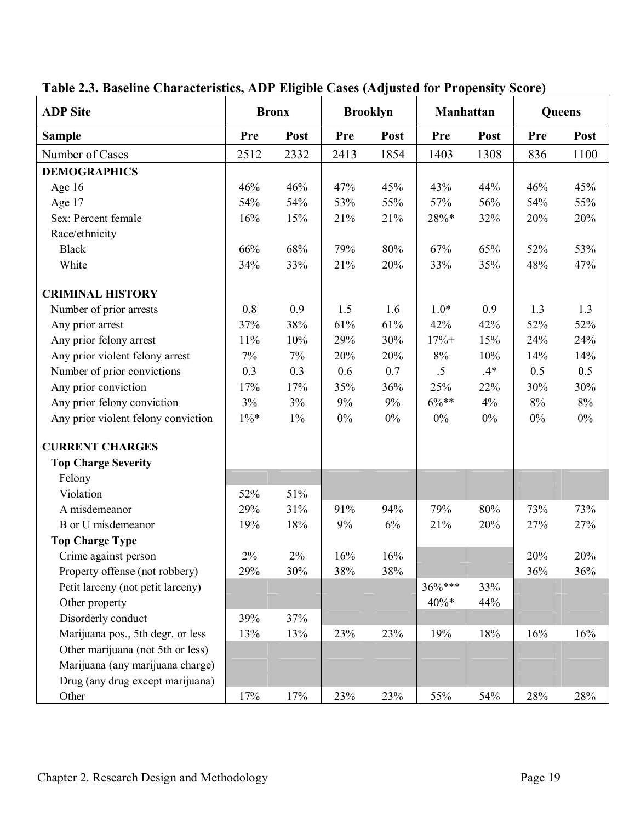| <b>ADP</b> Site                     |            | <b>Bronx</b> |       | <b>Brooklyn</b> | Manhattan |       | Queens |       |
|-------------------------------------|------------|--------------|-------|-----------------|-----------|-------|--------|-------|
| <b>Sample</b>                       | <b>Pre</b> | Post         | Pre   | Post            | Pre       | Post  | Pre    | Post  |
| Number of Cases                     | 2512       | 2332         | 2413  | 1854            | 1403      | 1308  | 836    | 1100  |
| <b>DEMOGRAPHICS</b>                 |            |              |       |                 |           |       |        |       |
| Age 16                              | 46%        | 46%          | 47%   | 45%             | 43%       | 44%   | 46%    | 45%   |
| Age 17                              | 54%        | 54%          | 53%   | 55%             | 57%       | 56%   | 54%    | 55%   |
| Sex: Percent female                 | 16%        | 15%          | 21%   | 21%             | 28%*      | 32%   | 20%    | 20%   |
| Race/ethnicity                      |            |              |       |                 |           |       |        |       |
| <b>Black</b>                        | 66%        | 68%          | 79%   | 80%             | 67%       | 65%   | 52%    | 53%   |
| White                               | 34%        | 33%          | 21%   | 20%             | 33%       | 35%   | 48%    | 47%   |
| <b>CRIMINAL HISTORY</b>             |            |              |       |                 |           |       |        |       |
| Number of prior arrests             | 0.8        | 0.9          | 1.5   | 1.6             | $1.0*$    | 0.9   | 1.3    | 1.3   |
| Any prior arrest                    | 37%        | 38%          | 61%   | 61%             | 42%       | 42%   | 52%    | 52%   |
| Any prior felony arrest             | 11%        | 10%          | 29%   | 30%             | $17% +$   | 15%   | 24%    | 24%   |
| Any prior violent felony arrest     | $7\%$      | $7\%$        | 20%   | 20%             | $8\%$     | 10%   | 14%    | 14%   |
| Number of prior convictions         | 0.3        | 0.3          | 0.6   | 0.7             | $.5\,$    | $.4*$ | 0.5    | 0.5   |
| Any prior conviction                | 17%        | 17%          | 35%   | 36%             | 25%       | 22%   | 30%    | 30%   |
| Any prior felony conviction         | 3%         | 3%           | $9\%$ | $9\%$           | $6\%**$   | 4%    | $8\%$  | $8\%$ |
| Any prior violent felony conviction | $1\% *$    | $1\%$        | $0\%$ | $0\%$           | $0\%$     | $0\%$ | $0\%$  | $0\%$ |
| <b>CURRENT CHARGES</b>              |            |              |       |                 |           |       |        |       |
| <b>Top Charge Severity</b>          |            |              |       |                 |           |       |        |       |
| Felony                              |            |              |       |                 |           |       |        |       |
| Violation                           | 52%        | 51%          |       |                 |           |       |        |       |
| A misdemeanor                       | 29%        | 31%          | 91%   | 94%             | 79%       | 80%   | 73%    | 73%   |
| B or U misdemeanor                  | 19%        | 18%          | 9%    | 6%              | 21%       | 20%   | 27%    | 27%   |
| <b>Top Charge Type</b>              |            |              |       |                 |           |       |        |       |
| Crime against person                | 2%         | 2%           | 16%   | 16%             |           |       | 20%    | 20%   |
| Property offense (not robbery)      | 29%        | 30%          | 38%   | 38%             |           |       | 36%    | 36%   |
| Petit larceny (not petit larceny)   |            |              |       |                 | 36%***    | 33%   |        |       |
| Other property                      |            |              |       |                 | $40\%*$   | 44%   |        |       |
| Disorderly conduct                  | 39%        | 37%          |       |                 |           |       |        |       |
| Marijuana pos., 5th degr. or less   | 13%        | 13%          | 23%   | 23%             | 19%       | 18%   | 16%    | 16%   |
| Other marijuana (not 5th or less)   |            |              |       |                 |           |       |        |       |
| Marijuana (any marijuana charge)    |            |              |       |                 |           |       |        |       |
| Drug (any drug except marijuana)    |            |              |       |                 |           |       |        |       |
| Other                               | 17%        | 17%          | 23%   | 23%             | 55%       | 54%   | 28%    | 28%   |

# **Table 2.3. Baseline Characteristics, ADP Eligible Cases (Adjusted for Propensity Score)**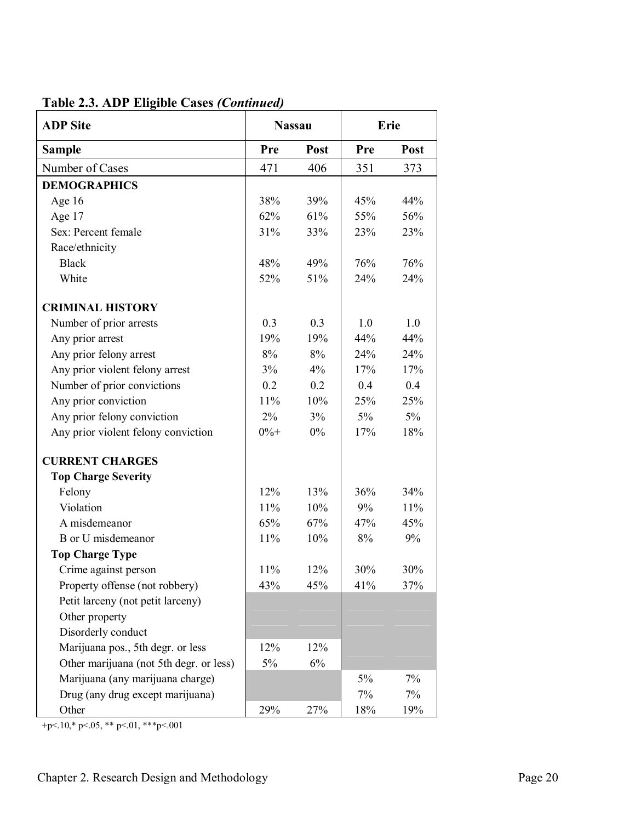| Table 2.3. ADP Eligible Cases (Continued) |  |  |
|-------------------------------------------|--|--|
|-------------------------------------------|--|--|

| <b>ADP</b> Site                         | <b>Nassau</b> |       |       | Erie  |
|-----------------------------------------|---------------|-------|-------|-------|
| <b>Sample</b>                           | Pre           | Post  | Pre   | Post  |
| Number of Cases                         | 471           | 406   | 351   | 373   |
| <b>DEMOGRAPHICS</b>                     |               |       |       |       |
| Age 16                                  | 38%           | 39%   | 45%   | 44%   |
| Age 17                                  | 62%           | 61%   | 55%   | 56%   |
| Sex: Percent female                     | 31%           | 33%   | 23%   | 23%   |
| Race/ethnicity                          |               |       |       |       |
| <b>Black</b>                            | 48%           | 49%   | 76%   | 76%   |
| White                                   | 52%           | 51%   | 24%   | 24%   |
| <b>CRIMINAL HISTORY</b>                 |               |       |       |       |
| Number of prior arrests                 | 0.3           | 0.3   | 1.0   | 1.0   |
| Any prior arrest                        | 19%           | 19%   | 44%   | 44%   |
| Any prior felony arrest                 | 8%            | 8%    | 24%   | 24%   |
| Any prior violent felony arrest         | 3%            | 4%    | 17%   | 17%   |
| Number of prior convictions             | 0.2           | 0.2   | 0.4   | 0.4   |
| Any prior conviction                    | 11%           | 10%   | 25%   | 25%   |
| Any prior felony conviction             | 2%            | 3%    | $5\%$ | $5\%$ |
| Any prior violent felony conviction     | $0\% +$       | 0%    | 17%   | 18%   |
| <b>CURRENT CHARGES</b>                  |               |       |       |       |
| <b>Top Charge Severity</b>              |               |       |       |       |
| Felony                                  | 12%           | 13%   | 36%   | 34%   |
| Violation                               | 11%           | 10%   | 9%    | 11%   |
| A misdemeanor                           | 65%           | 67%   | 47%   | 45%   |
| B or U misdemeanor                      | 11%           | 10%   | 8%    | 9%    |
| <b>Top Charge Type</b>                  |               |       |       |       |
| Crime against person                    | 11%           | 12%   | 30%   | 30%   |
| Property offense (not robbery)          | 43%           | 45%   | 41%   | 37%   |
| Petit larceny (not petit larceny)       |               |       |       |       |
| Other property                          |               |       |       |       |
| Disorderly conduct                      |               |       |       |       |
| Marijuana pos., 5th degr. or less       | 12%           | 12%   |       |       |
| Other marijuana (not 5th degr. or less) | $5\%$         | $6\%$ |       |       |
| Marijuana (any marijuana charge)        |               |       | 5%    | 7%    |
| Drug (any drug except marijuana)        |               |       | 7%    | $7\%$ |
| Other                                   | 29%           | 27%   | 18%   | 19%   |

+p<.10,\* p<.05, \*\* p<.01, \*\*\*p<.001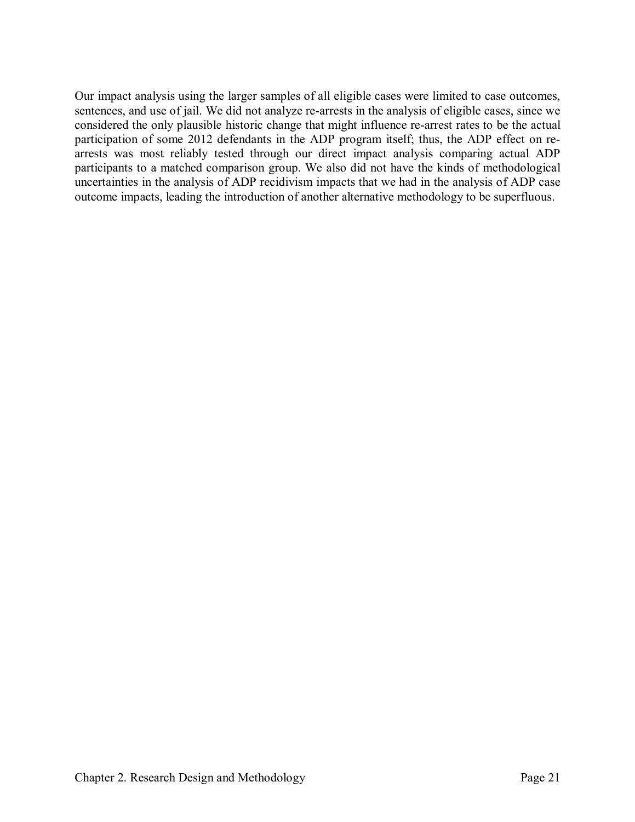Our impact analysis using the larger samples of all eligible cases were limited to case outcomes, sentences, and use of jail. We did not analyze re-arrests in the analysis of eligible cases, since we considered the only plausible historic change that might influence re-arrest rates to be the actual participation of some 2012 defendants in the ADP program itself; thus, the ADP effect on rearrests was most reliably tested through our direct impact analysis comparing actual ADP participants to a matched comparison group. We also did not have the kinds of methodological uncertainties in the analysis of ADP recidivism impacts that we had in the analysis of ADP case outcome impacts, leading the introduction of another alternative methodology to be superfluous.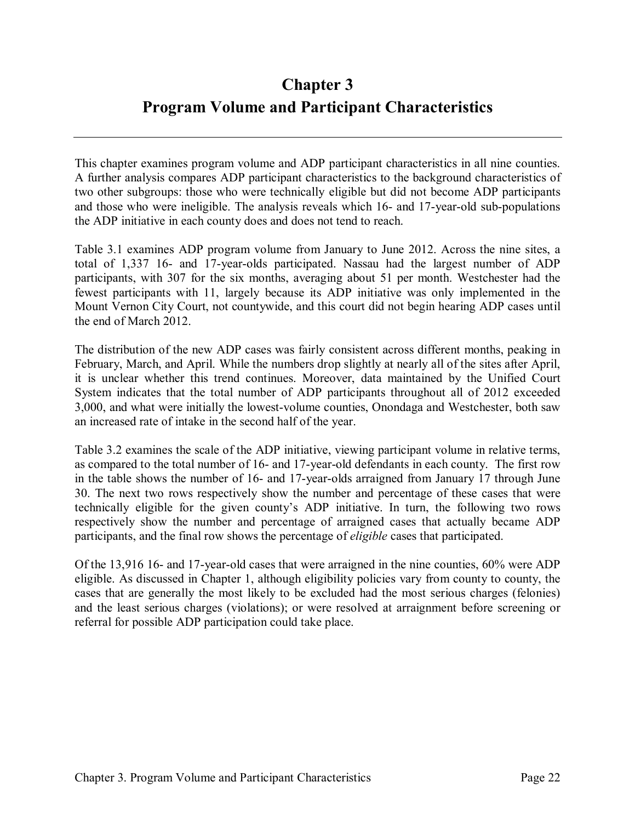# **Chapter 3 Program Volume and Participant Characteristics**

This chapter examines program volume and ADP participant characteristics in all nine counties. A further analysis compares ADP participant characteristics to the background characteristics of two other subgroups: those who were technically eligible but did not become ADP participants and those who were ineligible. The analysis reveals which 16- and 17-year-old sub-populations the ADP initiative in each county does and does not tend to reach.

Table 3.1 examines ADP program volume from January to June 2012. Across the nine sites, a total of 1,337 16- and 17-year-olds participated. Nassau had the largest number of ADP participants, with 307 for the six months, averaging about 51 per month. Westchester had the fewest participants with 11, largely because its ADP initiative was only implemented in the Mount Vernon City Court, not countywide, and this court did not begin hearing ADP cases until the end of March 2012.

The distribution of the new ADP cases was fairly consistent across different months, peaking in February, March, and April. While the numbers drop slightly at nearly all of the sites after April, it is unclear whether this trend continues. Moreover, data maintained by the Unified Court System indicates that the total number of ADP participants throughout all of 2012 exceeded 3,000, and what were initially the lowest-volume counties, Onondaga and Westchester, both saw an increased rate of intake in the second half of the year.

Table 3.2 examines the scale of the ADP initiative, viewing participant volume in relative terms, as compared to the total number of 16- and 17-year-old defendants in each county. The first row in the table shows the number of 16- and 17-year-olds arraigned from January 17 through June 30. The next two rows respectively show the number and percentage of these cases that were technically eligible for the given county's ADP initiative. In turn, the following two rows respectively show the number and percentage of arraigned cases that actually became ADP participants, and the final row shows the percentage of *eligible* cases that participated.

Of the 13,916 16- and 17-year-old cases that were arraigned in the nine counties, 60% were ADP eligible. As discussed in Chapter 1, although eligibility policies vary from county to county, the cases that are generally the most likely to be excluded had the most serious charges (felonies) and the least serious charges (violations); or were resolved at arraignment before screening or referral for possible ADP participation could take place.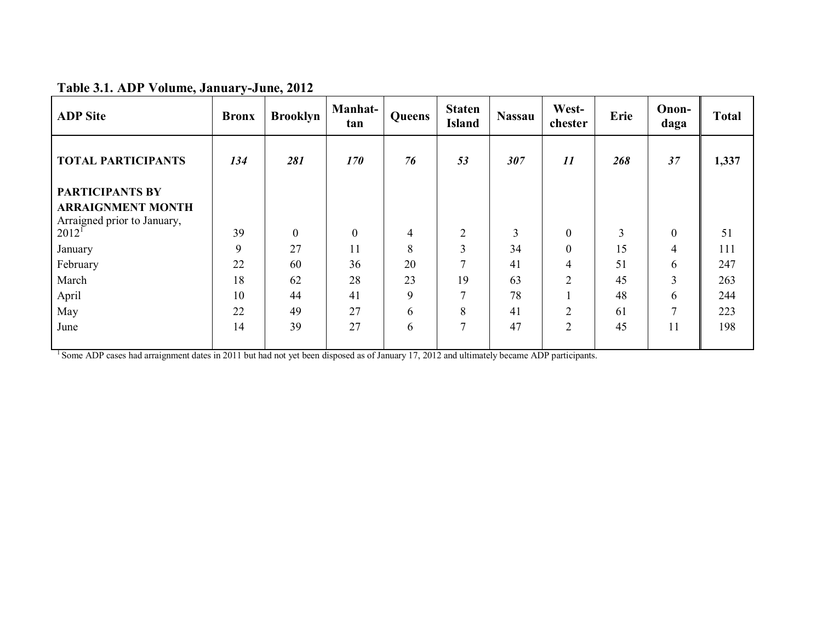| <b>ADP</b> Site                                         | <b>Bronx</b> | <b>Brooklyn</b> | Manhat-<br>tan | Queens         | <b>Staten</b><br><b>Island</b> | <b>Nassau</b>  | West-<br>chester | Erie           | Onon-<br>daga    | <b>Total</b> |
|---------------------------------------------------------|--------------|-----------------|----------------|----------------|--------------------------------|----------------|------------------|----------------|------------------|--------------|
| <b>TOTAL PARTICIPANTS</b>                               | 134          | 281             | 170            | 76             | 53                             | 307            | 11               | 268            | 37               | 1,337        |
| <b>PARTICIPANTS BY</b>                                  |              |                 |                |                |                                |                |                  |                |                  |              |
| <b>ARRAIGNMENT MONTH</b><br>Arraigned prior to January, |              |                 |                |                |                                |                |                  |                |                  |              |
| $2012^1$                                                | 39           | $\theta$        | $\mathbf{0}$   | $\overline{4}$ | 2                              | $\overline{3}$ | $\overline{0}$   | $\overline{3}$ | $\boldsymbol{0}$ | 51           |
| January                                                 | 9            | 27              | 11             | 8              | 3                              | 34             | $\overline{0}$   | 15             | $\overline{4}$   | 111          |
| February                                                | 22           | 60              | 36             | 20             | 7                              | 41             | 4                | 51             | 6                | 247          |
| March                                                   | 18           | 62              | 28             | 23             | 19                             | 63             | $\overline{2}$   | 45             | $\overline{3}$   | 263          |
| April                                                   | 10           | 44              | 41             | 9              | $\mathbf{r}$                   | 78             |                  | 48             | 6                | 244          |
| May                                                     | 22           | 49              | 27             | 6              | 8                              | 41             | $\overline{2}$   | 61             | 7                | 223          |
| June                                                    | 14           | 39              | 27             | 6              | $\tau$                         | 47             | $\overline{2}$   | 45             | 11               | 198          |

<sup>1</sup> Some ADP cases had arraignment dates in 2011 but had not yet been disposed as of January 17, 2012 and ultimately became ADP participants.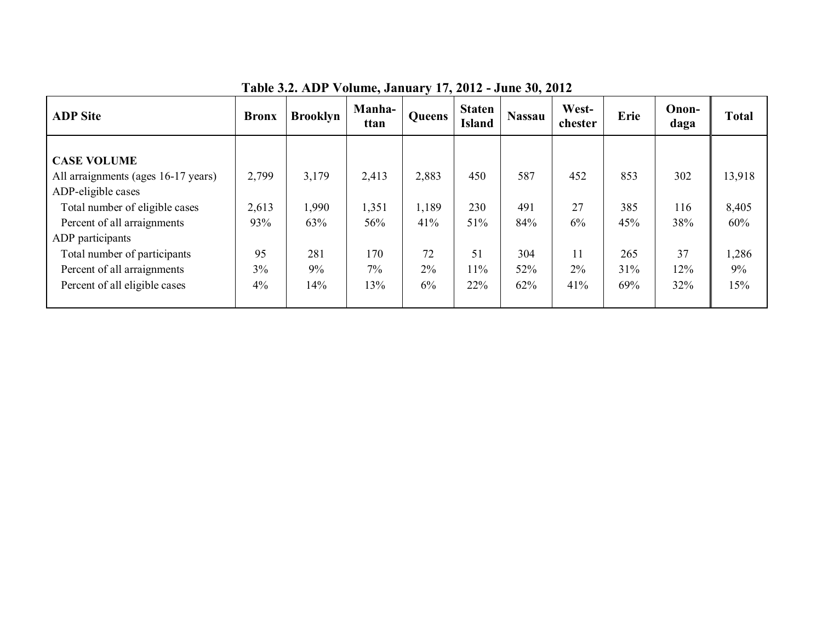| <b>ADP</b> Site                                                                                                                                                                                      | <b>Bronx</b>                | <b>Brooklyn</b>              | <b>Manha-</b><br>ttan        | Queens                      | <b>Staten</b><br><b>Island</b> | <b>Nassau</b>            | West-<br>chester      | Erie                     | Onon-<br>daga           | <b>Total</b>                    |
|------------------------------------------------------------------------------------------------------------------------------------------------------------------------------------------------------|-----------------------------|------------------------------|------------------------------|-----------------------------|--------------------------------|--------------------------|-----------------------|--------------------------|-------------------------|---------------------------------|
| <b>CASE VOLUME</b><br>All arraignments (ages 16-17 years)<br>ADP-eligible cases<br>Total number of eligible cases<br>Percent of all arraignments<br>ADP participants<br>Total number of participants | 2,799<br>2,613<br>93%<br>95 | 3,179<br>1,990<br>63%<br>281 | 2,413<br>1,351<br>56%<br>170 | 2,883<br>1,189<br>41%<br>72 | 450<br>230<br>51%<br>51        | 587<br>491<br>84%<br>304 | 452<br>27<br>6%<br>11 | 853<br>385<br>45%<br>265 | 302<br>116<br>38%<br>37 | 13,918<br>8,405<br>60%<br>1,286 |
| Percent of all arraignments<br>Percent of all eligible cases                                                                                                                                         | 3%<br>4%                    | 9%<br>14%                    | $7\%$<br>13%                 | 2%<br>6%                    | 11%<br>22%                     | 52%<br>62%               | $2\%$<br>41%          | 31%<br>69%               | 12%<br>32%              | 9%<br>15%                       |

**Table 3.2. ADP Volume, January 17, 2012 - June 30, 2012**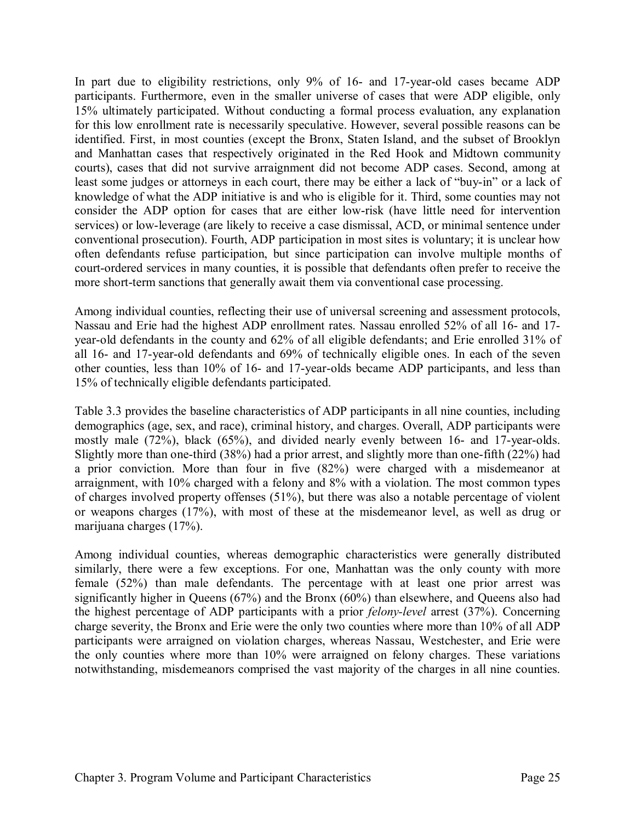In part due to eligibility restrictions, only 9% of 16- and 17-year-old cases became ADP participants. Furthermore, even in the smaller universe of cases that were ADP eligible, only 15% ultimately participated. Without conducting a formal process evaluation, any explanation for this low enrollment rate is necessarily speculative. However, several possible reasons can be identified. First, in most counties (except the Bronx, Staten Island, and the subset of Brooklyn and Manhattan cases that respectively originated in the Red Hook and Midtown community courts), cases that did not survive arraignment did not become ADP cases. Second, among at least some judges or attorneys in each court, there may be either a lack of "buy-in" or a lack of knowledge of what the ADP initiative is and who is eligible for it. Third, some counties may not consider the ADP option for cases that are either low-risk (have little need for intervention services) or low-leverage (are likely to receive a case dismissal, ACD, or minimal sentence under conventional prosecution). Fourth, ADP participation in most sites is voluntary; it is unclear how often defendants refuse participation, but since participation can involve multiple months of court-ordered services in many counties, it is possible that defendants often prefer to receive the more short-term sanctions that generally await them via conventional case processing.

Among individual counties, reflecting their use of universal screening and assessment protocols, Nassau and Erie had the highest ADP enrollment rates. Nassau enrolled 52% of all 16- and 17 year-old defendants in the county and 62% of all eligible defendants; and Erie enrolled 31% of all 16- and 17-year-old defendants and 69% of technically eligible ones. In each of the seven other counties, less than 10% of 16- and 17-year-olds became ADP participants, and less than 15% of technically eligible defendants participated.

Table 3.3 provides the baseline characteristics of ADP participants in all nine counties, including demographics (age, sex, and race), criminal history, and charges. Overall, ADP participants were mostly male (72%), black (65%), and divided nearly evenly between 16- and 17-year-olds. Slightly more than one-third (38%) had a prior arrest, and slightly more than one-fifth (22%) had a prior conviction. More than four in five (82%) were charged with a misdemeanor at arraignment, with 10% charged with a felony and 8% with a violation. The most common types of charges involved property offenses (51%), but there was also a notable percentage of violent or weapons charges (17%), with most of these at the misdemeanor level, as well as drug or marijuana charges (17%).

Among individual counties, whereas demographic characteristics were generally distributed similarly, there were a few exceptions. For one, Manhattan was the only county with more female (52%) than male defendants. The percentage with at least one prior arrest was significantly higher in Queens (67%) and the Bronx (60%) than elsewhere, and Queens also had the highest percentage of ADP participants with a prior *felony-level* arrest (37%). Concerning charge severity, the Bronx and Erie were the only two counties where more than 10% of all ADP participants were arraigned on violation charges, whereas Nassau, Westchester, and Erie were the only counties where more than 10% were arraigned on felony charges. These variations notwithstanding, misdemeanors comprised the vast majority of the charges in all nine counties.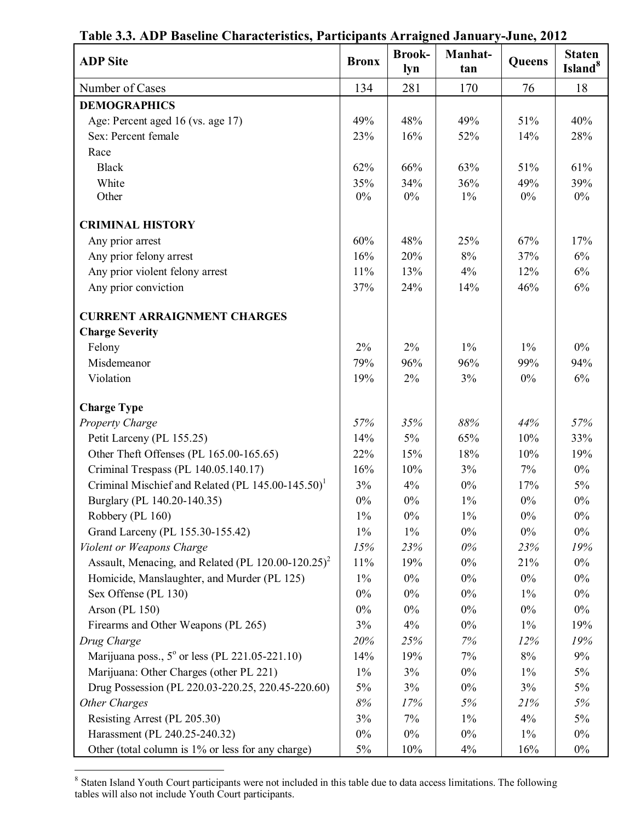| <b>ADP</b> Site                                                     | <b>Bronx</b> | <b>Brook-</b><br>lyn | Manhat-<br>tan | Queens     | <b>Staten</b><br>Island <sup>8</sup> |
|---------------------------------------------------------------------|--------------|----------------------|----------------|------------|--------------------------------------|
| Number of Cases                                                     | 134          | 281                  | 170            | 76         | 18                                   |
| <b>DEMOGRAPHICS</b>                                                 |              |                      |                |            |                                      |
| Age: Percent aged 16 (vs. age 17)                                   | 49%          | 48%                  | 49%            | 51%        | 40%                                  |
| Sex: Percent female                                                 | 23%          | 16%                  | 52%            | 14%        | 28%                                  |
| Race                                                                |              |                      |                |            |                                      |
| <b>Black</b>                                                        | 62%          | 66%                  | 63%            | 51%        | 61%                                  |
| White                                                               | 35%          | 34%                  | 36%            | 49%        | 39%                                  |
| Other                                                               | $0\%$        | $0\%$                | $1\%$          | $0\%$      | $0\%$                                |
| <b>CRIMINAL HISTORY</b>                                             |              |                      |                |            |                                      |
|                                                                     | 60%          | 48%                  | 25%            | 67%        | 17%                                  |
| Any prior arrest                                                    |              |                      |                |            |                                      |
| Any prior felony arrest                                             | 16%          | 20%                  | $8\%$          | 37%        | $6\%$                                |
| Any prior violent felony arrest                                     | 11%          | 13%                  | 4%             | 12%<br>46% | 6%                                   |
| Any prior conviction                                                | 37%          | 24%                  | 14%            |            | 6%                                   |
| <b>CURRENT ARRAIGNMENT CHARGES</b>                                  |              |                      |                |            |                                      |
| <b>Charge Severity</b>                                              |              |                      |                |            |                                      |
| Felony                                                              | 2%           | 2%                   | $1\%$          | $1\%$      | $0\%$                                |
| Misdemeanor                                                         | 79%          | 96%                  | 96%            | 99%        | 94%                                  |
| Violation                                                           | 19%          | 2%                   | 3%             | $0\%$      | $6\%$                                |
| <b>Charge Type</b>                                                  |              |                      |                |            |                                      |
| <b>Property Charge</b>                                              | 57%          | 35%                  | 88%            | 44%        | 57%                                  |
| Petit Larceny (PL 155.25)                                           | 14%          | $5\%$                | 65%            | 10%        | 33%                                  |
| Other Theft Offenses (PL 165.00-165.65)                             | 22%          | 15%                  | 18%            | 10%        | 19%                                  |
| Criminal Trespass (PL 140.05.140.17)                                | 16%          | 10%                  | 3%             | 7%         | $0\%$                                |
| Criminal Mischief and Related (PL 145.00-145.50) <sup>1</sup>       | 3%           | 4%                   | $0\%$          | 17%        | 5%                                   |
| Burglary (PL 140.20-140.35)                                         | $0\%$        | $0\%$                | $1\%$          | $0\%$      | $0\%$                                |
| Robbery (PL 160)                                                    | $1\%$        | $0\%$                | $1\%$          | $0\%$      | $0\%$                                |
| Grand Larceny (PL 155.30-155.42)                                    | $1\%$        | $1\%$                | $0\%$          | $0\%$      | $0\%$                                |
| Violent or Weapons Charge                                           | 15%          | 23%                  | $0\%$          | 23%        | 19%                                  |
| Assault, Menacing, and Related (PL $120.00 - 120.25$ ) <sup>2</sup> | 11%          | 19%                  | $0\%$          | 21%        | $0\%$                                |
| Homicide, Manslaughter, and Murder (PL 125)                         | $1\%$        | $0\%$                | $0\%$          | $0\%$      | $0\%$                                |
| Sex Offense (PL 130)                                                | $0\%$        | $0\%$                | $0\%$          | $1\%$      | $0\%$                                |
| Arson (PL 150)                                                      | $0\%$        | $0\%$                | $0\%$          | $0\%$      | $0\%$                                |
| Firearms and Other Weapons (PL 265)                                 | 3%           | 4%                   | $0\%$          | $1\%$      | 19%                                  |
| Drug Charge                                                         | 20%          | 25%                  | 7%             | 12%        | 19%                                  |
| Marijuana poss., $5^{\circ}$ or less (PL 221.05-221.10)             | 14%          | 19%                  | 7%             | $8\%$      | 9%                                   |
| Marijuana: Other Charges (other PL 221)                             | $1\%$        | 3%                   | $0\%$          | $1\%$      | 5%                                   |
| Drug Possession (PL 220.03-220.25, 220.45-220.60)                   | 5%           | 3%                   | $0\%$          | 3%         | 5%                                   |
| Other Charges                                                       | $8\%$        | 17%                  | 5%             | 21%        | 5%                                   |
| Resisting Arrest (PL 205.30)                                        | 3%           | 7%                   | $1\%$          | 4%         | 5%                                   |
| Harassment (PL 240.25-240.32)                                       | $0\%$        | $0\%$                | $0\%$          | $1\%$      | $0\%$                                |
| Other (total column is 1% or less for any charge)                   | $5\%$        | 10%                  | 4%             | 16%        | $0\%$                                |

**Table 3.3. ADP Baseline Characteristics, Participants Arraigned January-June, 2012**

<sup>8</sup> Staten Island Youth Court participants were not included in this table due to data access limitations. The following tables will also not include Youth Court participants.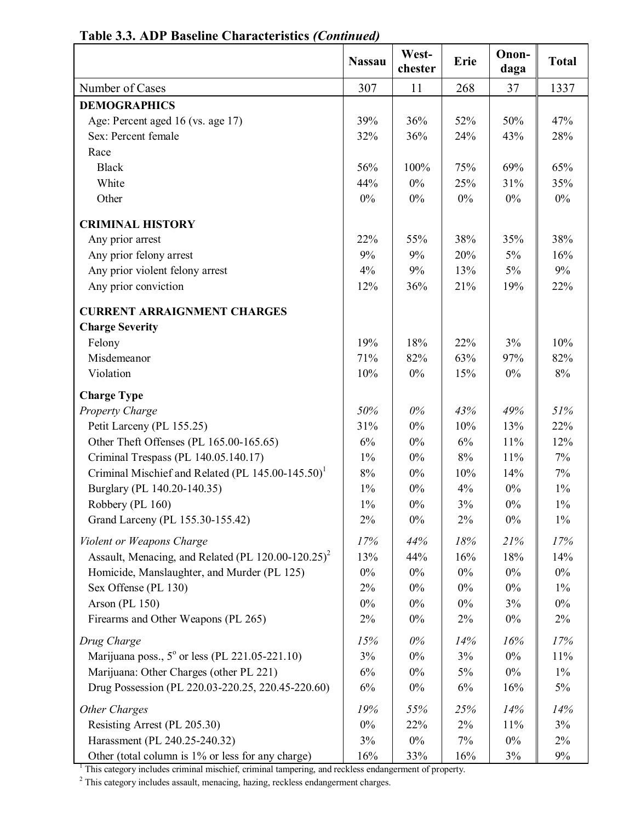|                                                                     | <b>Nassau</b> | West-<br>chester | Erie  | Onon-<br>daga | <b>Total</b> |
|---------------------------------------------------------------------|---------------|------------------|-------|---------------|--------------|
| Number of Cases                                                     | 307           | 11               | 268   | 37            | 1337         |
| <b>DEMOGRAPHICS</b>                                                 |               |                  |       |               |              |
| Age: Percent aged 16 (vs. age 17)                                   | 39%           | 36%              | 52%   | 50%           | 47%          |
| Sex: Percent female                                                 | 32%           | 36%              | 24%   | 43%           | 28%          |
| Race                                                                |               |                  |       |               |              |
| <b>Black</b>                                                        | 56%           | 100%             | 75%   | 69%           | 65%          |
| White                                                               | 44%           | $0\%$            | 25%   | 31%           | 35%          |
| Other                                                               | $0\%$         | 0%               | $0\%$ | $0\%$         | $0\%$        |
| <b>CRIMINAL HISTORY</b>                                             |               |                  |       |               |              |
| Any prior arrest                                                    | 22%           | 55%              | 38%   | 35%           | 38%          |
| Any prior felony arrest                                             | 9%            | 9%               | 20%   | $5\%$         | 16%          |
| Any prior violent felony arrest                                     | 4%            | 9%               | 13%   | $5\%$         | 9%           |
| Any prior conviction                                                | 12%           | 36%              | 21%   | 19%           | 22%          |
| <b>CURRENT ARRAIGNMENT CHARGES</b>                                  |               |                  |       |               |              |
| <b>Charge Severity</b>                                              |               |                  |       |               |              |
| Felony                                                              | 19%           | 18%              | 22%   | $3\%$         | 10%          |
| Misdemeanor                                                         | 71%           | 82%              | 63%   | 97%           | 82%          |
| Violation                                                           | 10%           | $0\%$            | 15%   | $0\%$         | 8%           |
| <b>Charge Type</b>                                                  |               |                  |       |               |              |
| <b>Property Charge</b>                                              | 50%           | $0\%$            | 43%   | 49%           | 51%          |
| Petit Larceny (PL 155.25)                                           | 31%           | $0\%$            | 10%   | 13%           | 22%          |
| Other Theft Offenses (PL 165.00-165.65)                             | 6%            | $0\%$            | 6%    | 11%           | 12%          |
| Criminal Trespass (PL 140.05.140.17)                                | $1\%$         | $0\%$            | 8%    | 11%           | $7\%$        |
| Criminal Mischief and Related (PL 145.00-145.50) <sup>1</sup>       | 8%            | 0%               | 10%   | 14%           | 7%           |
| Burglary (PL 140.20-140.35)                                         | $1\%$         | $0\%$            | 4%    | $0\%$         | $1\%$        |
| Robbery (PL 160)                                                    | $1\%$         | $0\%$            | 3%    | $0\%$         | $1\%$        |
| Grand Larceny (PL 155.30-155.42)                                    | $2\%$         | $0\%$            | 2%    | $0\%$         | $1\%$        |
| Violent or Weapons Charge                                           | 17%           | 44%              | 18%   | 21%           | 17%          |
| Assault, Menacing, and Related (PL $120.00 - 120.25$ ) <sup>2</sup> | 13%           | 44%              | 16%   | 18%           | 14%          |
| Homicide, Manslaughter, and Murder (PL 125)                         | $0\%$         | $0\%$            | $0\%$ | $0\%$         | $0\%$        |
| Sex Offense (PL 130)                                                | $2\%$         | $0\%$            | $0\%$ | $0\%$         | $1\%$        |
| Arson (PL 150)                                                      | $0\%$         | $0\%$            | $0\%$ | 3%            | $0\%$        |
| Firearms and Other Weapons (PL 265)                                 | $2\%$         | $0\%$            | 2%    | $0\%$         | $2\%$        |
| Drug Charge                                                         | 15%           | $0\%$            | 14%   | 16%           | 17%          |
| Marijuana poss., 5° or less (PL 221.05-221.10)                      | 3%            | $0\%$            | 3%    | $0\%$         | 11%          |
| Marijuana: Other Charges (other PL 221)                             | 6%            | $0\%$            | 5%    | $0\%$         | $1\%$        |
| Drug Possession (PL 220.03-220.25, 220.45-220.60)                   | 6%            | $0\%$            | 6%    | 16%           | $5\%$        |
| Other Charges                                                       | 19%           | 55%              | 25%   | 14%           | 14%          |
| Resisting Arrest (PL 205.30)                                        | $0\%$         | 22%              | 2%    | 11%           | 3%           |
| Harassment (PL 240.25-240.32)                                       | 3%            | $0\%$            | 7%    | $0\%$         | $2\%$        |
| Other (total column is 1% or less for any charge)                   | 16%           | 33%              | 16%   | 3%            | $9\%$        |

**Table 3.3. ADP Baseline Characteristics** *(Continued)*

<sup>1</sup> This category includes criminal mischief, criminal tampering, and reckless endangerment of property.

<sup>2</sup> This category includes assault, menacing, hazing, reckless endangerment charges.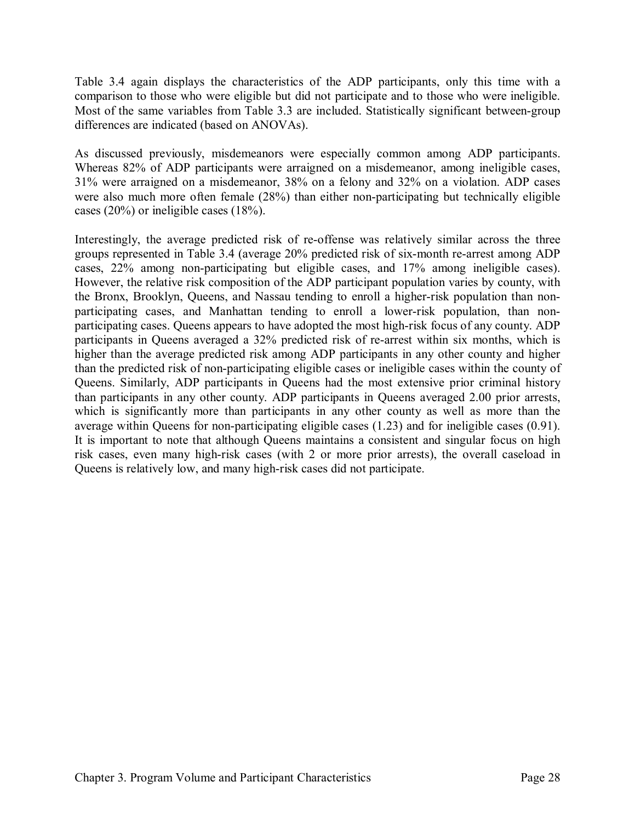Table 3.4 again displays the characteristics of the ADP participants, only this time with a comparison to those who were eligible but did not participate and to those who were ineligible. Most of the same variables from Table 3.3 are included. Statistically significant between-group differences are indicated (based on ANOVAs).

As discussed previously, misdemeanors were especially common among ADP participants. Whereas 82% of ADP participants were arraigned on a misdemeanor, among ineligible cases, 31% were arraigned on a misdemeanor, 38% on a felony and 32% on a violation. ADP cases were also much more often female (28%) than either non-participating but technically eligible cases (20%) or ineligible cases (18%).

Interestingly, the average predicted risk of re-offense was relatively similar across the three groups represented in Table 3.4 (average 20% predicted risk of six-month re-arrest among ADP cases, 22% among non-participating but eligible cases, and 17% among ineligible cases). However, the relative risk composition of the ADP participant population varies by county, with the Bronx, Brooklyn, Queens, and Nassau tending to enroll a higher-risk population than nonparticipating cases, and Manhattan tending to enroll a lower-risk population, than nonparticipating cases. Queens appears to have adopted the most high-risk focus of any county. ADP participants in Queens averaged a 32% predicted risk of re-arrest within six months, which is higher than the average predicted risk among ADP participants in any other county and higher than the predicted risk of non-participating eligible cases or ineligible cases within the county of Queens. Similarly, ADP participants in Queens had the most extensive prior criminal history than participants in any other county. ADP participants in Queens averaged 2.00 prior arrests, which is significantly more than participants in any other county as well as more than the average within Queens for non-participating eligible cases (1.23) and for ineligible cases (0.91). It is important to note that although Queens maintains a consistent and singular focus on high risk cases, even many high-risk cases (with 2 or more prior arrests), the overall caseload in Queens is relatively low, and many high-risk cases did not participate.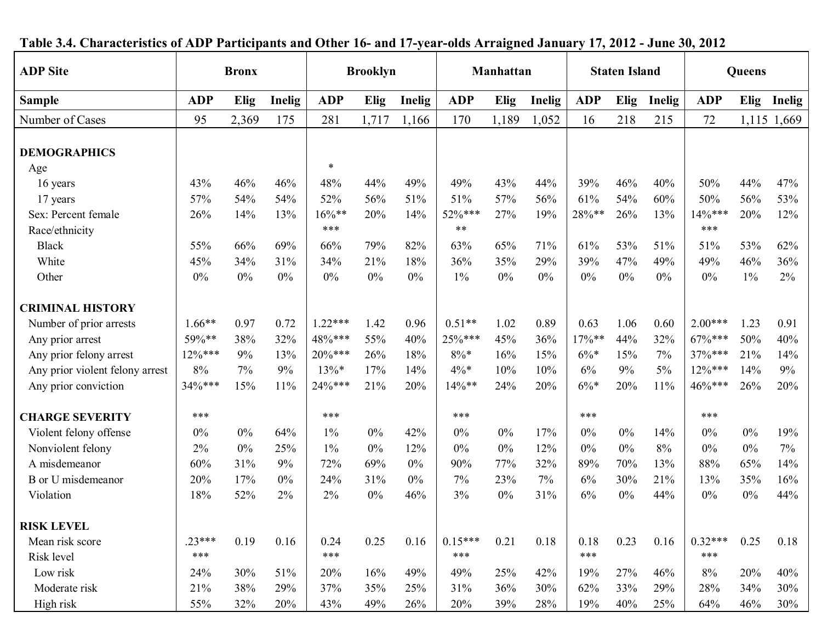| radic orn Unaracteristics of their raretepants and Uther To and Th |            |              |        |            |                              |        | $y$ car olus Arraigneu bandary 17, 2012 - o ane 00, 2012 |       |               |               |       |        |            |       |             |
|--------------------------------------------------------------------|------------|--------------|--------|------------|------------------------------|--------|----------------------------------------------------------|-------|---------------|---------------|-------|--------|------------|-------|-------------|
| <b>ADP</b> Site                                                    |            | <b>Bronx</b> |        |            | <b>Brooklyn</b><br>Manhattan |        | <b>Staten Island</b>                                     |       |               | <b>Queens</b> |       |        |            |       |             |
| <b>Sample</b>                                                      | <b>ADP</b> | <b>Elig</b>  | Inelig | <b>ADP</b> | Elig                         | Inelig | <b>ADP</b>                                               | Elig  | <b>Inelig</b> | <b>ADP</b>    | Elig  | Inelig | <b>ADP</b> | Elig  | Inelig      |
| Number of Cases                                                    | 95         | 2,369        | 175    | 281        | 1,717                        | 1,166  | 170                                                      | 1,189 | 1,052         | 16            | 218   | 215    | 72         |       | 1,115 1,669 |
| <b>DEMOGRAPHICS</b>                                                |            |              |        |            |                              |        |                                                          |       |               |               |       |        |            |       |             |
| Age                                                                |            |              |        | $\ast$     |                              |        |                                                          |       |               |               |       |        |            |       |             |
| 16 years                                                           | 43%        | 46%          | 46%    | 48%        | 44%                          | 49%    | 49%                                                      | 43%   | 44%           | 39%           | 46%   | 40%    | 50%        | 44%   | 47%         |
| 17 years                                                           | 57%        | 54%          | 54%    | 52%        | 56%                          | 51%    | 51%                                                      | 57%   | 56%           | 61%           | 54%   | 60%    | 50%        | 56%   | 53%         |
| Sex: Percent female                                                | 26%        | 14%          | 13%    | $16\%$ **  | 20%                          | 14%    | 52%***                                                   | 27%   | 19%           | 28%**         | 26%   | 13%    | 14%***     | 20%   | 12%         |
| Race/ethnicity                                                     |            |              |        | ***        |                              |        | $***$                                                    |       |               |               |       |        | ***        |       |             |
| <b>Black</b>                                                       | 55%        | 66%          | 69%    | 66%        | 79%                          | 82%    | 63%                                                      | 65%   | 71%           | 61%           | 53%   | 51%    | 51%        | 53%   | 62%         |
| White                                                              | 45%        | 34%          | 31%    | 34%        | 21%                          | 18%    | 36%                                                      | 35%   | 29%           | 39%           | 47%   | 49%    | 49%        | 46%   | 36%         |
| Other                                                              | $0\%$      | $0\%$        | 0%     | 0%         | $0\%$                        | $0\%$  | $1\%$                                                    | $0\%$ | $0\%$         | $0\%$         | $0\%$ | 0%     | $0\%$      | $1\%$ | 2%          |
| <b>CRIMINAL HISTORY</b>                                            |            |              |        |            |                              |        |                                                          |       |               |               |       |        |            |       |             |
| Number of prior arrests                                            | $1.66**$   | 0.97         | 0.72   | $1.22***$  | 1.42                         | 0.96   | $0.51**$                                                 | 1.02  | 0.89          | 0.63          | 1.06  | 0.60   | $2.00***$  | 1.23  | 0.91        |
| Any prior arrest                                                   | 59%**      | 38%          | 32%    | 48%***     | 55%                          | 40%    | 25%***                                                   | 45%   | 36%           | $17\%$ **     | 44%   | 32%    | 67%***     | 50%   | 40%         |
| Any prior felony arrest                                            | 12%***     | 9%           | 13%    | $20\%***$  | 26%                          | 18%    | $8\% *$                                                  | 16%   | 15%           | $6\%*$        | 15%   | 7%     | 37%***     | 21%   | 14%         |
| Any prior violent felony arrest                                    | 8%         | 7%           | 9%     | $13\%*$    | 17%                          | 14%    | $4\%*$                                                   | 10%   | 10%           | 6%            | 9%    | $5\%$  | 12%***     | 14%   | 9%          |
| Any prior conviction                                               | 34%***     | 15%          | 11%    | 24%***     | 21%                          | 20%    | 14%**                                                    | 24%   | 20%           | $6\% *$       | 20%   | 11%    | 46%***     | 26%   | 20%         |
| <b>CHARGE SEVERITY</b>                                             | ***        |              |        | ***        |                              |        | ***                                                      |       |               | ***           |       |        | ***        |       |             |
| Violent felony offense                                             | $0\%$      | $0\%$        | 64%    | 1%         | $0\%$                        | 42%    | 0%                                                       | $0\%$ | 17%           | $0\%$         | $0\%$ | 14%    | $0\%$      | $0\%$ | 19%         |
| Nonviolent felony                                                  | 2%         | $0\%$        | 25%    | $1\%$      | $0\%$                        | 12%    | $0\%$                                                    | $0\%$ | 12%           | $0\%$         | $0\%$ | 8%     | $0\%$      | $0\%$ | 7%          |
| A misdemeanor                                                      | 60%        | 31%          | 9%     | 72%        | 69%                          | $0\%$  | 90%                                                      | 77%   | 32%           | 89%           | 70%   | 13%    | 88%        | 65%   | 14%         |
| B or U misdemeanor                                                 | 20%        | 17%          | 0%     | 24%        | 31%                          | $0\%$  | 7%                                                       | 23%   | 7%            | 6%            | 30%   | 21%    | 13%        | 35%   | 16%         |
| Violation                                                          | 18%        | 52%          | 2%     | 2%         | $0\%$                        | 46%    | 3%                                                       | $0\%$ | 31%           | 6%            | $0\%$ | 44%    | $0\%$      | $0\%$ | 44%         |
| <b>RISK LEVEL</b>                                                  |            |              |        |            |                              |        |                                                          |       |               |               |       |        |            |       |             |
| Mean risk score                                                    | $.23***$   | 0.19         | 0.16   | 0.24       | 0.25                         | 0.16   | $0.15***$                                                | 0.21  | 0.18          | 0.18          | 0.23  | 0.16   | $0.32***$  | 0.25  | 0.18        |
| Risk level                                                         | ***        |              |        | ***        |                              |        | ***                                                      |       |               | $***$         |       |        | ***        |       |             |
| Low risk                                                           | 24%        | 30%          | 51%    | 20%        | 16%                          | 49%    | 49%                                                      | 25%   | 42%           | 19%           | 27%   | 46%    | 8%         | 20%   | 40%         |
| Moderate risk                                                      | 21%        | 38%          | 29%    | 37%        | 35%                          | 25%    | 31%                                                      | 36%   | 30%           | 62%           | 33%   | 29%    | 28%        | 34%   | 30%         |
|                                                                    |            |              |        |            |                              |        |                                                          |       |               |               |       |        |            |       |             |
| High risk                                                          | 55%        | 32%          | 20%    | 43%        | 49%                          | 26%    | 20%                                                      | 39%   | 28%           | 19%           | 40%   | 25%    | 64%        | 46%   | 30%         |

## **Table 3.4. Characteristics of ADP Participants and Other 16- and 17-year-olds Arraigned January 17, 2012 - June 30, 2012**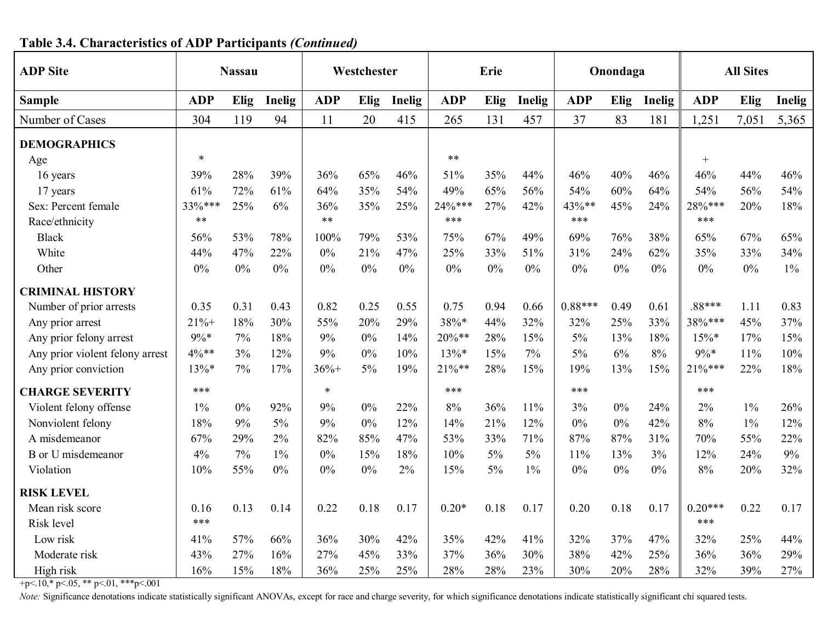| <b>ADP</b> Site                 |            | <b>Nassau</b> |        |            | Westchester |        |            | Erie |        |            | Onondaga |               |            | <b>All Sites</b> |        |
|---------------------------------|------------|---------------|--------|------------|-------------|--------|------------|------|--------|------------|----------|---------------|------------|------------------|--------|
| <b>Sample</b>                   | <b>ADP</b> | Elig          | Inelig | <b>ADP</b> | Elig        | Inelig | <b>ADP</b> | Elig | Inelig | <b>ADP</b> | Elig     | <b>Inelig</b> | <b>ADP</b> | Elig             | Inelig |
| Number of Cases                 | 304        | 119           | 94     | 11         | 20          | 415    | 265        | 131  | 457    | 37         | 83       | 181           | 1,251      | 7,051            | 5,365  |
| <b>DEMOGRAPHICS</b>             |            |               |        |            |             |        |            |      |        |            |          |               |            |                  |        |
| Age                             | $\ast$     |               |        |            |             |        | $***$      |      |        |            |          |               | $+$        |                  |        |
| 16 years                        | 39%        | 28%           | 39%    | 36%        | 65%         | 46%    | 51%        | 35%  | 44%    | 46%        | 40%      | 46%           | 46%        | 44%              | 46%    |
| 17 years                        | 61%        | 72%           | 61%    | 64%        | 35%         | 54%    | 49%        | 65%  | 56%    | 54%        | 60%      | 64%           | 54%        | 56%              | 54%    |
| Sex: Percent female             | 33%***     | 25%           | 6%     | 36%        | 35%         | 25%    | 24%***     | 27%  | 42%    | 43%**      | 45%      | 24%           | 28%***     | 20%              | 18%    |
| Race/ethnicity                  | $***$      |               |        | $***$      |             |        | ***        |      |        | ***        |          |               | ***        |                  |        |
| <b>Black</b>                    | 56%        | 53%           | 78%    | 100%       | 79%         | 53%    | 75%        | 67%  | 49%    | 69%        | 76%      | 38%           | 65%        | 67%              | 65%    |
| White                           | 44%        | 47%           | 22%    | 0%         | 21%         | 47%    | 25%        | 33%  | 51%    | 31%        | 24%      | 62%           | 35%        | 33%              | 34%    |
| Other                           | 0%         | $0\%$         | $0\%$  | 0%         | 0%          | 0%     | $0\%$      | 0%   | 0%     | 0%         | 0%       | $0\%$         | 0%         | 0%               | $1\%$  |
| <b>CRIMINAL HISTORY</b>         |            |               |        |            |             |        |            |      |        |            |          |               |            |                  |        |
| Number of prior arrests         | 0.35       | 0.31          | 0.43   | 0.82       | 0.25        | 0.55   | 0.75       | 0.94 | 0.66   | $0.88***$  | 0.49     | 0.61          | .88***     | 1.11             | 0.83   |
| Any prior arrest                | $21% +$    | 18%           | 30%    | 55%        | 20%         | 29%    | 38%*       | 44%  | 32%    | 32%        | 25%      | 33%           | 38%***     | 45%              | 37%    |
| Any prior felony arrest         | $9\% *$    | 7%            | 18%    | 9%         | 0%          | 14%    | $20\%**$   | 28%  | 15%    | $5\%$      | 13%      | 18%           | $15\%*$    | 17%              | 15%    |
| Any prior violent felony arrest | 4%**       | 3%            | 12%    | 9%         | 0%          | 10%    | $13\%*$    | 15%  | 7%     | 5%         | 6%       | 8%            | $9\% *$    | 11%              | 10%    |
| Any prior conviction            | $13\%*$    | 7%            | 17%    | $36% +$    | $5\%$       | 19%    | $21\%**$   | 28%  | 15%    | 19%        | 13%      | 15%           | $21\%***$  | 22%              | 18%    |
| <b>CHARGE SEVERITY</b>          | ***        |               |        | $\ast$     |             |        | ***        |      |        | ***        |          |               | ***        |                  |        |
| Violent felony offense          | $1\%$      | $0\%$         | 92%    | 9%         | 0%          | 22%    | 8%         | 36%  | 11%    | 3%         | 0%       | 24%           | 2%         | $1\%$            | 26%    |
| Nonviolent felony               | 18%        | 9%            | 5%     | 9%         | 0%          | 12%    | 14%        | 21%  | 12%    | 0%         | 0%       | 42%           | 8%         | $1\%$            | 12%    |
| A misdemeanor                   | 67%        | 29%           | 2%     | 82%        | 85%         | 47%    | 53%        | 33%  | 71%    | 87%        | 87%      | 31%           | 70%        | 55%              | 22%    |
| <b>B</b> or U misdemeanor       | 4%         | 7%            | $1\%$  | 0%         | 15%         | 18%    | 10%        | 5%   | $5\%$  | 11%        | 13%      | 3%            | 12%        | 24%              | 9%     |
| Violation                       | 10%        | 55%           | $0\%$  | $0\%$      | $0\%$       | 2%     | 15%        | 5%   | $1\%$  | $0\%$      | $0\%$    | $0\%$         | 8%         | 20%              | 32%    |
| <b>RISK LEVEL</b>               |            |               |        |            |             |        |            |      |        |            |          |               |            |                  |        |
| Mean risk score                 | 0.16       | 0.13          | 0.14   | 0.22       | 0.18        | 0.17   | $0.20*$    | 0.18 | 0.17   | 0.20       | 0.18     | 0.17          | $0.20***$  | 0.22             | 0.17   |
| Risk level                      | ***        |               |        |            |             |        |            |      |        |            |          |               | ***        |                  |        |
| Low risk                        | 41%        | 57%           | 66%    | 36%        | 30%         | 42%    | 35%        | 42%  | 41%    | 32%        | 37%      | 47%           | 32%        | 25%              | 44%    |
| Moderate risk                   | 43%        | 27%           | 16%    | 27%        | 45%         | 33%    | 37%        | 36%  | 30%    | 38%        | 42%      | 25%           | 36%        | 36%              | 29%    |
| High risk                       | 16%        | 15%           | 18%    | 36%        | 25%         | 25%    | 28%        | 28%  | 23%    | 30%        | 20%      | 28%           | 32%        | 39%              | 27%    |

# **Table 3.4. Characteristics of ADP Participants** *(Continued)*

+p<.10,\* p<.05, \*\* p<.01, \*\*\*p<.001

Note: Significance denotations indicate statistically significant ANOVAs, except for race and charge severity, for which significance denotations indicate statistically significant chi squared tests.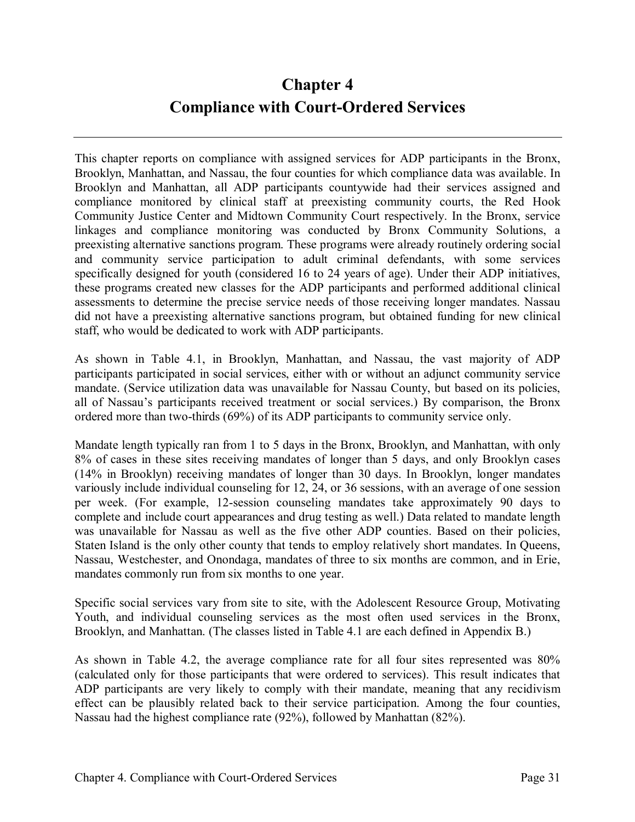# **Chapter 4 Compliance with Court-Ordered Services**

This chapter reports on compliance with assigned services for ADP participants in the Bronx, Brooklyn, Manhattan, and Nassau, the four counties for which compliance data was available. In Brooklyn and Manhattan, all ADP participants countywide had their services assigned and compliance monitored by clinical staff at preexisting community courts, the Red Hook Community Justice Center and Midtown Community Court respectively. In the Bronx, service linkages and compliance monitoring was conducted by Bronx Community Solutions, a preexisting alternative sanctions program. These programs were already routinely ordering social and community service participation to adult criminal defendants, with some services specifically designed for youth (considered 16 to 24 years of age). Under their ADP initiatives, these programs created new classes for the ADP participants and performed additional clinical assessments to determine the precise service needs of those receiving longer mandates. Nassau did not have a preexisting alternative sanctions program, but obtained funding for new clinical staff, who would be dedicated to work with ADP participants.

As shown in Table 4.1, in Brooklyn, Manhattan, and Nassau, the vast majority of ADP participants participated in social services, either with or without an adjunct community service mandate. (Service utilization data was unavailable for Nassau County, but based on its policies, all of Nassau's participants received treatment or social services.) By comparison, the Bronx ordered more than two-thirds (69%) of its ADP participants to community service only.

Mandate length typically ran from 1 to 5 days in the Bronx, Brooklyn, and Manhattan, with only 8% of cases in these sites receiving mandates of longer than 5 days, and only Brooklyn cases (14% in Brooklyn) receiving mandates of longer than 30 days. In Brooklyn, longer mandates variously include individual counseling for 12, 24, or 36 sessions, with an average of one session per week. (For example, 12-session counseling mandates take approximately 90 days to complete and include court appearances and drug testing as well.) Data related to mandate length was unavailable for Nassau as well as the five other ADP counties. Based on their policies, Staten Island is the only other county that tends to employ relatively short mandates. In Queens, Nassau, Westchester, and Onondaga, mandates of three to six months are common, and in Erie, mandates commonly run from six months to one year.

Specific social services vary from site to site, with the Adolescent Resource Group, Motivating Youth, and individual counseling services as the most often used services in the Bronx, Brooklyn, and Manhattan. (The classes listed in Table 4.1 are each defined in Appendix B.)

As shown in Table 4.2, the average compliance rate for all four sites represented was 80% (calculated only for those participants that were ordered to services). This result indicates that ADP participants are very likely to comply with their mandate, meaning that any recidivism effect can be plausibly related back to their service participation. Among the four counties, Nassau had the highest compliance rate (92%), followed by Manhattan (82%).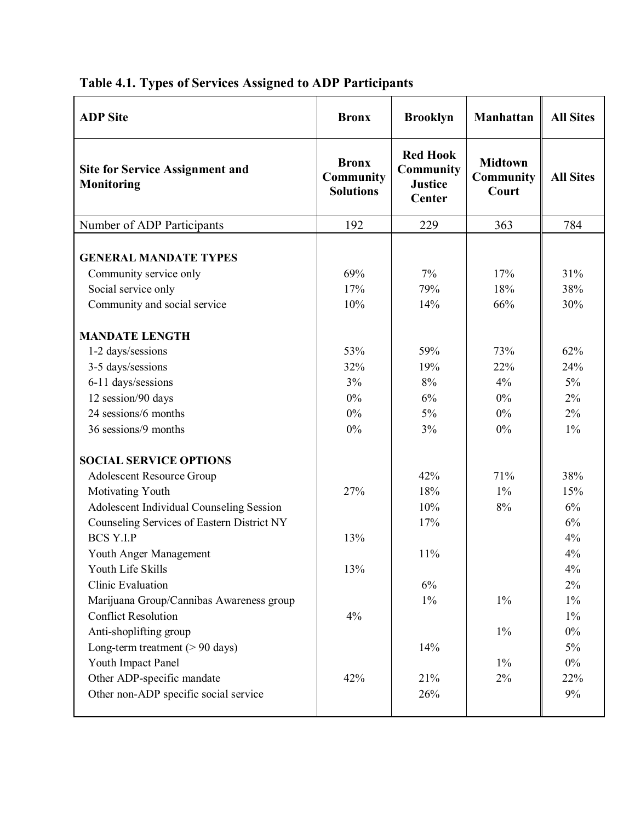| <b>Bronx</b>                                  | <b>Brooklyn</b>                                                 | Manhattan                                             | <b>All Sites</b>                                                  |
|-----------------------------------------------|-----------------------------------------------------------------|-------------------------------------------------------|-------------------------------------------------------------------|
| <b>Bronx</b><br>Community<br><b>Solutions</b> | <b>Red Hook</b><br><b>Community</b><br><b>Justice</b><br>Center | <b>Midtown</b><br><b>Community</b><br>Court           | <b>All Sites</b>                                                  |
| 192                                           | 229                                                             | 363                                                   | 784                                                               |
| 69%<br>17%                                    | 7%<br>79%                                                       | 17%<br>18%                                            | 31%<br>38%                                                        |
| 10%                                           | 14%                                                             | 66%                                                   | 30%                                                               |
| 53%                                           | 59%                                                             | 73%                                                   | 62%                                                               |
| 32%                                           | 19%                                                             | 22%                                                   | 24%                                                               |
|                                               |                                                                 |                                                       | 5%                                                                |
|                                               |                                                                 |                                                       | 2%                                                                |
|                                               |                                                                 |                                                       | 2%                                                                |
|                                               |                                                                 |                                                       | $1\%$                                                             |
|                                               |                                                                 |                                                       |                                                                   |
|                                               | 42%                                                             | 71%                                                   | 38%                                                               |
| 27%                                           | 18%                                                             | $1\%$                                                 | 15%                                                               |
|                                               | 10%                                                             | $8\%$                                                 | 6%                                                                |
|                                               | 17%                                                             |                                                       | 6%                                                                |
| 13%                                           |                                                                 |                                                       | 4%                                                                |
|                                               | 11%                                                             |                                                       | 4%                                                                |
| 13%                                           |                                                                 |                                                       | 4%                                                                |
|                                               | 6%                                                              |                                                       | 2%                                                                |
|                                               |                                                                 |                                                       | $1\%$                                                             |
|                                               |                                                                 |                                                       | $1\%$                                                             |
|                                               |                                                                 |                                                       | $0\%$                                                             |
|                                               |                                                                 |                                                       | 5%                                                                |
|                                               |                                                                 |                                                       | $0\%$                                                             |
|                                               |                                                                 |                                                       | 22%                                                               |
|                                               |                                                                 |                                                       | $9\%$                                                             |
|                                               | 3%<br>$0\%$<br>$0\%$<br>$0\%$<br>4%<br>42%                      | 8%<br>6%<br>$5\%$<br>3%<br>$1\%$<br>14%<br>21%<br>26% | 4%<br>$0\%$<br>$0\%$<br>$0\%$<br>$1\%$<br>$1\%$<br>$1\%$<br>$2\%$ |

# **Table 4.1. Types of Services Assigned to ADP Participants**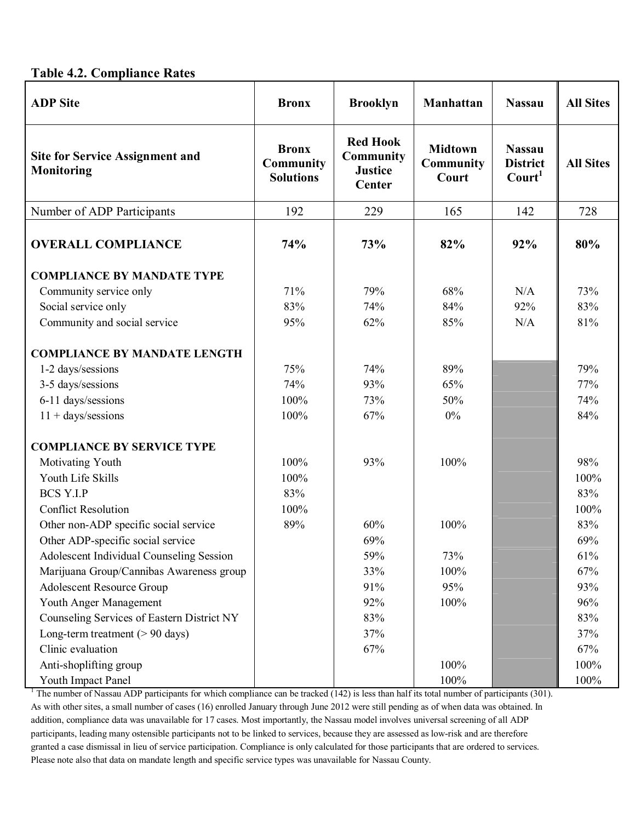#### **Table 4.2. Compliance Rates**

| <b>ADP</b> Site                                             | <b>Bronx</b>                                  | <b>Brooklyn</b>                                                 | Manhattan                                   | <b>Nassau</b>                                          | <b>All Sites</b> |
|-------------------------------------------------------------|-----------------------------------------------|-----------------------------------------------------------------|---------------------------------------------|--------------------------------------------------------|------------------|
| <b>Site for Service Assignment and</b><br><b>Monitoring</b> | <b>Bronx</b><br>Community<br><b>Solutions</b> | <b>Red Hook</b><br><b>Community</b><br><b>Justice</b><br>Center | <b>Midtown</b><br><b>Community</b><br>Court | <b>Nassau</b><br><b>District</b><br>Count <sup>1</sup> | <b>All Sites</b> |
| Number of ADP Participants                                  | 192                                           | 229                                                             | 165                                         | 142                                                    | 728              |
| <b>OVERALL COMPLIANCE</b>                                   | 74%                                           | 73%                                                             | 82%                                         | 92%                                                    | 80%              |
| <b>COMPLIANCE BY MANDATE TYPE</b>                           |                                               |                                                                 |                                             |                                                        |                  |
| Community service only                                      | 71%                                           | 79%                                                             | 68%                                         | N/A                                                    | 73%              |
| Social service only                                         | 83%                                           | 74%                                                             | 84%                                         | 92%                                                    | 83%              |
| Community and social service                                | 95%                                           | 62%                                                             | 85%                                         | N/A                                                    | 81%              |
| <b>COMPLIANCE BY MANDATE LENGTH</b>                         |                                               |                                                                 |                                             |                                                        |                  |
| 1-2 days/sessions                                           | 75%                                           | 74%                                                             | 89%                                         |                                                        | 79%              |
| 3-5 days/sessions                                           | 74%                                           | 93%                                                             | 65%                                         |                                                        | 77%              |
| 6-11 days/sessions                                          | 100%                                          | 73%                                                             | 50%                                         |                                                        | 74%              |
| $11 + \frac{days}{sessions}$                                | 100%                                          | 67%                                                             | $0\%$                                       |                                                        | 84%              |
| <b>COMPLIANCE BY SERVICE TYPE</b>                           |                                               |                                                                 |                                             |                                                        |                  |
| Motivating Youth                                            | 100%                                          | 93%                                                             | 100%                                        |                                                        | 98%              |
| Youth Life Skills                                           | 100%                                          |                                                                 |                                             |                                                        | 100%             |
| <b>BCS Y.I.P</b>                                            | 83%                                           |                                                                 |                                             |                                                        | 83%              |
| <b>Conflict Resolution</b>                                  | 100%                                          |                                                                 |                                             |                                                        | 100%             |
| Other non-ADP specific social service                       | 89%                                           | 60%                                                             | 100%                                        |                                                        | 83%              |
| Other ADP-specific social service                           |                                               | 69%                                                             |                                             |                                                        | 69%              |
| Adolescent Individual Counseling Session                    |                                               | 59%                                                             | 73%                                         |                                                        | 61%              |
| Marijuana Group/Cannibas Awareness group                    |                                               | 33%                                                             | 100%                                        |                                                        | 67%              |
| <b>Adolescent Resource Group</b>                            |                                               | 91%                                                             | 95%                                         |                                                        | 93%              |
| Youth Anger Management                                      |                                               | 92%                                                             | 100%                                        |                                                        | 96%              |
| Counseling Services of Eastern District NY                  |                                               | 83%                                                             |                                             |                                                        | 83%              |
| Long-term treatment $(> 90 \text{ days})$                   |                                               | 37%                                                             |                                             |                                                        | 37%              |
| Clinic evaluation                                           |                                               | 67%                                                             |                                             |                                                        | 67%              |
| Anti-shoplifting group                                      |                                               |                                                                 | 100%                                        |                                                        | 100%             |
| Youth Impact Panel                                          |                                               |                                                                 | 100%                                        |                                                        | 100%             |

<sup>1</sup> The number of Nassau ADP participants for which compliance can be tracked  $(142)$  is less than half its total number of participants  $(301)$ . As with other sites, a small number of cases (16) enrolled January through June 2012 were still pending as of when data was obtained. In addition, compliance data was unavailable for 17 cases. Most importantly, the Nassau model involves universal screening of all ADP participants, leading many ostensible participants not to be linked to services, because they are assessed as low-risk and are therefore granted a case dismissal in lieu of service participation. Compliance is only calculated for those participants that are ordered to services. Please note also that data on mandate length and specific service types was unavailable for Nassau County.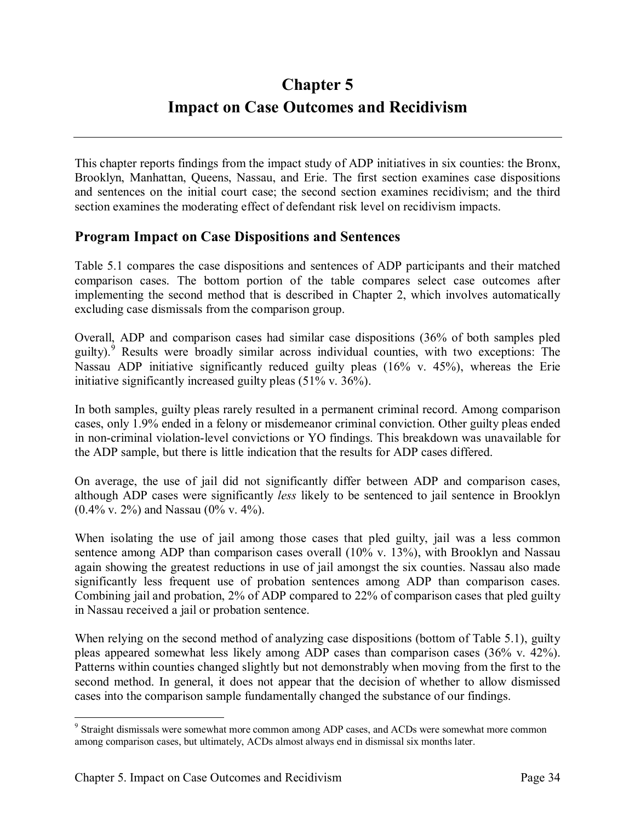# **Chapter 5 Impact on Case Outcomes and Recidivism**

This chapter reports findings from the impact study of ADP initiatives in six counties: the Bronx, Brooklyn, Manhattan, Queens, Nassau, and Erie. The first section examines case dispositions and sentences on the initial court case; the second section examines recidivism; and the third section examines the moderating effect of defendant risk level on recidivism impacts.

## **Program Impact on Case Dispositions and Sentences**

Table 5.1 compares the case dispositions and sentences of ADP participants and their matched comparison cases. The bottom portion of the table compares select case outcomes after implementing the second method that is described in Chapter 2, which involves automatically excluding case dismissals from the comparison group.

Overall, ADP and comparison cases had similar case dispositions (36% of both samples pled guilty).<sup>9</sup> Results were broadly similar across individual counties, with two exceptions: The Nassau ADP initiative significantly reduced guilty pleas (16% v. 45%), whereas the Erie initiative significantly increased guilty pleas (51% v. 36%).

In both samples, guilty pleas rarely resulted in a permanent criminal record. Among comparison cases, only 1.9% ended in a felony or misdemeanor criminal conviction. Other guilty pleas ended in non-criminal violation-level convictions or YO findings. This breakdown was unavailable for the ADP sample, but there is little indication that the results for ADP cases differed.

On average, the use of jail did not significantly differ between ADP and comparison cases, although ADP cases were significantly *less* likely to be sentenced to jail sentence in Brooklyn (0.4% v. 2%) and Nassau (0% v. 4%).

When isolating the use of jail among those cases that pled guilty, jail was a less common sentence among ADP than comparison cases overall (10% v. 13%), with Brooklyn and Nassau again showing the greatest reductions in use of jail amongst the six counties. Nassau also made significantly less frequent use of probation sentences among ADP than comparison cases. Combining jail and probation, 2% of ADP compared to 22% of comparison cases that pled guilty in Nassau received a jail or probation sentence.

When relying on the second method of analyzing case dispositions (bottom of Table 5.1), guilty pleas appeared somewhat less likely among ADP cases than comparison cases (36% v. 42%). Patterns within counties changed slightly but not demonstrably when moving from the first to the second method. In general, it does not appear that the decision of whether to allow dismissed cases into the comparison sample fundamentally changed the substance of our findings.

<sup>&</sup>lt;sup>9</sup> Straight dismissals were somewhat more common among ADP cases, and ACDs were somewhat more common among comparison cases, but ultimately, ACDs almost always end in dismissal six months later.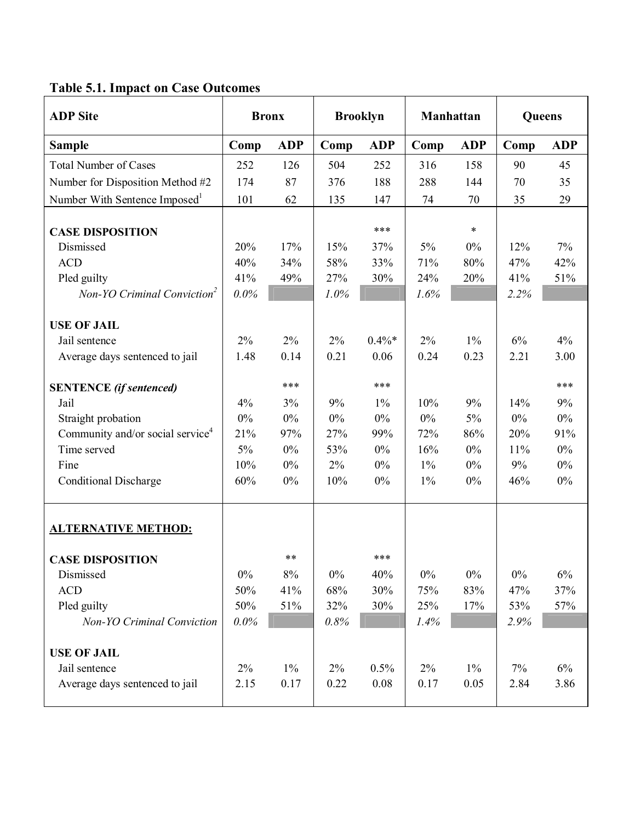# **Table 5.1. Impact on Case Outcomes**

| <b>ADP</b> Site                              | <b>Bronx</b> |            | <b>Brooklyn</b> |            | <b>Manhattan</b> |            | Queens |            |
|----------------------------------------------|--------------|------------|-----------------|------------|------------------|------------|--------|------------|
| <b>Sample</b>                                | Comp         | <b>ADP</b> | Comp            | <b>ADP</b> | Comp             | <b>ADP</b> | Comp   | <b>ADP</b> |
| <b>Total Number of Cases</b>                 | 252          | 126        | 504             | 252        | 316              | 158        | 90     | 45         |
| Number for Disposition Method #2             | 174          | 87         | 376             | 188        | 288              | 144        | 70     | 35         |
| Number With Sentence Imposed <sup>1</sup>    | 101          | 62         | 135             | 147        | 74               | 70         | 35     | 29         |
|                                              |              |            |                 |            |                  |            |        |            |
| <b>CASE DISPOSITION</b>                      |              |            |                 | ***        |                  | $\ast$     |        |            |
| Dismissed                                    | 20%          | 17%        | 15%             | 37%        | 5%               | 0%         | 12%    | 7%         |
| <b>ACD</b>                                   | 40%          | 34%        | 58%             | 33%        | 71%              | 80%        | 47%    | 42%        |
| Pled guilty                                  | 41%          | 49%        | 27%             | 30%        | 24%              | 20%        | 41%    | 51%        |
| Non-YO Criminal Conviction <sup>2</sup>      | 0.0%         |            | 1.0%            |            | 1.6%             |            | 2.2%   |            |
| <b>USE OF JAIL</b>                           |              |            |                 |            |                  |            |        |            |
| Jail sentence                                | 2%           | $2\%$      | 2%              | $0.4\%*$   | 2%               | $1\%$      | 6%     | 4%         |
| Average days sentenced to jail               | 1.48         | 0.14       | 0.21            | 0.06       | 0.24             | 0.23       | 2.21   | 3.00       |
|                                              |              |            |                 |            |                  |            |        |            |
| <b>SENTENCE</b> (if sentenced)               |              | ***        |                 | ***        |                  |            |        | ***        |
| Jail                                         | 4%           | 3%         | 9%              | $1\%$      | 10%              | 9%         | 14%    | 9%         |
| Straight probation                           | $0\%$        | $0\%$      | $0\%$           | $0\%$      | $0\%$            | $5\%$      | $0\%$  | $0\%$      |
| Community and/or social service <sup>4</sup> | 21%          | 97%        | 27%             | 99%        | 72%              | 86%        | 20%    | 91%        |
| Time served                                  | $5\%$        | $0\%$      | 53%             | $0\%$      | 16%              | $0\%$      | 11%    | $0\%$      |
| Fine                                         | 10%          | $0\%$      | 2%              | $0\%$      | $1\%$            | $0\%$      | 9%     | $0\%$      |
| <b>Conditional Discharge</b>                 | 60%          | $0\%$      | 10%             | $0\%$      | $1\%$            | $0\%$      | 46%    | $0\%$      |
|                                              |              |            |                 |            |                  |            |        |            |
| <b>ALTERNATIVE METHOD:</b>                   |              |            |                 |            |                  |            |        |            |
| <b>CASE DISPOSITION</b>                      |              | **         |                 | ***        |                  |            |        |            |
| Dismissed                                    | $0\%$        | $8\%$      | $0\%$           | 40%        | $0\%$            | $0\%$      | $0\%$  | $6\%$      |
| <b>ACD</b>                                   | 50%          | 41%        | 68%             | 30%        | 75%              | 83%        | 47%    | 37%        |
| Pled guilty                                  | 50%          | 51%        | 32%             | 30%        | 25%              | 17%        | 53%    | 57%        |
| Non-YO Criminal Conviction                   | 0.0%         |            | 0.8%            |            | 1.4%             |            | 2.9%   |            |
|                                              |              |            |                 |            |                  |            |        |            |
| <b>USE OF JAIL</b>                           |              |            |                 |            |                  |            |        |            |
| Jail sentence                                | $2\%$        | $1\%$      | $2\%$           | 0.5%       | $2\%$            | $1\%$      | $7\%$  | 6%         |
| Average days sentenced to jail               | 2.15         | 0.17       | 0.22            | 0.08       | 0.17             | 0.05       | 2.84   | 3.86       |
|                                              |              |            |                 |            |                  |            |        |            |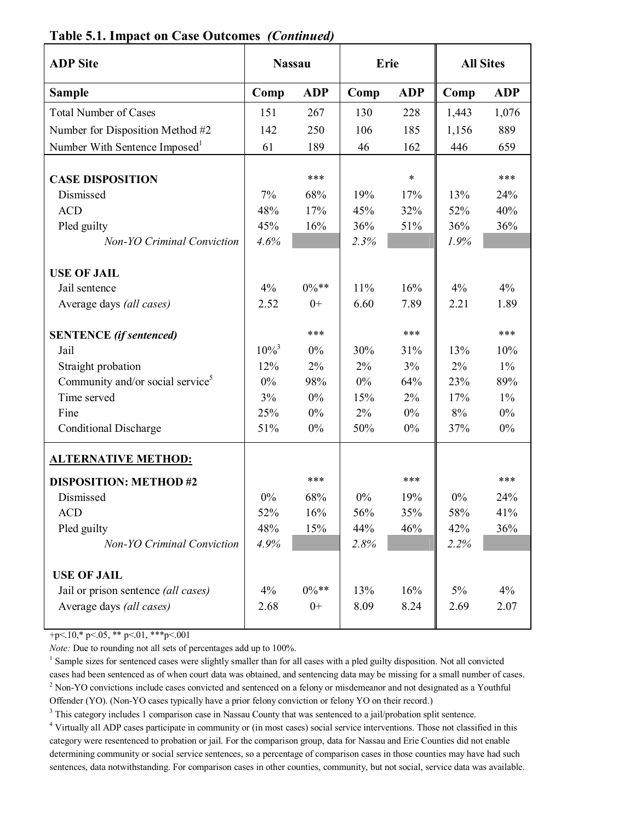| <b>ADP</b> Site                              | <b>Nassau</b> |            |       | Erie       |       | <b>All Sites</b> |
|----------------------------------------------|---------------|------------|-------|------------|-------|------------------|
| <b>Sample</b>                                | Comp          | <b>ADP</b> | Comp  | <b>ADP</b> | Comp  | <b>ADP</b>       |
| <b>Total Number of Cases</b>                 | 151           | 267        | 130   | 228        | 1,443 | 1,076            |
| Number for Disposition Method #2             | 142           | 250        | 106   | 185        | 1,156 | 889              |
| Number With Sentence Imposed <sup>1</sup>    | 61            | 189        | 46    | 162        | 446   | 659              |
|                                              |               |            |       |            |       |                  |
| <b>CASE DISPOSITION</b>                      |               | ***        |       | $\ast$     |       | ***              |
| Dismissed                                    | 7%            | 68%        | 19%   | 17%        | 13%   | 24%              |
| <b>ACD</b>                                   | 48%           | 17%        | 45%   | 32%        | 52%   | 40%              |
| Pled guilty                                  | 45%           | 16%        | 36%   | 51%        | 36%   | 36%              |
| <b>Non-YO Criminal Conviction</b>            | 4.6%          |            | 2.3%  |            | 1.9%  |                  |
|                                              |               |            |       |            |       |                  |
| <b>USE OF JAIL</b>                           |               |            |       |            |       |                  |
| Jail sentence                                | 4%            | $0\%$ **   | 11%   | 16%        | 4%    | 4%               |
| Average days (all cases)                     | 2.52          | $0+$       | 6.60  | 7.89       | 2.21  | 1.89             |
| <b>SENTENCE</b> (if sentenced)               |               | ***        |       | ***        |       | ***              |
| Jail                                         | $10\%^{3}$    | 0%         | 30%   | 31%        | 13%   | 10%              |
| Straight probation                           | 12%           | 2%         | 2%    | 3%         | 2%    | $1\%$            |
| Community and/or social service <sup>5</sup> | 0%            | 98%        | $0\%$ | 64%        | 23%   | 89%              |
| Time served                                  | 3%            | $0\%$      | 15%   | 2%         | 17%   | $1\%$            |
| Fine                                         | 25%           | 0%         | 2%    | 0%         | 8%    | $0\%$            |
| <b>Conditional Discharge</b>                 | 51%           | 0%         | 50%   | $0\%$      | 37%   | $0\%$            |
| <b>ALTERNATIVE METHOD:</b>                   |               |            |       |            |       |                  |
|                                              |               |            |       |            |       |                  |
| <b>DISPOSITION: METHOD #2</b>                |               | ***        |       | ***        |       | ***              |
| Dismissed                                    | 0%            | 68%        | 0%    | 19%        | 0%    | 24%              |
| ACD                                          | 52%           | 16%        | 56%   | 35%        | 58%   | 41%              |
| Pled guilty                                  | 48%           | 15%        | 44%   | 46%        | 42%   | 36%              |
| <b>Non-YO Criminal Conviction</b>            | 4.9%          |            | 2.8%  |            | 2.2%  |                  |
|                                              |               |            |       |            |       |                  |
| <b>USE OF JAIL</b>                           | 4%            | $0\%**$    |       |            |       | 4%               |
| Jail or prison sentence <i>(all cases)</i>   |               |            | 13%   | 16%        | 5%    |                  |
| Average days (all cases)                     | 2.68          | $0+$       | 8.09  | 8.24       | 2.69  | 2.07             |

#### **Table 5.1. Impact on Case Outcomes** *(Continued)*

+p<.10,\* p<.05, \*\* p<.01, \*\*\*p<.001

*Note:* Due to rounding not all sets of percentages add up to 100%.

<sup>1</sup> Sample sizes for sentenced cases were slightly smaller than for all cases with a pled guilty disposition. Not all convicted cases had been sentenced as of when court data was obtained, and sentencing data may be missing for a small number of cases. <sup>2</sup> Non-YO convictions include cases convicted and sentenced on a felony or misdemeanor and not designated as a Youthful

Offender (YO). (Non-YO cases typically have a prior felony conviction or felony YO on their record.) 3 This category includes 1 comparison case in Nassau County that was sentenced to a jail/probation split sentence.

<sup>4</sup> Virtually all ADP cases participate in community or (in most cases) social service interventions. Those not classified in this category were resentenced to probation or jail. For the comparison group, data for Nassau and Erie Counties did not enable determining community or social service sentences, so a percentage of comparison cases in those counties may have had such sentences, data notwithstanding. For comparison cases in other counties, community, but not social, service data was available.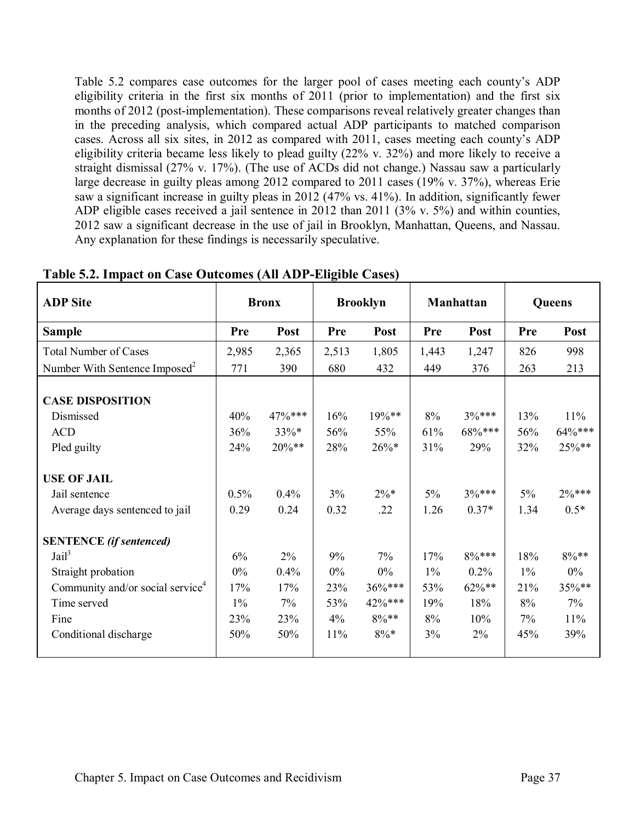Table 5.2 compares case outcomes for the larger pool of cases meeting each county's ADP eligibility criteria in the first six months of 2011 (prior to implementation) and the first six months of 2012 (post-implementation). These comparisons reveal relatively greater changes than in the preceding analysis, which compared actual ADP participants to matched comparison cases. Across all six sites, in 2012 as compared with 2011, cases meeting each county's ADP eligibility criteria became less likely to plead guilty (22% v. 32%) and more likely to receive a straight dismissal (27% v. 17%). (The use of ACDs did not change.) Nassau saw a particularly large decrease in guilty pleas among 2012 compared to 2011 cases (19% v. 37%), whereas Erie saw a significant increase in guilty pleas in 2012 (47% vs. 41%). In addition, significantly fewer ADP eligible cases received a jail sentence in 2012 than 2011 (3% v. 5%) and within counties, 2012 saw a significant decrease in the use of jail in Brooklyn, Manhattan, Queens, and Nassau. Any explanation for these findings is necessarily speculative.

| <b>ADP</b> Site                                                                                                                                                           |                                           | <b>Brooklyn</b><br><b>Bronx</b>               |                                        | Manhattan                                                |                                        | Queens                                           |                                        |                                                  |
|---------------------------------------------------------------------------------------------------------------------------------------------------------------------------|-------------------------------------------|-----------------------------------------------|----------------------------------------|----------------------------------------------------------|----------------------------------------|--------------------------------------------------|----------------------------------------|--------------------------------------------------|
| <b>Sample</b>                                                                                                                                                             | <b>Pre</b>                                | Post                                          | <b>Pre</b>                             | Post                                                     | <b>Pre</b>                             | Post                                             | <b>Pre</b>                             | Post                                             |
| <b>Total Number of Cases</b>                                                                                                                                              | 2,985                                     | 2,365                                         | 2,513                                  | 1,805                                                    | 1,443                                  | 1,247                                            | 826                                    | 998                                              |
| Number With Sentence Imposed <sup>2</sup>                                                                                                                                 | 771                                       | 390                                           | 680                                    | 432                                                      | 449                                    | 376                                              | 263                                    | 213                                              |
| <b>CASE DISPOSITION</b><br>Dismissed<br><b>ACD</b><br>Pled guilty<br><b>USE OF JAIL</b><br>Jail sentence<br>Average days sentenced to jail                                | 40%<br>36%<br>24%<br>0.5%<br>0.29         | $47\%***$<br>33%*<br>$20\%**$<br>0.4%<br>0.24 | 16%<br>56%<br>28%<br>3%<br>0.32        | 19%**<br>55%<br>$26\%*$<br>$2\% *$<br>.22                | 8%<br>61%<br>31%<br>$5\%$<br>1.26      | $3\%***$<br>68%***<br>29%<br>$3\%***$<br>$0.37*$ | 13%<br>56%<br>32%<br>$5\%$<br>1.34     | 11%<br>$64\%***$<br>25%**<br>$2\%***$<br>$0.5*$  |
| <b>SENTENCE</b> (if sentenced)<br>Jail <sup>3</sup><br>Straight probation<br>Community and/or social service <sup>4</sup><br>Time served<br>Fine<br>Conditional discharge | 6%<br>$0\%$<br>17%<br>$1\%$<br>23%<br>50% | 2%<br>0.4%<br>17%<br>7%<br>23%<br>50%         | 9%<br>$0\%$<br>23%<br>53%<br>4%<br>11% | $7\%$<br>0%<br>$36\%***$<br>42%***<br>$8\%**$<br>$8\% *$ | 17%<br>$1\%$<br>53%<br>19%<br>8%<br>3% | $8\%***$<br>0.2%<br>$62\%**$<br>18%<br>10%<br>2% | 18%<br>$1\%$<br>21%<br>8%<br>7%<br>45% | $8\%**$<br>$0\%$<br>35%**<br>$7\%$<br>11%<br>39% |

**Table 5.2. Impact on Case Outcomes (All ADP-Eligible Cases)**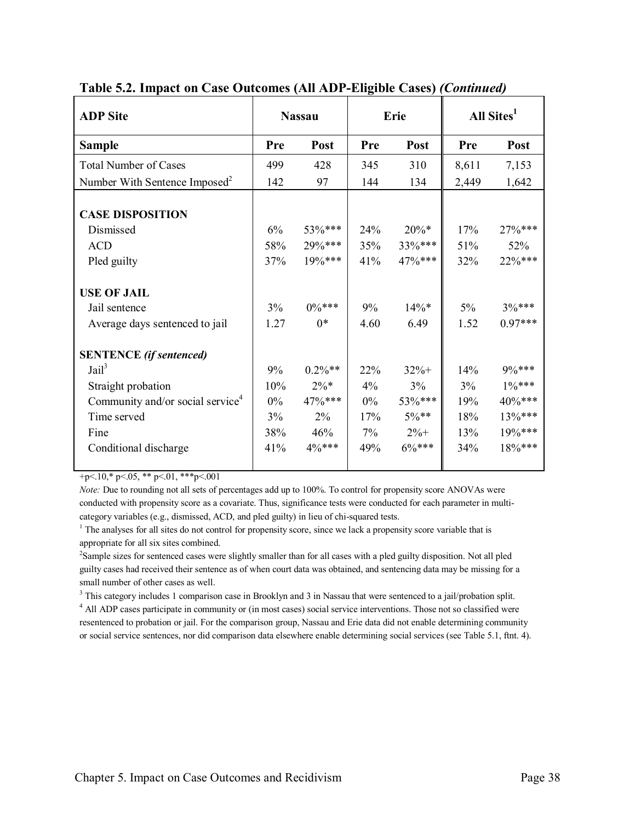|                                        | <b>Nassau</b>                                              |                                           |                                                           |                                       | All Sites <sup>1</sup>                                    |
|----------------------------------------|------------------------------------------------------------|-------------------------------------------|-----------------------------------------------------------|---------------------------------------|-----------------------------------------------------------|
| Pre                                    | Post                                                       | Pre                                       | Post                                                      | Pre                                   | Post                                                      |
| 499                                    | 428                                                        | 345                                       | 310                                                       | 8,611                                 | 7,153                                                     |
| 142                                    | 97                                                         | 144                                       | 134                                                       | 2,449                                 | 1,642                                                     |
| 6%<br>58%<br>37%                       | 53%***<br>$29\%***$<br>$19\%***$                           | 24%<br>35%<br>41%                         | $20\%*$<br>33%***<br>47%***                               | 17%<br>51%<br>32%                     | 27%***<br>52%<br>$22\%***$                                |
| $3\%$<br>1.27                          | $0\%***$<br>$0*$                                           | 9%<br>4.60                                | $14\%*$<br>6.49                                           | $5\%$<br>1.52                         | $3%***$<br>$0.97***$                                      |
| 9%<br>10%<br>$0\%$<br>3%<br>38%<br>41% | $0.2\%**$<br>$2\% *$<br>47%***<br>$2\%$<br>46%<br>$4\%***$ | 22%<br>$4\%$<br>$0\%$<br>17%<br>7%<br>49% | $32%+$<br>3%<br>53%***<br>$5\%$ **<br>$2\% +$<br>$6\%***$ | 14%<br>3%<br>19%<br>18%<br>13%<br>34% | 9%***<br>$1\%***$<br>40%***<br>13%***<br>19%***<br>18%*** |
|                                        |                                                            |                                           |                                                           | Erie                                  |                                                           |

**Table 5.2. Impact on Case Outcomes (All ADP-Eligible Cases)** *(Continued)*

+p<.10,\* p<.05, \*\* p<.01, \*\*\*p<.001

*Note:* Due to rounding not all sets of percentages add up to 100%. To control for propensity score ANOVAs were conducted with propensity score as a covariate. Thus, significance tests were conducted for each parameter in multicategory variables (e.g., dismissed, ACD, and pled guilty) in lieu of chi-squared tests.

 $2$ Sample sizes for sentenced cases were slightly smaller than for all cases with a pled guilty disposition. Not all pled guilty cases had received their sentence as of when court data was obtained, and sentencing data may be missing for a small number of other cases as well.

<sup>3</sup> This category includes 1 comparison case in Brooklyn and 3 in Nassau that were sentenced to a jail/probation split.

<sup>4</sup> All ADP cases participate in community or (in most cases) social service interventions. Those not so classified were resentenced to probation or jail. For the comparison group, Nassau and Erie data did not enable determining community or social service sentences, nor did comparison data elsewhere enable determining social services (see Table 5.1, ftnt. 4).

 $1$  The analyses for all sites do not control for propensity score, since we lack a propensity score variable that is appropriate for all six sites combined.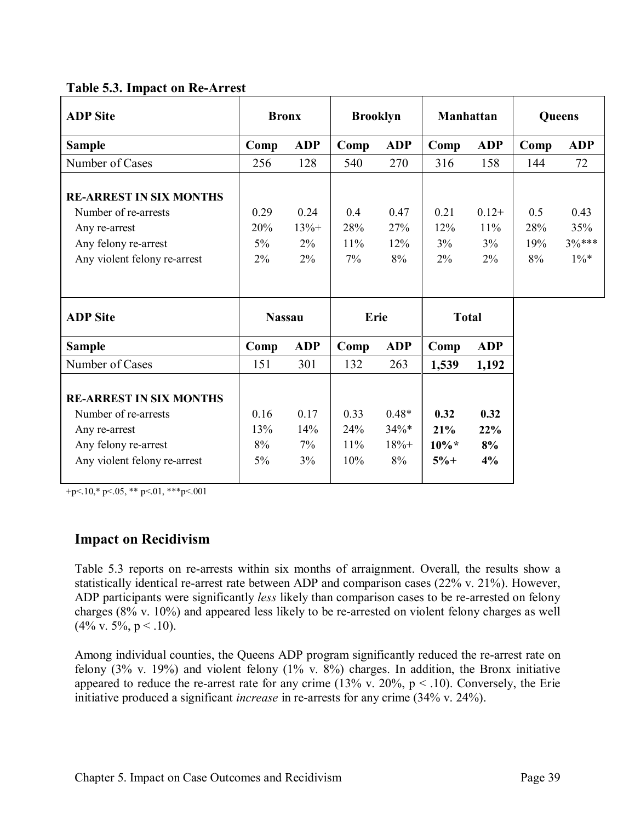## **Table 5.3. Impact on Re-Arrest**

| <b>ADP</b> Site                                                                                                                 | <b>Bronx</b>               |                                   | <b>Brooklyn</b>         |                          | <b>Manhattan</b>        |                                  | Queens                  |                                  |
|---------------------------------------------------------------------------------------------------------------------------------|----------------------------|-----------------------------------|-------------------------|--------------------------|-------------------------|----------------------------------|-------------------------|----------------------------------|
| <b>Sample</b>                                                                                                                   | Comp                       | <b>ADP</b>                        | Comp                    | <b>ADP</b>               | Comp                    | <b>ADP</b>                       | Comp                    | <b>ADP</b>                       |
| Number of Cases                                                                                                                 | 256                        | 128                               | 540                     | 270                      | 316                     | 158                              | 144                     | 72                               |
| <b>RE-ARREST IN SIX MONTHS</b><br>Number of re-arrests<br>Any re-arrest<br>Any felony re-arrest<br>Any violent felony re-arrest | 0.29<br>20%<br>$5\%$<br>2% | 0.24<br>$13% +$<br>$2\%$<br>$2\%$ | 0.4<br>28%<br>11%<br>7% | 0.47<br>27%<br>12%<br>8% | 0.21<br>12%<br>3%<br>2% | $0.12+$<br>11%<br>$3\%$<br>$2\%$ | 0.5<br>28%<br>19%<br>8% | 0.43<br>35%<br>$3%***$<br>$1\%*$ |
| <b>ADP</b> Site                                                                                                                 | <b>Nassau</b>              |                                   | Erie                    |                          | <b>Total</b>            |                                  |                         |                                  |
| <b>Sample</b>                                                                                                                   | Comp                       | <b>ADP</b>                        | Comp                    | <b>ADP</b>               | Comp                    | <b>ADP</b>                       |                         |                                  |
| Number of Cases                                                                                                                 | 151                        | 301                               | 132                     | 263                      | 1,539                   | 1,192                            |                         |                                  |
|                                                                                                                                 |                            |                                   |                         |                          |                         |                                  |                         |                                  |

+p<.10,\* p<.05, \*\* p<.01, \*\*\*p<.001

#### **Impact on Recidivism**

Table 5.3 reports on re-arrests within six months of arraignment. Overall, the results show a statistically identical re-arrest rate between ADP and comparison cases (22% v. 21%). However, ADP participants were significantly *less* likely than comparison cases to be re-arrested on felony charges (8% v. 10%) and appeared less likely to be re-arrested on violent felony charges as well  $(4\%$  v. 5%, p < .10).

Among individual counties, the Queens ADP program significantly reduced the re-arrest rate on felony (3% v. 19%) and violent felony (1% v. 8%) charges. In addition, the Bronx initiative appeared to reduce the re-arrest rate for any crime (13% v. 20%,  $p < .10$ ). Conversely, the Erie initiative produced a significant *increase* in re-arrests for any crime (34% v. 24%).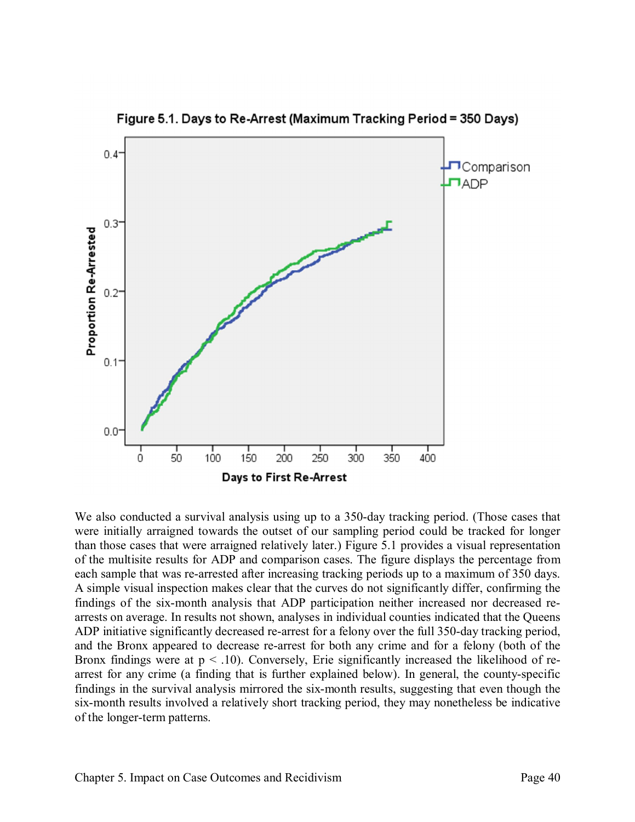

Figure 5.1. Days to Re-Arrest (Maximum Tracking Period = 350 Days)

We also conducted a survival analysis using up to a 350-day tracking period. (Those cases that were initially arraigned towards the outset of our sampling period could be tracked for longer than those cases that were arraigned relatively later.) Figure 5.1 provides a visual representation of the multisite results for ADP and comparison cases. The figure displays the percentage from each sample that was re-arrested after increasing tracking periods up to a maximum of 350 days. A simple visual inspection makes clear that the curves do not significantly differ, confirming the findings of the six-month analysis that ADP participation neither increased nor decreased rearrests on average. In results not shown, analyses in individual counties indicated that the Queens ADP initiative significantly decreased re-arrest for a felony over the full 350-day tracking period, and the Bronx appeared to decrease re-arrest for both any crime and for a felony (both of the Bronx findings were at  $p < .10$ ). Conversely, Erie significantly increased the likelihood of rearrest for any crime (a finding that is further explained below). In general, the county-specific findings in the survival analysis mirrored the six-month results, suggesting that even though the six-month results involved a relatively short tracking period, they may nonetheless be indicative of the longer-term patterns.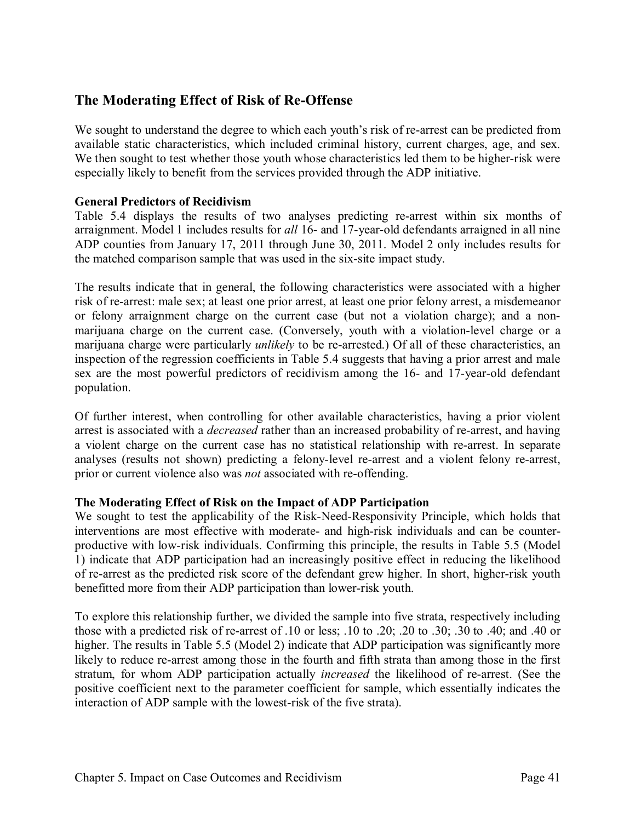## **The Moderating Effect of Risk of Re-Offense**

We sought to understand the degree to which each youth's risk of re-arrest can be predicted from available static characteristics, which included criminal history, current charges, age, and sex. We then sought to test whether those youth whose characteristics led them to be higher-risk were especially likely to benefit from the services provided through the ADP initiative.

#### **General Predictors of Recidivism**

Table 5.4 displays the results of two analyses predicting re-arrest within six months of arraignment. Model 1 includes results for *all* 16- and 17-year-old defendants arraigned in all nine ADP counties from January 17, 2011 through June 30, 2011. Model 2 only includes results for the matched comparison sample that was used in the six-site impact study.

The results indicate that in general, the following characteristics were associated with a higher risk of re-arrest: male sex; at least one prior arrest, at least one prior felony arrest, a misdemeanor or felony arraignment charge on the current case (but not a violation charge); and a nonmarijuana charge on the current case. (Conversely, youth with a violation-level charge or a marijuana charge were particularly *unlikely* to be re-arrested.) Of all of these characteristics, an inspection of the regression coefficients in Table 5.4 suggests that having a prior arrest and male sex are the most powerful predictors of recidivism among the 16- and 17-year-old defendant population.

Of further interest, when controlling for other available characteristics, having a prior violent arrest is associated with a *decreased* rather than an increased probability of re-arrest, and having a violent charge on the current case has no statistical relationship with re-arrest. In separate analyses (results not shown) predicting a felony-level re-arrest and a violent felony re-arrest, prior or current violence also was *not* associated with re-offending.

#### **The Moderating Effect of Risk on the Impact of ADP Participation**

We sought to test the applicability of the Risk-Need-Responsivity Principle, which holds that interventions are most effective with moderate- and high-risk individuals and can be counterproductive with low-risk individuals. Confirming this principle, the results in Table 5.5 (Model 1) indicate that ADP participation had an increasingly positive effect in reducing the likelihood of re-arrest as the predicted risk score of the defendant grew higher. In short, higher-risk youth benefitted more from their ADP participation than lower-risk youth.

To explore this relationship further, we divided the sample into five strata, respectively including those with a predicted risk of re-arrest of .10 or less; .10 to .20; .20 to .30; .30 to .40; and .40 or higher. The results in Table 5.5 (Model 2) indicate that ADP participation was significantly more likely to reduce re-arrest among those in the fourth and fifth strata than among those in the first stratum, for whom ADP participation actually *increased* the likelihood of re-arrest. (See the positive coefficient next to the parameter coefficient for sample, which essentially indicates the interaction of ADP sample with the lowest-risk of the five strata).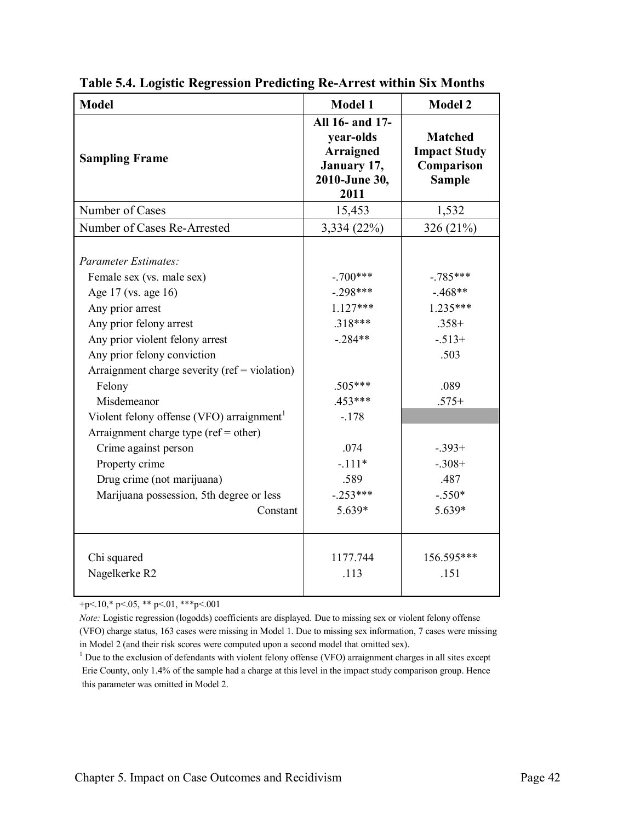| <b>Model</b>                                                                                                                                                                                                                                                                   | <b>Model 1</b>                                                                           | <b>Model 2</b>                                                                         |
|--------------------------------------------------------------------------------------------------------------------------------------------------------------------------------------------------------------------------------------------------------------------------------|------------------------------------------------------------------------------------------|----------------------------------------------------------------------------------------|
| <b>Sampling Frame</b>                                                                                                                                                                                                                                                          | All 16- and 17-<br>year-olds<br><b>Arraigned</b><br>January 17,<br>2010-June 30,<br>2011 | <b>Matched</b><br><b>Impact Study</b><br>Comparison<br><b>Sample</b>                   |
| Number of Cases                                                                                                                                                                                                                                                                | 15,453                                                                                   | 1,532                                                                                  |
| Number of Cases Re-Arrested                                                                                                                                                                                                                                                    | 3,334 (22%)                                                                              | 326 (21%)                                                                              |
| <b>Parameter Estimates:</b><br>Female sex (vs. male sex)<br>Age 17 (vs. age 16)<br>Any prior arrest<br>Any prior felony arrest<br>Any prior violent felony arrest<br>Any prior felony conviction<br>Arraignment charge severity ( $ref = violation$ )<br>Felony<br>Misdemeanor | $-.700***$<br>$-.298***$<br>$1.127***$<br>$.318***$<br>$-.284**$<br>.505***<br>$.453***$ | $-.785***$<br>$-468**$<br>$1.235***$<br>$.358+$<br>$-.513+$<br>.503<br>.089<br>$.575+$ |
| Violent felony offense (VFO) arraignment <sup>1</sup>                                                                                                                                                                                                                          | $-.178$                                                                                  |                                                                                        |
| Arraignment charge type ( $ref = other$ )<br>Crime against person<br>Property crime<br>Drug crime (not marijuana)<br>Marijuana possession, 5th degree or less<br>Constant                                                                                                      | .074<br>$-.111*$<br>.589<br>$-.253***$<br>5.639*                                         | $-.393+$<br>$-.308+$<br>.487<br>$-.550*$<br>5.639*                                     |
| Chi squared<br>Nagelkerke R2                                                                                                                                                                                                                                                   | 1177.744<br>.113                                                                         | 156.595***<br>.151                                                                     |

**Table 5.4. Logistic Regression Predicting Re-Arrest within Six Months**

+p<.10,\* p<.05, \*\* p<.01, \*\*\*p<.001

*Note:* Logistic regression (logodds) coefficients are displayed. Due to missing sex or violent felony offense (VFO) charge status, 163 cases were missing in Model 1. Due to missing sex information, 7 cases were missing in Model 2 (and their risk scores were computed upon a second model that omitted sex).

<sup>1</sup> Due to the exclusion of defendants with violent felony offense (VFO) arraignment charges in all sites except Erie County, only 1.4% of the sample had a charge at this level in the impact study comparison group. Hence this parameter was omitted in Model 2.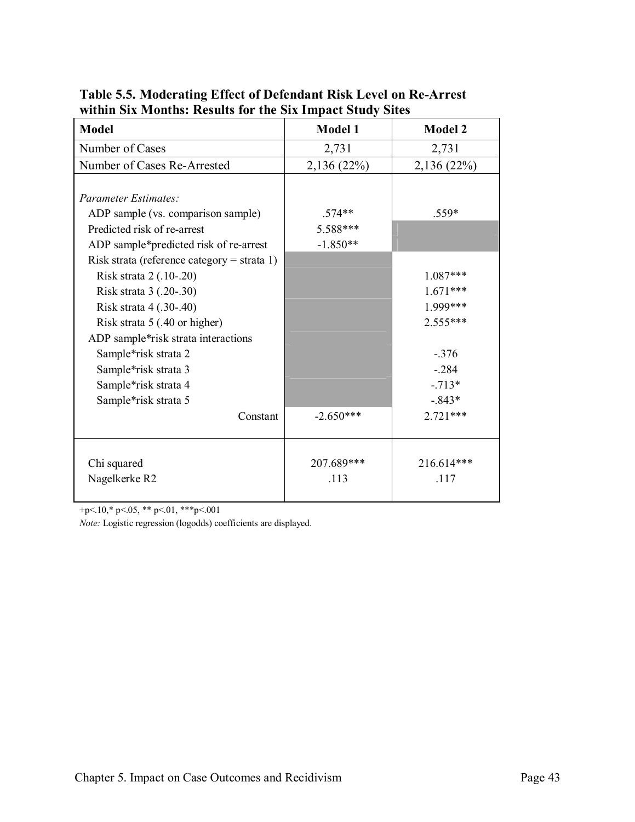| <b>Model</b>                                                                          | <b>Model 1</b> | <b>Model 2</b> |
|---------------------------------------------------------------------------------------|----------------|----------------|
| Number of Cases                                                                       | 2,731          | 2,731          |
| Number of Cases Re-Arrested                                                           | 2,136 (22%)    | 2,136 (22%)    |
| <b>Parameter Estimates:</b><br>ADP sample (vs. comparison sample)                     | $.574**$       | $.559*$        |
| Predicted risk of re-arrest                                                           | 5.588***       |                |
| ADP sample*predicted risk of re-arrest<br>Risk strata (reference category = strata 1) | $-1.850**$     |                |
| Risk strata 2 (.10-.20)                                                               |                | 1.087***       |
| Risk strata 3 (.20-.30)                                                               |                | $1.671***$     |
| Risk strata 4 (.30-.40)                                                               |                | 1.999***       |
| Risk strata 5 (.40 or higher)                                                         |                | $2.555***$     |
| ADP sample*risk strata interactions                                                   |                |                |
| Sample*risk strata 2                                                                  |                | $-.376$        |
| Sample*risk strata 3                                                                  |                | $-.284$        |
| Sample*risk strata 4                                                                  |                | $-.713*$       |
| Sample*risk strata 5                                                                  |                | $-0.843*$      |
| Constant                                                                              | $-2.650***$    | $2.721***$     |
| Chi squared                                                                           | 207.689***     | 216.614***     |
| Nagelkerke R2                                                                         | .113           | .117           |

**Table 5.5. Moderating Effect of Defendant Risk Level on Re-Arrest within Six Months: Results for the Six Impact Study Sites**

+p<.10,\* p<.05, \*\* p<.01, \*\*\*p<.001

*Note:* Logistic regression (logodds) coefficients are displayed.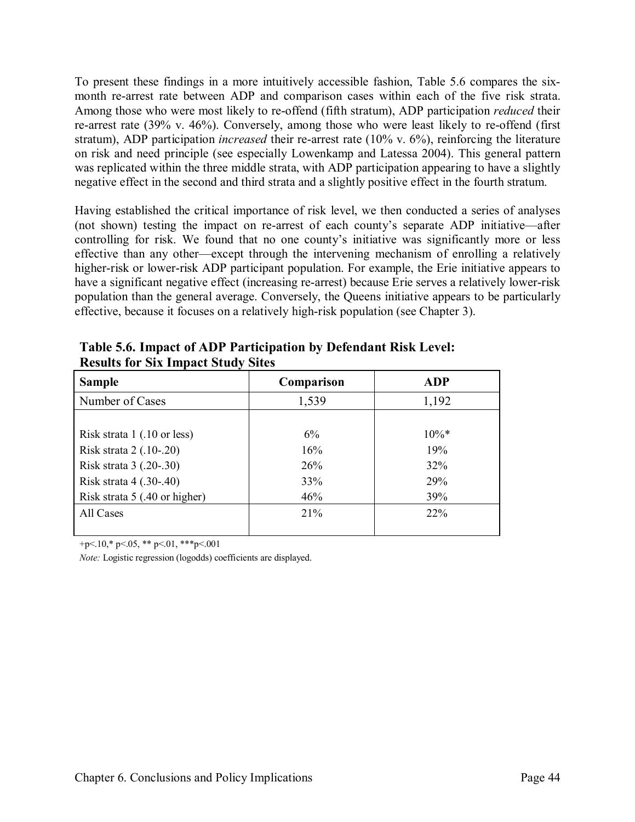To present these findings in a more intuitively accessible fashion, Table 5.6 compares the sixmonth re-arrest rate between ADP and comparison cases within each of the five risk strata. Among those who were most likely to re-offend (fifth stratum), ADP participation *reduced* their re-arrest rate (39% v. 46%). Conversely, among those who were least likely to re-offend (first stratum), ADP participation *increased* their re-arrest rate (10% v. 6%), reinforcing the literature on risk and need principle (see especially Lowenkamp and Latessa 2004). This general pattern was replicated within the three middle strata, with ADP participation appearing to have a slightly negative effect in the second and third strata and a slightly positive effect in the fourth stratum.

Having established the critical importance of risk level, we then conducted a series of analyses (not shown) testing the impact on re-arrest of each county's separate ADP initiative—after controlling for risk. We found that no one county's initiative was significantly more or less effective than any other—except through the intervening mechanism of enrolling a relatively higher-risk or lower-risk ADP participant population. For example, the Erie initiative appears to have a significant negative effect (increasing re-arrest) because Erie serves a relatively lower-risk population than the general average. Conversely, the Queens initiative appears to be particularly effective, because it focuses on a relatively high-risk population (see Chapter 3).

| <b>Sample</b>                                | Comparison | <b>ADP</b> |
|----------------------------------------------|------------|------------|
| Number of Cases                              | 1,539      | 1,192      |
|                                              |            |            |
| Risk strata $1(.10 \text{ or } \text{less})$ | $6\%$      | $10\%*$    |
| Risk strata 2 (.10-.20)                      | 16%        | 19%        |
| Risk strata 3 (.20-.30)                      | 26%        | 32%        |
| Risk strata 4 (.30-.40)                      | 33%        | 29%        |
| Risk strata 5 (.40 or higher)                | 46%        | 39%        |
| All Cases                                    | 21%        | 22%        |
|                                              |            |            |

**Table 5.6. Impact of ADP Participation by Defendant Risk Level: Results for Six Impact Study Sites**

 $+p<.10$ ,\* p $<.05$ , \*\* p $<.01$ , \*\*\*p $<.001$ 

*Note:* Logistic regression (logodds) coefficients are displayed.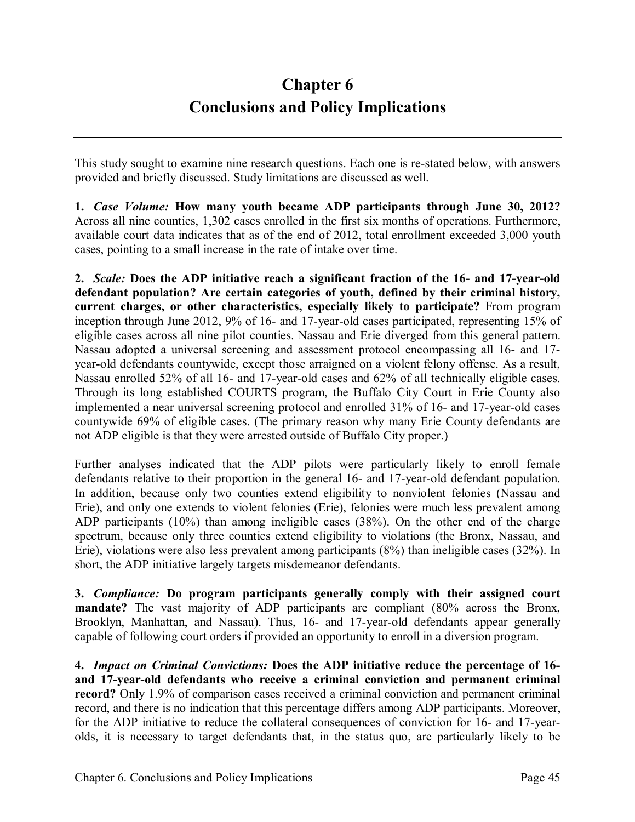# **Chapter 6 Conclusions and Policy Implications**

This study sought to examine nine research questions. Each one is re-stated below, with answers provided and briefly discussed. Study limitations are discussed as well.

**1.** *Case Volume:* **How many youth became ADP participants through June 30, 2012?** Across all nine counties, 1,302 cases enrolled in the first six months of operations. Furthermore, available court data indicates that as of the end of 2012, total enrollment exceeded 3,000 youth cases, pointing to a small increase in the rate of intake over time.

**2.** *Scale:* **Does the ADP initiative reach a significant fraction of the 16- and 17-year-old defendant population? Are certain categories of youth, defined by their criminal history, current charges, or other characteristics, especially likely to participate?** From program inception through June 2012, 9% of 16- and 17-year-old cases participated, representing 15% of eligible cases across all nine pilot counties. Nassau and Erie diverged from this general pattern. Nassau adopted a universal screening and assessment protocol encompassing all 16- and 17 year-old defendants countywide, except those arraigned on a violent felony offense. As a result, Nassau enrolled 52% of all 16- and 17-year-old cases and 62% of all technically eligible cases. Through its long established COURTS program, the Buffalo City Court in Erie County also implemented a near universal screening protocol and enrolled 31% of 16- and 17-year-old cases countywide 69% of eligible cases. (The primary reason why many Erie County defendants are not ADP eligible is that they were arrested outside of Buffalo City proper.)

Further analyses indicated that the ADP pilots were particularly likely to enroll female defendants relative to their proportion in the general 16- and 17-year-old defendant population. In addition, because only two counties extend eligibility to nonviolent felonies (Nassau and Erie), and only one extends to violent felonies (Erie), felonies were much less prevalent among ADP participants (10%) than among ineligible cases (38%). On the other end of the charge spectrum, because only three counties extend eligibility to violations (the Bronx, Nassau, and Erie), violations were also less prevalent among participants (8%) than ineligible cases (32%). In short, the ADP initiative largely targets misdemeanor defendants.

**3.** *Compliance:* **Do program participants generally comply with their assigned court mandate?** The vast majority of ADP participants are compliant (80% across the Bronx, Brooklyn, Manhattan, and Nassau). Thus, 16- and 17-year-old defendants appear generally capable of following court orders if provided an opportunity to enroll in a diversion program.

**4.** *Impact on Criminal Convictions:* **Does the ADP initiative reduce the percentage of 16 and 17-year-old defendants who receive a criminal conviction and permanent criminal record?** Only 1.9% of comparison cases received a criminal conviction and permanent criminal record, and there is no indication that this percentage differs among ADP participants. Moreover, for the ADP initiative to reduce the collateral consequences of conviction for 16- and 17-yearolds, it is necessary to target defendants that, in the status quo, are particularly likely to be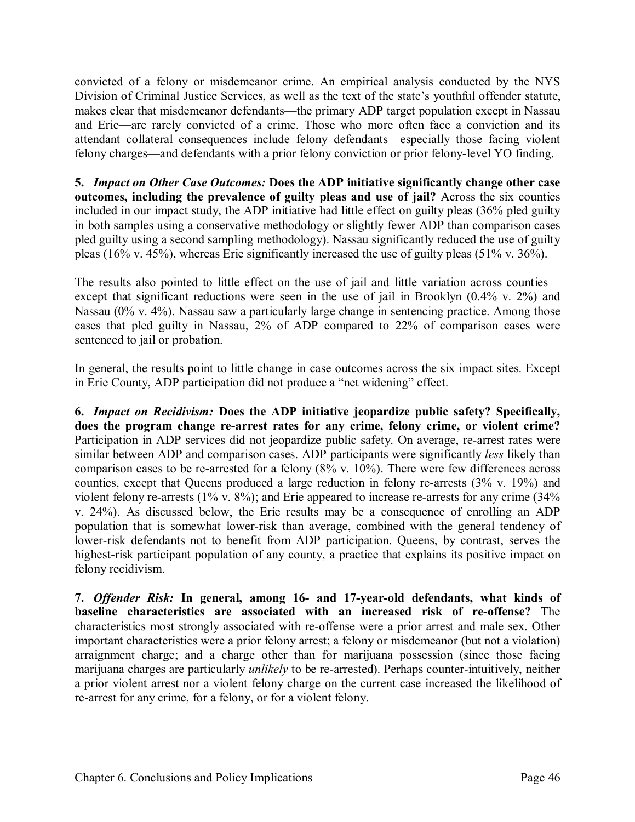convicted of a felony or misdemeanor crime. An empirical analysis conducted by the NYS Division of Criminal Justice Services, as well as the text of the state's youthful offender statute, makes clear that misdemeanor defendants—the primary ADP target population except in Nassau and Erie—are rarely convicted of a crime. Those who more often face a conviction and its attendant collateral consequences include felony defendants—especially those facing violent felony charges—and defendants with a prior felony conviction or prior felony-level YO finding.

**5.** *Impact on Other Case Outcomes:* **Does the ADP initiative significantly change other case outcomes, including the prevalence of guilty pleas and use of jail?** Across the six counties included in our impact study, the ADP initiative had little effect on guilty pleas (36% pled guilty in both samples using a conservative methodology or slightly fewer ADP than comparison cases pled guilty using a second sampling methodology). Nassau significantly reduced the use of guilty pleas (16% v. 45%), whereas Erie significantly increased the use of guilty pleas (51% v. 36%).

The results also pointed to little effect on the use of jail and little variation across counties except that significant reductions were seen in the use of jail in Brooklyn (0.4% v. 2%) and Nassau (0% v. 4%). Nassau saw a particularly large change in sentencing practice. Among those cases that pled guilty in Nassau, 2% of ADP compared to 22% of comparison cases were sentenced to jail or probation.

In general, the results point to little change in case outcomes across the six impact sites. Except in Erie County, ADP participation did not produce a "net widening" effect.

**6.** *Impact on Recidivism:* **Does the ADP initiative jeopardize public safety? Specifically, does the program change re-arrest rates for any crime, felony crime, or violent crime?** Participation in ADP services did not jeopardize public safety. On average, re-arrest rates were similar between ADP and comparison cases. ADP participants were significantly *less* likely than comparison cases to be re-arrested for a felony (8% v. 10%). There were few differences across counties, except that Queens produced a large reduction in felony re-arrests (3% v. 19%) and violent felony re-arrests (1% v. 8%); and Erie appeared to increase re-arrests for any crime (34% v. 24%). As discussed below, the Erie results may be a consequence of enrolling an ADP population that is somewhat lower-risk than average, combined with the general tendency of lower-risk defendants not to benefit from ADP participation. Queens, by contrast, serves the highest-risk participant population of any county, a practice that explains its positive impact on felony recidivism.

**7.** *Offender Risk:* **In general, among 16- and 17-year-old defendants, what kinds of baseline characteristics are associated with an increased risk of re-offense?** The characteristics most strongly associated with re-offense were a prior arrest and male sex. Other important characteristics were a prior felony arrest; a felony or misdemeanor (but not a violation) arraignment charge; and a charge other than for marijuana possession (since those facing marijuana charges are particularly *unlikely* to be re-arrested). Perhaps counter-intuitively, neither a prior violent arrest nor a violent felony charge on the current case increased the likelihood of re-arrest for any crime, for a felony, or for a violent felony.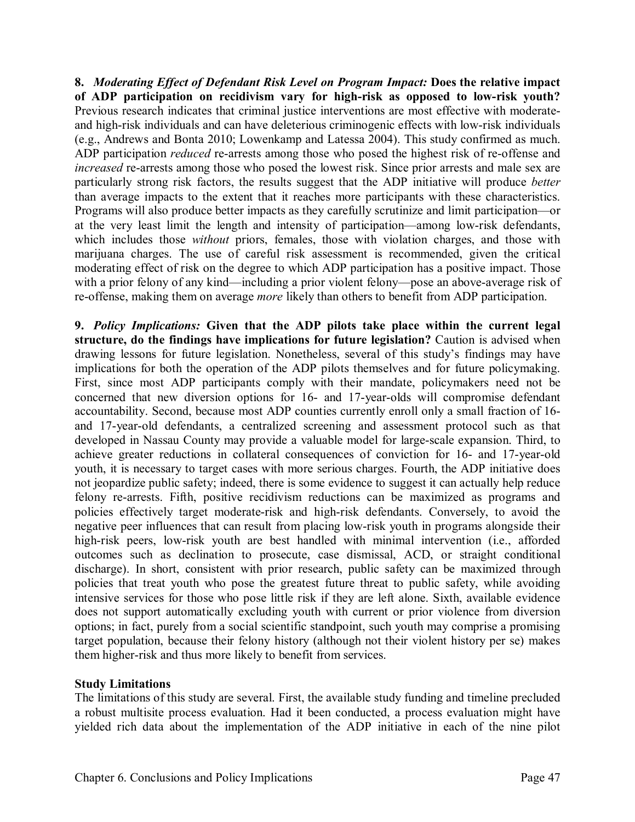**8.** *Moderating Effect of Defendant Risk Level on Program Impact:* **Does the relative impact of ADP participation on recidivism vary for high-risk as opposed to low-risk youth?** Previous research indicates that criminal justice interventions are most effective with moderateand high-risk individuals and can have deleterious criminogenic effects with low-risk individuals (e.g., Andrews and Bonta 2010; Lowenkamp and Latessa 2004). This study confirmed as much. ADP participation *reduced* re-arrests among those who posed the highest risk of re-offense and *increased* re-arrests among those who posed the lowest risk. Since prior arrests and male sex are particularly strong risk factors, the results suggest that the ADP initiative will produce *better* than average impacts to the extent that it reaches more participants with these characteristics. Programs will also produce better impacts as they carefully scrutinize and limit participation—or at the very least limit the length and intensity of participation—among low-risk defendants, which includes those *without* priors, females, those with violation charges, and those with marijuana charges. The use of careful risk assessment is recommended, given the critical moderating effect of risk on the degree to which ADP participation has a positive impact. Those with a prior felony of any kind—including a prior violent felony—pose an above-average risk of re-offense, making them on average *more* likely than others to benefit from ADP participation.

**9.** *Policy Implications:* **Given that the ADP pilots take place within the current legal structure, do the findings have implications for future legislation?** Caution is advised when drawing lessons for future legislation. Nonetheless, several of this study's findings may have implications for both the operation of the ADP pilots themselves and for future policymaking. First, since most ADP participants comply with their mandate, policymakers need not be concerned that new diversion options for 16- and 17-year-olds will compromise defendant accountability. Second, because most ADP counties currently enroll only a small fraction of 16 and 17-year-old defendants, a centralized screening and assessment protocol such as that developed in Nassau County may provide a valuable model for large-scale expansion. Third, to achieve greater reductions in collateral consequences of conviction for 16- and 17-year-old youth, it is necessary to target cases with more serious charges. Fourth, the ADP initiative does not jeopardize public safety; indeed, there is some evidence to suggest it can actually help reduce felony re-arrests. Fifth, positive recidivism reductions can be maximized as programs and policies effectively target moderate-risk and high-risk defendants. Conversely, to avoid the negative peer influences that can result from placing low-risk youth in programs alongside their high-risk peers, low-risk youth are best handled with minimal intervention (i.e., afforded outcomes such as declination to prosecute, case dismissal, ACD, or straight conditional discharge). In short, consistent with prior research, public safety can be maximized through policies that treat youth who pose the greatest future threat to public safety, while avoiding intensive services for those who pose little risk if they are left alone. Sixth, available evidence does not support automatically excluding youth with current or prior violence from diversion options; in fact, purely from a social scientific standpoint, such youth may comprise a promising target population, because their felony history (although not their violent history per se) makes them higher-risk and thus more likely to benefit from services.

#### **Study Limitations**

The limitations of this study are several. First, the available study funding and timeline precluded a robust multisite process evaluation. Had it been conducted, a process evaluation might have yielded rich data about the implementation of the ADP initiative in each of the nine pilot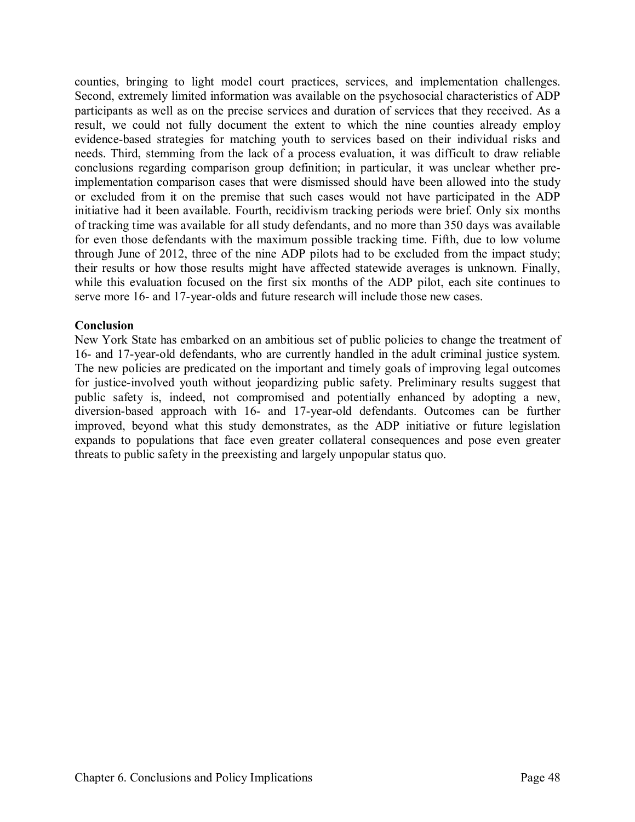counties, bringing to light model court practices, services, and implementation challenges. Second, extremely limited information was available on the psychosocial characteristics of ADP participants as well as on the precise services and duration of services that they received. As a result, we could not fully document the extent to which the nine counties already employ evidence-based strategies for matching youth to services based on their individual risks and needs. Third, stemming from the lack of a process evaluation, it was difficult to draw reliable conclusions regarding comparison group definition; in particular, it was unclear whether preimplementation comparison cases that were dismissed should have been allowed into the study or excluded from it on the premise that such cases would not have participated in the ADP initiative had it been available. Fourth, recidivism tracking periods were brief. Only six months of tracking time was available for all study defendants, and no more than 350 days was available for even those defendants with the maximum possible tracking time. Fifth, due to low volume through June of 2012, three of the nine ADP pilots had to be excluded from the impact study; their results or how those results might have affected statewide averages is unknown. Finally, while this evaluation focused on the first six months of the ADP pilot, each site continues to serve more 16- and 17-year-olds and future research will include those new cases.

#### **Conclusion**

New York State has embarked on an ambitious set of public policies to change the treatment of 16- and 17-year-old defendants, who are currently handled in the adult criminal justice system. The new policies are predicated on the important and timely goals of improving legal outcomes for justice-involved youth without jeopardizing public safety. Preliminary results suggest that public safety is, indeed, not compromised and potentially enhanced by adopting a new, diversion-based approach with 16- and 17-year-old defendants. Outcomes can be further improved, beyond what this study demonstrates, as the ADP initiative or future legislation expands to populations that face even greater collateral consequences and pose even greater threats to public safety in the preexisting and largely unpopular status quo.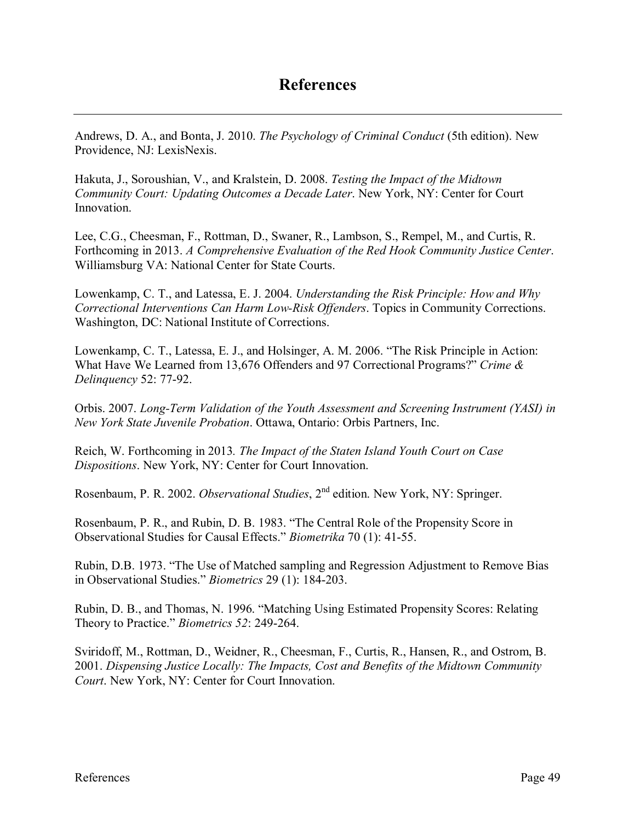Andrews, D. A., and Bonta, J. 2010. *The Psychology of Criminal Conduct* (5th edition). New Providence, NJ: LexisNexis.

Hakuta, J., Soroushian, V., and Kralstein, D. 2008. *Testing the Impact of the Midtown Community Court: Updating Outcomes a Decade Later*. New York, NY: Center for Court Innovation.

Lee, C.G., Cheesman, F., Rottman, D., Swaner, R., Lambson, S., Rempel, M., and Curtis, R. Forthcoming in 2013. *A Comprehensive Evaluation of the Red Hook Community Justice Center*. Williamsburg VA: National Center for State Courts.

Lowenkamp, C. T., and Latessa, E. J. 2004. *Understanding the Risk Principle: How and Why Correctional Interventions Can Harm Low-Risk Offenders*. Topics in Community Corrections. Washington, DC: National Institute of Corrections.

Lowenkamp, C. T., Latessa, E. J., and Holsinger, A. M. 2006. "The Risk Principle in Action: What Have We Learned from 13,676 Offenders and 97 Correctional Programs?" *Crime & Delinquency* 52: 77-92.

Orbis. 2007. *Long-Term Validation of the Youth Assessment and Screening Instrument (YASI) in New York State Juvenile Probation*. Ottawa, Ontario: Orbis Partners, Inc.

Reich, W. Forthcoming in 2013*. The Impact of the Staten Island Youth Court on Case Dispositions*. New York, NY: Center for Court Innovation.

Rosenbaum, P. R. 2002. *Observational Studies*, 2nd edition. New York, NY: Springer.

Rosenbaum, P. R., and Rubin, D. B. 1983. "The Central Role of the Propensity Score in Observational Studies for Causal Effects." *Biometrika* 70 (1): 41-55.

Rubin, D.B. 1973. "The Use of Matched sampling and Regression Adjustment to Remove Bias in Observational Studies." *Biometrics* 29 (1): 184-203.

Rubin, D. B., and Thomas, N. 1996. "Matching Using Estimated Propensity Scores: Relating Theory to Practice." *Biometrics 52*: 249-264.

Sviridoff, M., Rottman, D., Weidner, R., Cheesman, F., Curtis, R., Hansen, R., and Ostrom, B. 2001. *Dispensing Justice Locally: The Impacts, Cost and Benefits of the Midtown Community Court*. New York, NY: Center for Court Innovation.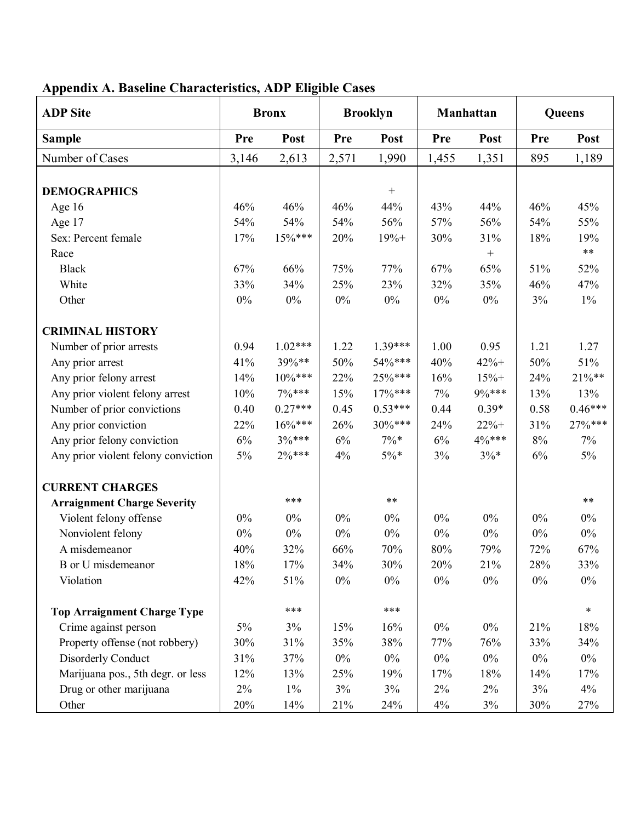| <b>Bronx</b> |                                                                                                                         | <b>Brooklyn</b>                                                                                                                     |                                                                                                                              | <b>Manhattan</b>                                                                                                                                   |                                                                                                                                         | Queens                                                                                                                                      |                                                                                                                         |
|--------------|-------------------------------------------------------------------------------------------------------------------------|-------------------------------------------------------------------------------------------------------------------------------------|------------------------------------------------------------------------------------------------------------------------------|----------------------------------------------------------------------------------------------------------------------------------------------------|-----------------------------------------------------------------------------------------------------------------------------------------|---------------------------------------------------------------------------------------------------------------------------------------------|-------------------------------------------------------------------------------------------------------------------------|
| Pre          | Post                                                                                                                    | Pre                                                                                                                                 | Post                                                                                                                         | Pre                                                                                                                                                | Post                                                                                                                                    | Pre                                                                                                                                         | Post                                                                                                                    |
| 3,146        | 2,613                                                                                                                   | 2,571                                                                                                                               | 1,990                                                                                                                        | 1,455                                                                                                                                              | 1,351                                                                                                                                   | 895                                                                                                                                         | 1,189                                                                                                                   |
|              |                                                                                                                         |                                                                                                                                     |                                                                                                                              |                                                                                                                                                    |                                                                                                                                         |                                                                                                                                             |                                                                                                                         |
|              |                                                                                                                         |                                                                                                                                     |                                                                                                                              |                                                                                                                                                    |                                                                                                                                         |                                                                                                                                             |                                                                                                                         |
|              |                                                                                                                         |                                                                                                                                     |                                                                                                                              |                                                                                                                                                    |                                                                                                                                         |                                                                                                                                             | 45%                                                                                                                     |
|              |                                                                                                                         |                                                                                                                                     |                                                                                                                              |                                                                                                                                                    |                                                                                                                                         |                                                                                                                                             | 55%                                                                                                                     |
|              |                                                                                                                         |                                                                                                                                     |                                                                                                                              |                                                                                                                                                    |                                                                                                                                         |                                                                                                                                             | 19%                                                                                                                     |
|              |                                                                                                                         |                                                                                                                                     |                                                                                                                              |                                                                                                                                                    |                                                                                                                                         |                                                                                                                                             | $***$                                                                                                                   |
|              |                                                                                                                         |                                                                                                                                     |                                                                                                                              |                                                                                                                                                    |                                                                                                                                         |                                                                                                                                             | 52%                                                                                                                     |
|              |                                                                                                                         |                                                                                                                                     |                                                                                                                              |                                                                                                                                                    |                                                                                                                                         |                                                                                                                                             | 47%                                                                                                                     |
|              |                                                                                                                         |                                                                                                                                     |                                                                                                                              |                                                                                                                                                    |                                                                                                                                         |                                                                                                                                             | $1\%$                                                                                                                   |
|              |                                                                                                                         |                                                                                                                                     |                                                                                                                              |                                                                                                                                                    |                                                                                                                                         |                                                                                                                                             |                                                                                                                         |
| 0.94         | $1.02***$                                                                                                               | 1.22                                                                                                                                | 1.39***                                                                                                                      | 1.00                                                                                                                                               | 0.95                                                                                                                                    | 1.21                                                                                                                                        | 1.27                                                                                                                    |
| 41%          | 39%**                                                                                                                   | 50%                                                                                                                                 | 54%***                                                                                                                       | 40%                                                                                                                                                | $42% +$                                                                                                                                 | 50%                                                                                                                                         | 51%                                                                                                                     |
| 14%          | $10\%***$                                                                                                               | 22%                                                                                                                                 | 25%***                                                                                                                       | 16%                                                                                                                                                | $15% +$                                                                                                                                 | 24%                                                                                                                                         | $21\%**$                                                                                                                |
| 10%          | $7\%***$                                                                                                                | 15%                                                                                                                                 | $17%***$                                                                                                                     | $7\%$                                                                                                                                              | 9%***                                                                                                                                   | 13%                                                                                                                                         | 13%                                                                                                                     |
| 0.40         | $0.27***$                                                                                                               | 0.45                                                                                                                                | $0.53***$                                                                                                                    | 0.44                                                                                                                                               | $0.39*$                                                                                                                                 | 0.58                                                                                                                                        | $0.46***$                                                                                                               |
|              | $16\%***$                                                                                                               | 26%                                                                                                                                 | 30%***                                                                                                                       |                                                                                                                                                    | $22% +$                                                                                                                                 |                                                                                                                                             | 27%***                                                                                                                  |
| 6%           | 3%***                                                                                                                   |                                                                                                                                     | $7\%*$                                                                                                                       |                                                                                                                                                    | 4%***                                                                                                                                   | 8%                                                                                                                                          | $7\%$                                                                                                                   |
| 5%           | $2\%***$                                                                                                                | 4%                                                                                                                                  | $5\%*$                                                                                                                       | 3%                                                                                                                                                 | $3\%*$                                                                                                                                  | 6%                                                                                                                                          | $5\%$                                                                                                                   |
|              |                                                                                                                         |                                                                                                                                     |                                                                                                                              |                                                                                                                                                    |                                                                                                                                         |                                                                                                                                             |                                                                                                                         |
|              | ***                                                                                                                     |                                                                                                                                     | $***$                                                                                                                        |                                                                                                                                                    |                                                                                                                                         |                                                                                                                                             | $***$                                                                                                                   |
|              |                                                                                                                         |                                                                                                                                     |                                                                                                                              |                                                                                                                                                    |                                                                                                                                         |                                                                                                                                             | $0\%$                                                                                                                   |
|              |                                                                                                                         |                                                                                                                                     |                                                                                                                              |                                                                                                                                                    |                                                                                                                                         |                                                                                                                                             | $0\%$                                                                                                                   |
|              |                                                                                                                         |                                                                                                                                     |                                                                                                                              |                                                                                                                                                    |                                                                                                                                         |                                                                                                                                             | 67%                                                                                                                     |
|              |                                                                                                                         |                                                                                                                                     |                                                                                                                              |                                                                                                                                                    |                                                                                                                                         |                                                                                                                                             | 33%                                                                                                                     |
| 42%          | 51%                                                                                                                     | $0\%$                                                                                                                               | $0\%$                                                                                                                        | $0\%$                                                                                                                                              | $0\%$                                                                                                                                   | $0\%$                                                                                                                                       | $0\%$                                                                                                                   |
|              |                                                                                                                         |                                                                                                                                     |                                                                                                                              |                                                                                                                                                    |                                                                                                                                         |                                                                                                                                             | $\ast$                                                                                                                  |
|              |                                                                                                                         |                                                                                                                                     |                                                                                                                              |                                                                                                                                                    |                                                                                                                                         |                                                                                                                                             | $18\%$                                                                                                                  |
|              |                                                                                                                         |                                                                                                                                     |                                                                                                                              |                                                                                                                                                    |                                                                                                                                         |                                                                                                                                             | 34%                                                                                                                     |
|              |                                                                                                                         |                                                                                                                                     |                                                                                                                              |                                                                                                                                                    |                                                                                                                                         |                                                                                                                                             | $0\%$                                                                                                                   |
|              |                                                                                                                         |                                                                                                                                     |                                                                                                                              |                                                                                                                                                    |                                                                                                                                         |                                                                                                                                             | 17%                                                                                                                     |
|              |                                                                                                                         |                                                                                                                                     |                                                                                                                              |                                                                                                                                                    |                                                                                                                                         |                                                                                                                                             | 4%                                                                                                                      |
|              |                                                                                                                         |                                                                                                                                     |                                                                                                                              |                                                                                                                                                    |                                                                                                                                         |                                                                                                                                             | 27%                                                                                                                     |
|              | 46%<br>54%<br>17%<br>67%<br>33%<br>$0\%$<br>22%<br>$0\%$<br>$0\%$<br>40%<br>18%<br>5%<br>30%<br>31%<br>12%<br>2%<br>20% | 46%<br>54%<br>$15\%***$<br>66%<br>34%<br>$0\%$<br>$0\%$<br>$0\%$<br>32%<br>17%<br>***<br>$3\%$<br>31%<br>37%<br>13%<br>$1\%$<br>14% | 46%<br>54%<br>20%<br>75%<br>25%<br>$0\%$<br>$6\%$<br>$0\%$<br>$0\%$<br>66%<br>34%<br>15%<br>35%<br>$0\%$<br>25%<br>3%<br>21% | $\boldsymbol{+}$<br>44%<br>56%<br>$19% +$<br>77%<br>23%<br>$0\%$<br>$0\%$<br>$0\%$<br>70%<br>30%<br>***<br>16%<br>38%<br>$0\%$<br>19%<br>3%<br>24% | 43%<br>57%<br>30%<br>67%<br>32%<br>$0\%$<br>24%<br>$6\%$<br>$0\%$<br>$0\%$<br>$80\%$<br>20%<br>$0\%$<br>77%<br>$0\%$<br>17%<br>2%<br>4% | 44%<br>56%<br>31%<br>$\boldsymbol{+}$<br>65%<br>35%<br>$0\%$<br>$0\%$<br>$0\%$<br>79%<br>21%<br>$0\%$<br>76%<br>$0\%$<br>18%<br>2%<br>$3\%$ | 46%<br>54%<br>18%<br>51%<br>46%<br>3%<br>31%<br>$0\%$<br>$0\%$<br>72%<br>28%<br>21%<br>33%<br>$0\%$<br>14%<br>3%<br>30% |

# **Appendix A. Baseline Characteristics, ADP Eligible Cases**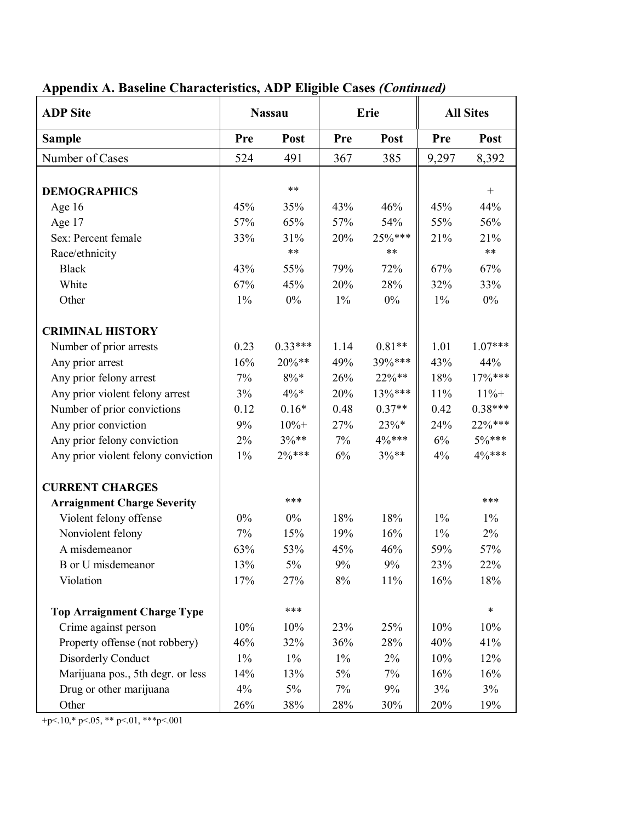| <b>ADP</b> Site                     | <b>Nassau</b> |           | Erie  |                 | <b>All Sites</b> |                   |
|-------------------------------------|---------------|-----------|-------|-----------------|------------------|-------------------|
| <b>Sample</b>                       | Pre           | Post      | Pre   | Post            | Pre              | Post              |
| Number of Cases                     | 524           | 491       | 367   | 385             | 9,297            | 8,392             |
|                                     |               | $***$     |       |                 |                  |                   |
| <b>DEMOGRAPHICS</b>                 |               |           |       |                 |                  | $\qquad \qquad +$ |
| Age 16                              | 45%           | 35%       | 43%   | 46%             | 45%              | 44%               |
| Age 17                              | 57%           | 65%       | 57%   | 54%             | 55%              | 56%               |
| Sex: Percent female                 | 33%           | 31%       | 20%   | 25%***<br>$***$ | 21%              | 21%               |
| Race/ethnicity                      |               | $***$     |       |                 |                  | $***$             |
| <b>Black</b>                        | 43%           | 55%       | 79%   | 72%             | 67%              | 67%               |
| White                               | 67%           | 45%       | 20%   | 28%             | 32%              | 33%               |
| Other                               | $1\%$         | $0\%$     | $1\%$ | $0\%$           | $1\%$            | $0\%$             |
| <b>CRIMINAL HISTORY</b>             |               |           |       |                 |                  |                   |
| Number of prior arrests             | 0.23          | $0.33***$ | 1.14  | $0.81**$        | 1.01             | $1.07***$         |
| Any prior arrest                    | 16%           | 20%**     | 49%   | 39%***          | 43%              | 44%               |
| Any prior felony arrest             | 7%            | $8\% *$   | 26%   | $22\%**$        | 18%              | 17%***            |
| Any prior violent felony arrest     | 3%            | $4\%*$    | 20%   | 13%***          | 11%              | $11% +$           |
| Number of prior convictions         | 0.12          | $0.16*$   | 0.48  | $0.37**$        | 0.42             | $0.38***$         |
| Any prior conviction                | 9%            | $10% +$   | 27%   | $23%$ *         | 24%              | 22%***            |
| Any prior felony conviction         | $2\%$         | $3\%**$   | $7\%$ | $4\%***$        | $6\%$            | $5\%***$          |
| Any prior violent felony conviction | $1\%$         | $2\%***$  | 6%    | $3\%**$         | 4%               | 4%***             |
| <b>CURRENT CHARGES</b>              |               |           |       |                 |                  |                   |
| <b>Arraignment Charge Severity</b>  |               | ***       |       |                 |                  | ***               |
| Violent felony offense              | $0\%$         | $0\%$     | 18%   | 18%             | $1\%$            | $1\%$             |
| Nonviolent felony                   | 7%            | 15%       | 19%   | 16%             | $1\%$            | 2%                |
| A misdemeanor                       | 63%           | 53%       | 45%   | 46%             | 59%              | 57%               |
| <b>B</b> or U misdemeanor           | 13%           | 5%        | 9%    | 9%              | 23%              | 22%               |
| Violation                           | 17%           | 27%       | 8%    | 11%             | 16%              | 18%               |
| <b>Top Arraignment Charge Type</b>  |               | ***       |       |                 |                  | $\ast$            |
| Crime against person                | 10%           | 10%       | 23%   | 25%             | 10%              | 10%               |
| Property offense (not robbery)      | 46%           | 32%       | 36%   | 28%             | 40%              | 41%               |
|                                     |               |           |       |                 |                  |                   |
| Disorderly Conduct                  | $1\%$         | $1\%$     | $1\%$ | $2\%$           | 10%              | 12%               |
| Marijuana pos., 5th degr. or less   | 14%           | 13%       | 5%    | 7%              | 16%              | 16%               |
| Drug or other marijuana             | 4%            | $5\%$     | 7%    | 9%              | 3%               | 3%                |
| Other                               | 26%           | 38%       | 28%   | 30%             | 20%              | 19%               |

# **Appendix A. Baseline Characteristics, ADP Eligible Cases** *(Continued)*

+p<.10,\* p<.05, \*\* p<.01, \*\*\*p<.001